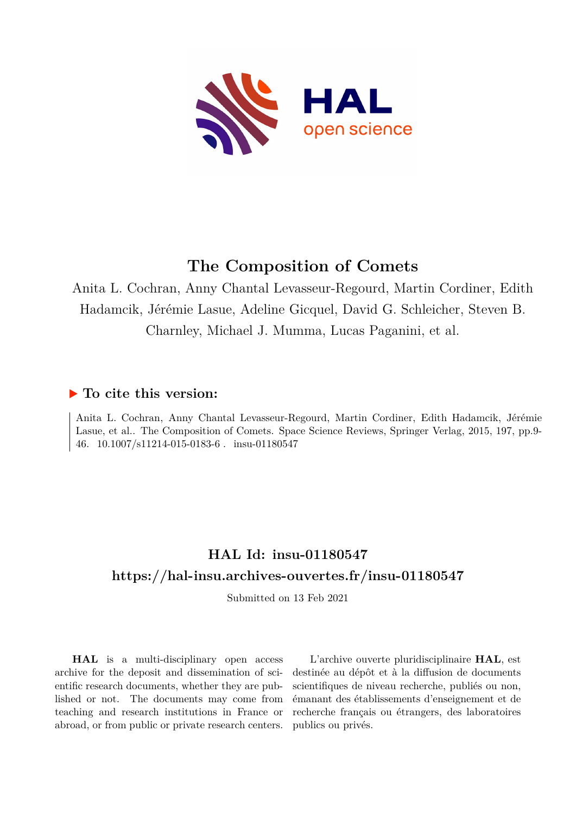

# **The Composition of Comets**

Anita L. Cochran, Anny Chantal Levasseur-Regourd, Martin Cordiner, Edith Hadamcik, Jérémie Lasue, Adeline Gicquel, David G. Schleicher, Steven B. Charnley, Michael J. Mumma, Lucas Paganini, et al.

# **To cite this version:**

Anita L. Cochran, Anny Chantal Levasseur-Regourd, Martin Cordiner, Edith Hadamcik, Jérémie Lasue, et al.. The Composition of Comets. Space Science Reviews, Springer Verlag, 2015, 197, pp.9- 46. 10.1007/s11214-015-0183-6. insu-01180547

# **HAL Id: insu-01180547 <https://hal-insu.archives-ouvertes.fr/insu-01180547>**

Submitted on 13 Feb 2021

**HAL** is a multi-disciplinary open access archive for the deposit and dissemination of scientific research documents, whether they are published or not. The documents may come from teaching and research institutions in France or abroad, or from public or private research centers.

L'archive ouverte pluridisciplinaire **HAL**, est destinée au dépôt et à la diffusion de documents scientifiques de niveau recherche, publiés ou non, émanant des établissements d'enseignement et de recherche français ou étrangers, des laboratoires publics ou privés.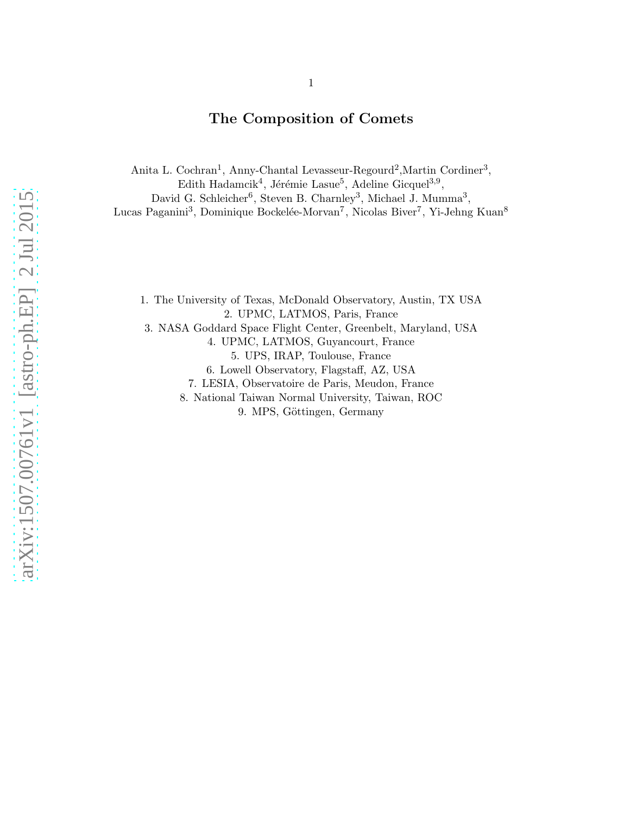# The Composition of Comets

Anita L. Cochran<sup>1</sup>, Anny-Chantal Levasseur-Regourd<sup>2</sup>, Martin Cordiner<sup>3</sup>, Edith Hadamcik<sup>4</sup>, Jérémie Lasue<sup>5</sup>, Adeline Gicquel<sup>3,9</sup>, David G. Schleicher<sup>6</sup>, Steven B. Charnley<sup>3</sup>, Michael J. Mumma<sup>3</sup>, Lucas Paganini<sup>3</sup>, Dominique Bockelée-Morvan<sup>7</sup>, Nicolas Biver<sup>7</sup>, Yi-Jehng Kuan<sup>8</sup>

1. The University of Texas, McDonald Observatory, Austin, TX USA 2. UPMC, LATMOS, Paris, France 3. NASA Goddard Space Flight Center, Greenbelt, Maryland, USA 4. UPMC, LATMOS, Guyancourt, France 5. UPS, IRAP, Toulouse, France 6. Lowell Observatory, Flagstaff, AZ, USA 7. LESIA, Observatoire de Paris, Meudon, France 8. National Taiwan Normal University, Taiwan, ROC 9. MPS, Göttingen, Germany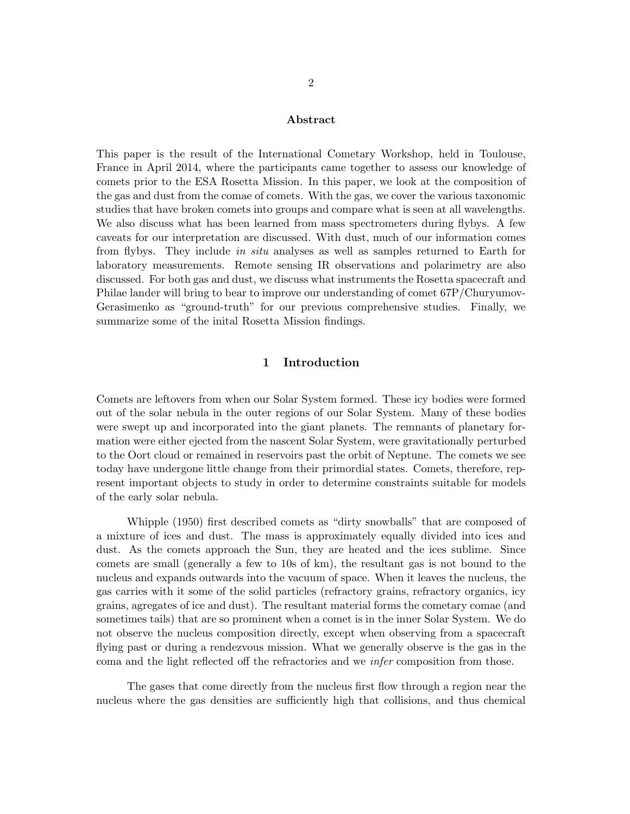#### Abstract

This paper is the result of the International Cometary Workshop, held in Toulouse, France in April 2014, where the participants came together to assess our knowledge of comets prior to the ESA Rosetta Mission. In this paper, we look at the composition of the gas and dust from the comae of comets. With the gas, we cover the various taxonomic studies that have broken comets into groups and compare what is seen at all wavelengths. We also discuss what has been learned from mass spectrometers during flybys. A few caveats for our interpretation are discussed. With dust, much of our information comes from flybys. They include *in situ* analyses as well as samples returned to Earth for laboratory measurements. Remote sensing IR observations and polarimetry are also discussed. For both gas and dust, we discuss what instruments the Rosetta spacecraft and Philae lander will bring to bear to improve our understanding of comet 67P/Churyumov-Gerasimenko as "ground-truth" for our previous comprehensive studies. Finally, we summarize some of the inital Rosetta Mission findings.

## 1 Introduction

Comets are leftovers from when our Solar System formed. These icy bodies were formed out of the solar nebula in the outer regions of our Solar System. Many of these bodies were swept up and incorporated into the giant planets. The remnants of planetary formation were either ejected from the nascent Solar System, were gravitationally perturbed to the Oort cloud or remained in reservoirs past the orbit of Neptune. The comets we see today have undergone little change from their primordial states. Comets, therefore, represent important objects to study in order to determine constraints suitable for models of the early solar nebula.

Whipple (1950) first described comets as "dirty snowballs" that are composed of a mixture of ices and dust. The mass is approximately equally divided into ices and dust. As the comets approach the Sun, they are heated and the ices sublime. Since comets are small (generally a few to 10s of km), the resultant gas is not bound to the nucleus and expands outwards into the vacuum of space. When it leaves the nucleus, the gas carries with it some of the solid particles (refractory grains, refractory organics, icy grains, agregates of ice and dust). The resultant material forms the cometary comae (and sometimes tails) that are so prominent when a comet is in the inner Solar System. We do not observe the nucleus composition directly, except when observing from a spacecraft flying past or during a rendezvous mission. What we generally observe is the gas in the coma and the light reflected off the refractories and we *infer* composition from those.

The gases that come directly from the nucleus first flow through a region near the nucleus where the gas densities are sufficiently high that collisions, and thus chemical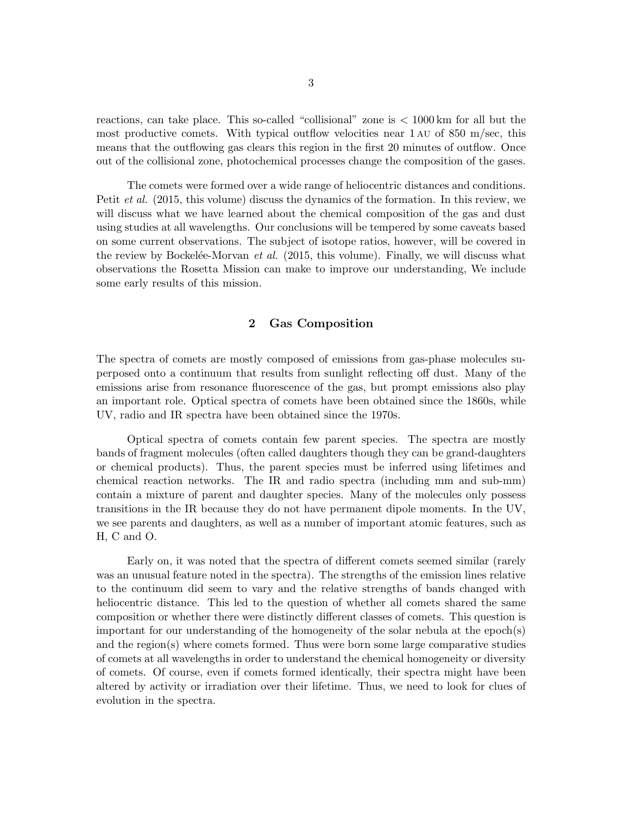reactions, can take place. This so-called "collisional" zone is < 1000 km for all but the most productive comets. With typical outflow velocities near  $1 \text{ AU of } 850 \text{ m/sec}$ , this means that the outflowing gas clears this region in the first 20 minutes of outflow. Once out of the collisional zone, photochemical processes change the composition of the gases.

The comets were formed over a wide range of heliocentric distances and conditions. Petit *et al.* (2015, this volume) discuss the dynamics of the formation. In this review, we will discuss what we have learned about the chemical composition of the gas and dust using studies at all wavelengths. Our conclusions will be tempered by some caveats based on some current observations. The subject of isotope ratios, however, will be covered in the review by Bockelee-Morvan *et al.* (2015, this volume). Finally, we will discuss what observations the Rosetta Mission can make to improve our understanding, We include some early results of this mission.

#### 2 Gas Composition

The spectra of comets are mostly composed of emissions from gas-phase molecules superposed onto a continuum that results from sunlight reflecting off dust. Many of the emissions arise from resonance fluorescence of the gas, but prompt emissions also play an important role. Optical spectra of comets have been obtained since the 1860s, while UV, radio and IR spectra have been obtained since the 1970s.

Optical spectra of comets contain few parent species. The spectra are mostly bands of fragment molecules (often called daughters though they can be grand-daughters or chemical products). Thus, the parent species must be inferred using lifetimes and chemical reaction networks. The IR and radio spectra (including mm and sub-mm) contain a mixture of parent and daughter species. Many of the molecules only possess transitions in the IR because they do not have permanent dipole moments. In the UV, we see parents and daughters, as well as a number of important atomic features, such as H, C and O.

Early on, it was noted that the spectra of different comets seemed similar (rarely was an unusual feature noted in the spectra). The strengths of the emission lines relative to the continuum did seem to vary and the relative strengths of bands changed with heliocentric distance. This led to the question of whether all comets shared the same composition or whether there were distinctly different classes of comets. This question is important for our understanding of the homogeneity of the solar nebula at the epoch(s) and the region(s) where comets formed. Thus were born some large comparative studies of comets at all wavelengths in order to understand the chemical homogeneity or diversity of comets. Of course, even if comets formed identically, their spectra might have been altered by activity or irradiation over their lifetime. Thus, we need to look for clues of evolution in the spectra.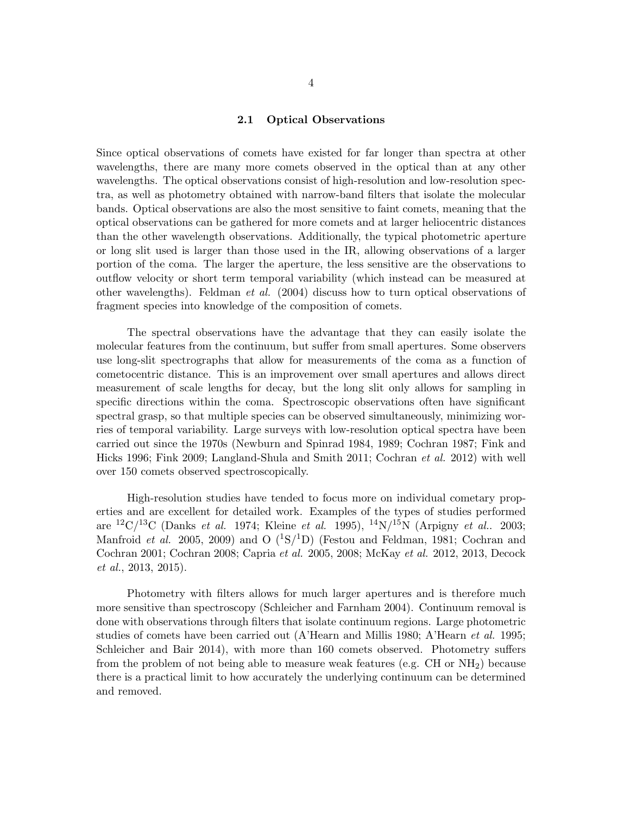#### 2.1 Optical Observations

Since optical observations of comets have existed for far longer than spectra at other wavelengths, there are many more comets observed in the optical than at any other wavelengths. The optical observations consist of high-resolution and low-resolution spectra, as well as photometry obtained with narrow-band filters that isolate the molecular bands. Optical observations are also the most sensitive to faint comets, meaning that the optical observations can be gathered for more comets and at larger heliocentric distances than the other wavelength observations. Additionally, the typical photometric aperture or long slit used is larger than those used in the IR, allowing observations of a larger portion of the coma. The larger the aperture, the less sensitive are the observations to outflow velocity or short term temporal variability (which instead can be measured at other wavelengths). Feldman *et al.* (2004) discuss how to turn optical observations of fragment species into knowledge of the composition of comets.

The spectral observations have the advantage that they can easily isolate the molecular features from the continuum, but suffer from small apertures. Some observers use long-slit spectrographs that allow for measurements of the coma as a function of cometocentric distance. This is an improvement over small apertures and allows direct measurement of scale lengths for decay, but the long slit only allows for sampling in specific directions within the coma. Spectroscopic observations often have significant spectral grasp, so that multiple species can be observed simultaneously, minimizing worries of temporal variability. Large surveys with low-resolution optical spectra have been carried out since the 1970s (Newburn and Spinrad 1984, 1989; Cochran 1987; Fink and Hicks 1996; Fink 2009; Langland-Shula and Smith 2011; Cochran *et al.* 2012) with well over 150 comets observed spectroscopically.

High-resolution studies have tended to focus more on individual cometary properties and are excellent for detailed work. Examples of the types of studies performed are <sup>12</sup>C/13C (Danks *et al.* 1974; Kleine *et al.* 1995), <sup>14</sup>N/15N (Arpigny *et al.*. 2003; Manfroid *et al.* 2005, 2009) and O  $({}^{1}S/{}^{1}D)$  (Festou and Feldman, 1981; Cochran and Cochran 2001; Cochran 2008; Capria *et al.* 2005, 2008; McKay *et al.* 2012, 2013, Decock *et al.*, 2013, 2015).

Photometry with filters allows for much larger apertures and is therefore much more sensitive than spectroscopy (Schleicher and Farnham 2004). Continuum removal is done with observations through filters that isolate continuum regions. Large photometric studies of comets have been carried out (A'Hearn and Millis 1980; A'Hearn *et al.* 1995; Schleicher and Bair 2014), with more than 160 comets observed. Photometry suffers from the problem of not being able to measure weak features (e.g. CH or  $NH<sub>2</sub>$ ) because there is a practical limit to how accurately the underlying continuum can be determined and removed.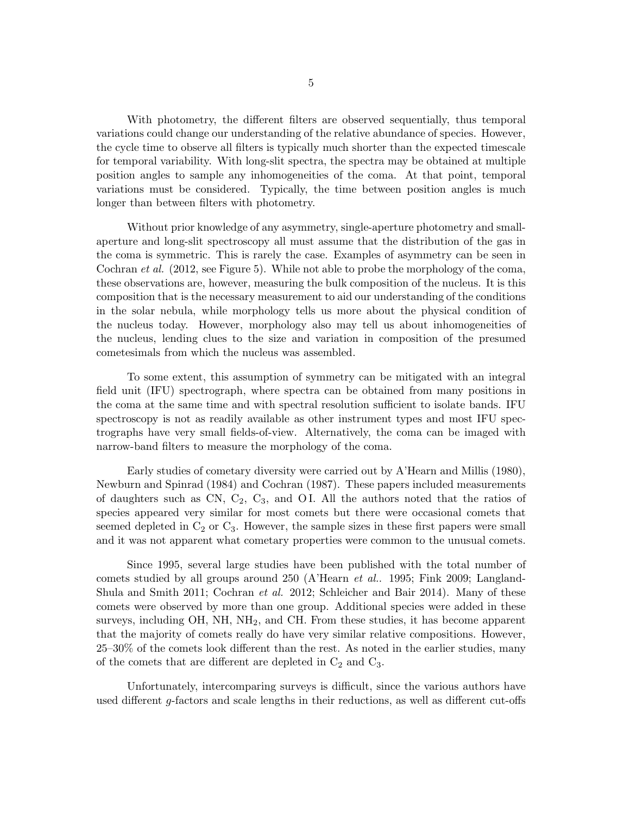With photometry, the different filters are observed sequentially, thus temporal variations could change our understanding of the relative abundance of species. However, the cycle time to observe all filters is typically much shorter than the expected timescale for temporal variability. With long-slit spectra, the spectra may be obtained at multiple position angles to sample any inhomogeneities of the coma. At that point, temporal variations must be considered. Typically, the time between position angles is much longer than between filters with photometry.

Without prior knowledge of any asymmetry, single-aperture photometry and smallaperture and long-slit spectroscopy all must assume that the distribution of the gas in the coma is symmetric. This is rarely the case. Examples of asymmetry can be seen in Cochran *et al.* (2012, see Figure 5). While not able to probe the morphology of the coma, these observations are, however, measuring the bulk composition of the nucleus. It is this composition that is the necessary measurement to aid our understanding of the conditions in the solar nebula, while morphology tells us more about the physical condition of the nucleus today. However, morphology also may tell us about inhomogeneities of the nucleus, lending clues to the size and variation in composition of the presumed cometesimals from which the nucleus was assembled.

To some extent, this assumption of symmetry can be mitigated with an integral field unit (IFU) spectrograph, where spectra can be obtained from many positions in the coma at the same time and with spectral resolution sufficient to isolate bands. IFU spectroscopy is not as readily available as other instrument types and most IFU spectrographs have very small fields-of-view. Alternatively, the coma can be imaged with narrow-band filters to measure the morphology of the coma.

Early studies of cometary diversity were carried out by A'Hearn and Millis (1980), Newburn and Spinrad (1984) and Cochran (1987). These papers included measurements of daughters such as  $CN$ ,  $C_2$ ,  $C_3$ , and OI. All the authors noted that the ratios of species appeared very similar for most comets but there were occasional comets that seemed depleted in  $C_2$  or  $C_3$ . However, the sample sizes in these first papers were small and it was not apparent what cometary properties were common to the unusual comets.

Since 1995, several large studies have been published with the total number of comets studied by all groups around 250 (A'Hearn *et al.*. 1995; Fink 2009; Langland-Shula and Smith 2011; Cochran *et al.* 2012; Schleicher and Bair 2014). Many of these comets were observed by more than one group. Additional species were added in these surveys, including  $OH$ ,  $NH$ ,  $NH<sub>2</sub>$ , and CH. From these studies, it has become apparent that the majority of comets really do have very similar relative compositions. However, 25–30% of the comets look different than the rest. As noted in the earlier studies, many of the comets that are different are depleted in  $C_2$  and  $C_3$ .

Unfortunately, intercomparing surveys is difficult, since the various authors have used different g-factors and scale lengths in their reductions, as well as different cut-offs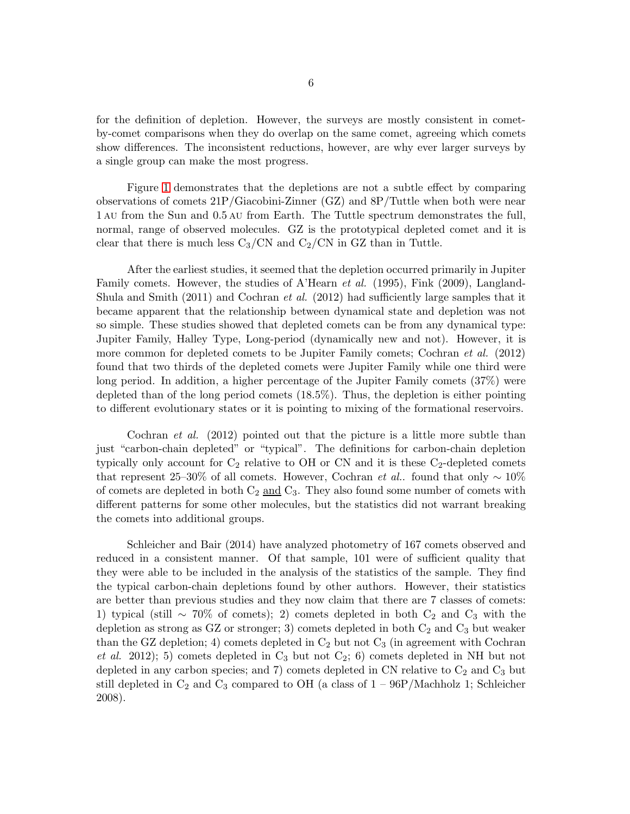for the definition of depletion. However, the surveys are mostly consistent in cometby-comet comparisons when they do overlap on the same comet, agreeing which comets show differences. The inconsistent reductions, however, are why ever larger surveys by a single group can make the most progress.

Figure [1](#page-53-0) demonstrates that the depletions are not a subtle effect by comparing observations of comets 21P/Giacobini-Zinner (GZ) and 8P/Tuttle when both were near 1 au from the Sun and 0.5 au from Earth. The Tuttle spectrum demonstrates the full, normal, range of observed molecules. GZ is the prototypical depleted comet and it is clear that there is much less  $C_3/CN$  and  $C_2/CN$  in GZ than in Tuttle.

After the earliest studies, it seemed that the depletion occurred primarily in Jupiter Family comets. However, the studies of A'Hearn *et al.* (1995), Fink (2009), Langland-Shula and Smith (2011) and Cochran *et al.* (2012) had sufficiently large samples that it became apparent that the relationship between dynamical state and depletion was not so simple. These studies showed that depleted comets can be from any dynamical type: Jupiter Family, Halley Type, Long-period (dynamically new and not). However, it is more common for depleted comets to be Jupiter Family comets; Cochran *et al.* (2012) found that two thirds of the depleted comets were Jupiter Family while one third were long period. In addition, a higher percentage of the Jupiter Family comets (37%) were depleted than of the long period comets (18.5%). Thus, the depletion is either pointing to different evolutionary states or it is pointing to mixing of the formational reservoirs.

Cochran *et al.* (2012) pointed out that the picture is a little more subtle than just "carbon-chain depleted" or "typical". The definitions for carbon-chain depletion typically only account for  $C_2$  relative to OH or CN and it is these  $C_2$ -depleted comets that represent 25–30% of all comets. However, Cochran *et al.*. found that only  $\sim 10\%$ of comets are depleted in both  $C_2$  and  $C_3$ . They also found some number of comets with different patterns for some other molecules, but the statistics did not warrant breaking the comets into additional groups.

Schleicher and Bair (2014) have analyzed photometry of 167 comets observed and reduced in a consistent manner. Of that sample, 101 were of sufficient quality that they were able to be included in the analysis of the statistics of the sample. They find the typical carbon-chain depletions found by other authors. However, their statistics are better than previous studies and they now claim that there are 7 classes of comets: 1) typical (still ~ 70% of comets); 2) comets depleted in both  $C_2$  and  $C_3$  with the depletion as strong as GZ or stronger; 3) comets depleted in both  $C_2$  and  $C_3$  but weaker than the GZ depletion; 4) comets depleted in  $C_2$  but not  $C_3$  (in agreement with Cochran *et al.* 2012); 5) comets depleted in  $C_3$  but not  $C_2$ ; 6) comets depleted in NH but not depleted in any carbon species; and 7) comets depleted in CN relative to  $C_2$  and  $C_3$  but still depleted in  $C_2$  and  $C_3$  compared to OH (a class of  $1 - 96P/Machholz 1$ ; Schleicher 2008).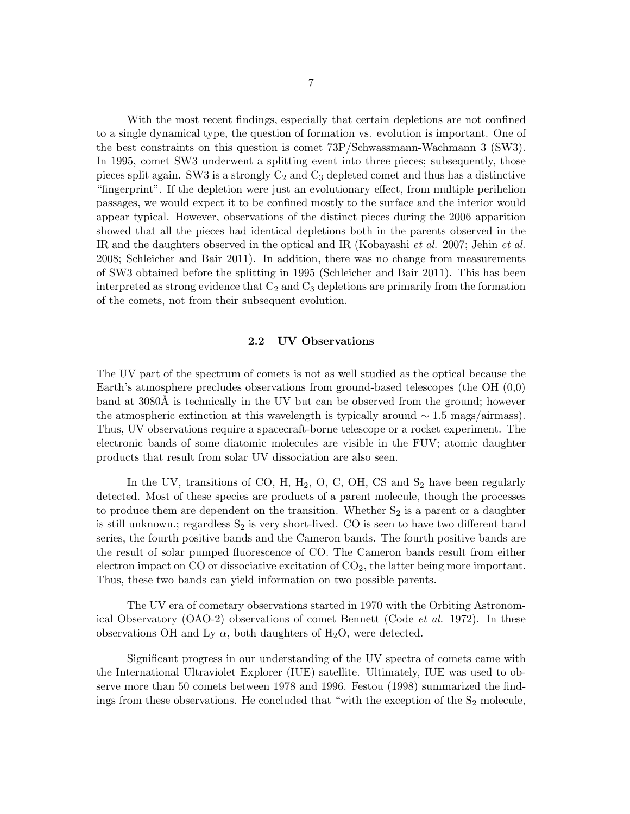With the most recent findings, especially that certain depletions are not confined to a single dynamical type, the question of formation vs. evolution is important. One of the best constraints on this question is comet 73P/Schwassmann-Wachmann 3 (SW3). In 1995, comet SW3 underwent a splitting event into three pieces; subsequently, those pieces split again. SW3 is a strongly  $C_2$  and  $C_3$  depleted comet and thus has a distinctive "fingerprint". If the depletion were just an evolutionary effect, from multiple perihelion passages, we would expect it to be confined mostly to the surface and the interior would appear typical. However, observations of the distinct pieces during the 2006 apparition showed that all the pieces had identical depletions both in the parents observed in the IR and the daughters observed in the optical and IR (Kobayashi *et al.* 2007; Jehin *et al.* 2008; Schleicher and Bair 2011). In addition, there was no change from measurements of SW3 obtained before the splitting in 1995 (Schleicher and Bair 2011). This has been interpreted as strong evidence that  $C_2$  and  $C_3$  depletions are primarily from the formation of the comets, not from their subsequent evolution.

#### 2.2 UV Observations

The UV part of the spectrum of comets is not as well studied as the optical because the Earth's atmosphere precludes observations from ground-based telescopes (the OH (0,0) band at 3080Å is technically in the UV but can be observed from the ground; however the atmospheric extinction at this wavelength is typically around  $\sim 1.5$  mags/airmass). Thus, UV observations require a spacecraft-borne telescope or a rocket experiment. The electronic bands of some diatomic molecules are visible in the FUV; atomic daughter products that result from solar UV dissociation are also seen.

In the UV, transitions of CO, H, H<sub>2</sub>, O, C, OH, CS and  $S_2$  have been regularly detected. Most of these species are products of a parent molecule, though the processes to produce them are dependent on the transition. Whether  $S_2$  is a parent or a daughter is still unknown.; regardless  $S_2$  is very short-lived. CO is seen to have two different band series, the fourth positive bands and the Cameron bands. The fourth positive bands are the result of solar pumped fluorescence of CO. The Cameron bands result from either electron impact on CO or dissociative excitation of  $CO<sub>2</sub>$ , the latter being more important. Thus, these two bands can yield information on two possible parents.

The UV era of cometary observations started in 1970 with the Orbiting Astronomical Observatory (OAO-2) observations of comet Bennett (Code *et al.* 1972). In these observations OH and Ly  $\alpha$ , both daughters of H<sub>2</sub>O, were detected.

Significant progress in our understanding of the UV spectra of comets came with the International Ultraviolet Explorer (IUE) satellite. Ultimately, IUE was used to observe more than 50 comets between 1978 and 1996. Festou (1998) summarized the findings from these observations. He concluded that "with the exception of the  $S_2$  molecule,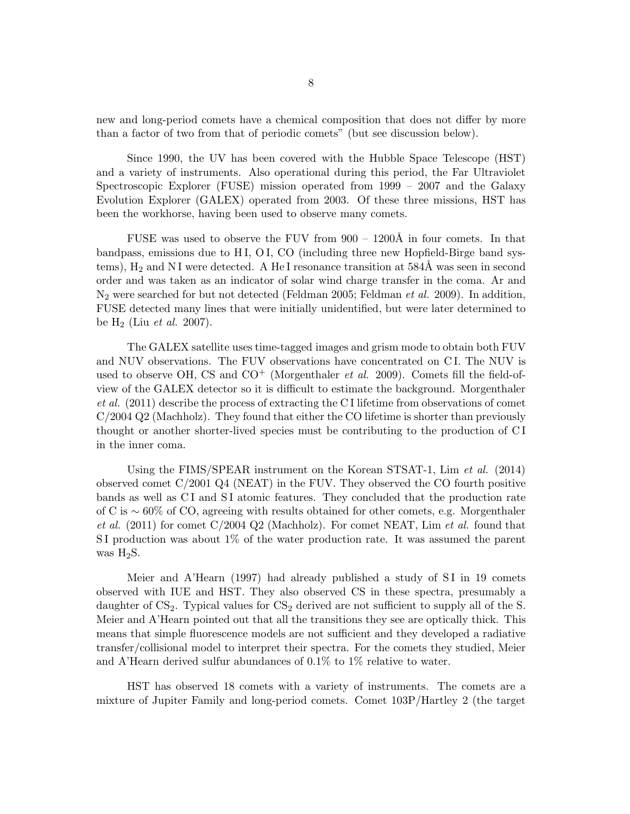new and long-period comets have a chemical composition that does not differ by more than a factor of two from that of periodic comets" (but see discussion below).

Since 1990, the UV has been covered with the Hubble Space Telescope (HST) and a variety of instruments. Also operational during this period, the Far Ultraviolet Spectroscopic Explorer (FUSE) mission operated from 1999 – 2007 and the Galaxy Evolution Explorer (GALEX) operated from 2003. Of these three missions, HST has been the workhorse, having been used to observe many comets.

FUSE was used to observe the FUV from  $900 - 1200\text{\AA}$  in four comets. In that bandpass, emissions due to HI, OI, CO (including three new Hopfield-Birge band systems),  $H_2$  and NI were detected. A He I resonance transition at 584Å was seen in second order and was taken as an indicator of solar wind charge transfer in the coma. Ar and N2 were searched for but not detected (Feldman 2005; Feldman *et al.* 2009). In addition, FUSE detected many lines that were initially unidentified, but were later determined to be H2 (Liu *et al.* 2007).

The GALEX satellite uses time-tagged images and grism mode to obtain both FUV and NUV observations. The FUV observations have concentrated on C I. The NUV is used to observe OH, CS and  $CO<sup>+</sup>$  (Morgenthaler *et al.* 2009). Comets fill the field-ofview of the GALEX detector so it is difficult to estimate the background. Morgenthaler *et al.* (2011) describe the process of extracting the C I lifetime from observations of comet  $C/2004$  Q2 (Machholz). They found that either the CO lifetime is shorter than previously thought or another shorter-lived species must be contributing to the production of C I in the inner coma.

Using the FIMS/SPEAR instrument on the Korean STSAT-1, Lim *et al.* (2014) observed comet C/2001 Q4 (NEAT) in the FUV. They observed the CO fourth positive bands as well as CI and SI atomic features. They concluded that the production rate of C is ∼ 60% of CO, agreeing with results obtained for other comets, e.g. Morgenthaler *et al.* (2011) for comet C/2004 Q2 (Machholz). For comet NEAT, Lim *et al.* found that S I production was about 1% of the water production rate. It was assumed the parent was  $H_2S$ .

Meier and A'Hearn  $(1997)$  had already published a study of SI in 19 comets observed with IUE and HST. They also observed CS in these spectra, presumably a daughter of  $CS_2$ . Typical values for  $CS_2$  derived are not sufficient to supply all of the S. Meier and A'Hearn pointed out that all the transitions they see are optically thick. This means that simple fluorescence models are not sufficient and they developed a radiative transfer/collisional model to interpret their spectra. For the comets they studied, Meier and A'Hearn derived sulfur abundances of 0.1% to 1% relative to water.

HST has observed 18 comets with a variety of instruments. The comets are a mixture of Jupiter Family and long-period comets. Comet 103P/Hartley 2 (the target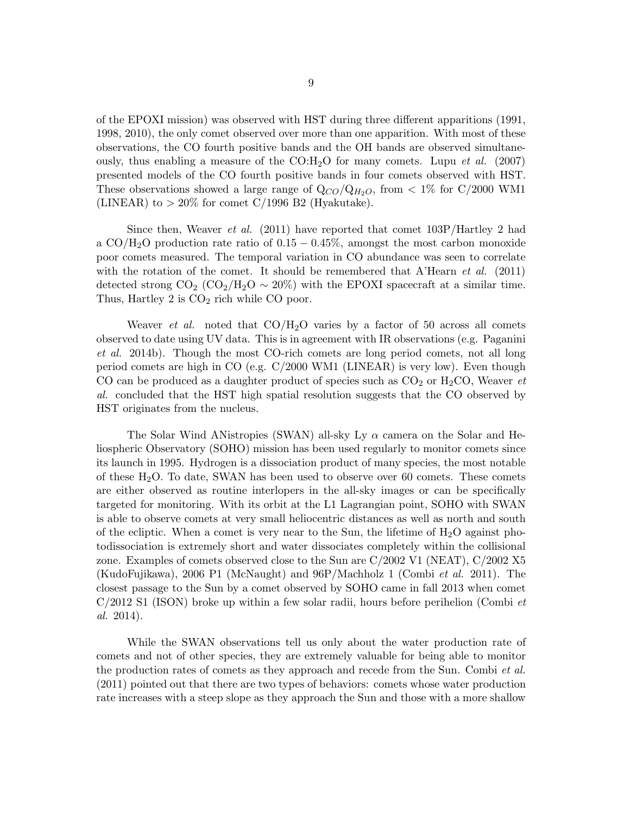of the EPOXI mission) was observed with HST during three different apparitions (1991, 1998, 2010), the only comet observed over more than one apparition. With most of these observations, the CO fourth positive bands and the OH bands are observed simultaneously, thus enabling a measure of the CO:H2O for many comets. Lupu *et al.* (2007) presented models of the CO fourth positive bands in four comets observed with HST. These observations showed a large range of  $Q_{CO}/Q_{H_2O}$ , from  $\lt 1\%$  for C/2000 WM1 (LINEAR) to  $> 20\%$  for comet C/1996 B2 (Hyakutake).

Since then, Weaver *et al.* (2011) have reported that comet 103P/Hartley 2 had a  $CO/H<sub>2</sub>O$  production rate ratio of  $0.15 - 0.45\%$ , amongst the most carbon monoxide poor comets measured. The temporal variation in CO abundance was seen to correlate with the rotation of the comet. It should be remembered that A'Hearn *et al.* (2011) detected strong  $CO_2$  ( $CO_2/H_2O \sim 20\%$ ) with the EPOXI spacecraft at a similar time. Thus, Hartley 2 is  $CO<sub>2</sub>$  rich while CO poor.

Weaver *et al.* noted that  $CO/H<sub>2</sub>O$  varies by a factor of 50 across all comets observed to date using UV data. This is in agreement with IR observations (e.g. Paganini *et al.* 2014b). Though the most CO-rich comets are long period comets, not all long period comets are high in CO (e.g. C/2000 WM1 (LINEAR) is very low). Even though CO can be produced as a daughter product of species such as  $CO<sub>2</sub>$  or  $H<sub>2</sub>CO$ , Weaver *et al.* concluded that the HST high spatial resolution suggests that the CO observed by HST originates from the nucleus.

The Solar Wind ANistropies (SWAN) all-sky Ly  $\alpha$  camera on the Solar and Heliospheric Observatory (SOHO) mission has been used regularly to monitor comets since its launch in 1995. Hydrogen is a dissociation product of many species, the most notable of these  $H_2O$ . To date, SWAN has been used to observe over 60 comets. These comets are either observed as routine interlopers in the all-sky images or can be specifically targeted for monitoring. With its orbit at the L1 Lagrangian point, SOHO with SWAN is able to observe comets at very small heliocentric distances as well as north and south of the ecliptic. When a comet is very near to the Sun, the lifetime of  $H_2O$  against photodissociation is extremely short and water dissociates completely within the collisional zone. Examples of comets observed close to the Sun are C/2002 V1 (NEAT), C/2002 X5 (KudoFujikawa), 2006 P1 (McNaught) and 96P/Machholz 1 (Combi *et al.* 2011). The closest passage to the Sun by a comet observed by SOHO came in fall 2013 when comet C/2012 S1 (ISON) broke up within a few solar radii, hours before perihelion (Combi *et al.* 2014).

While the SWAN observations tell us only about the water production rate of comets and not of other species, they are extremely valuable for being able to monitor the production rates of comets as they approach and recede from the Sun. Combi *et al.* (2011) pointed out that there are two types of behaviors: comets whose water production rate increases with a steep slope as they approach the Sun and those with a more shallow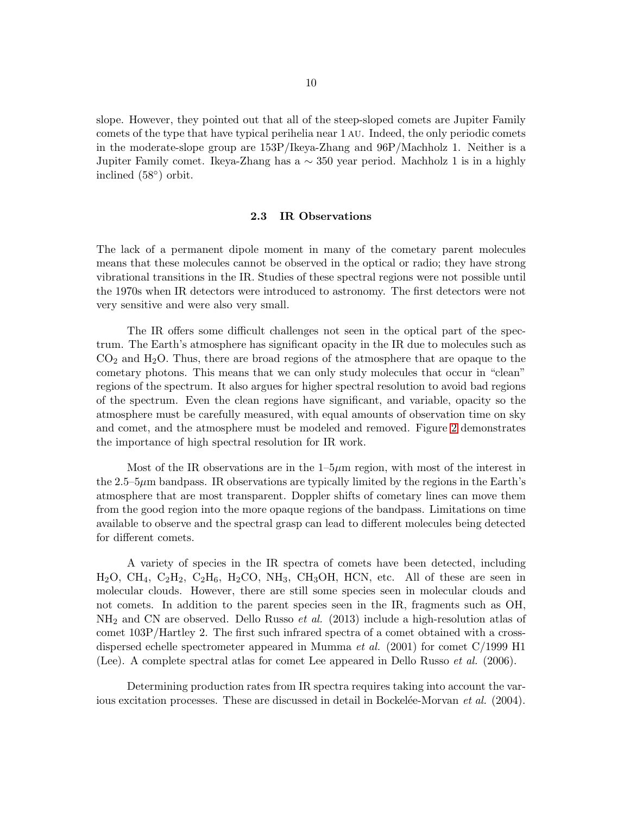slope. However, they pointed out that all of the steep-sloped comets are Jupiter Family comets of the type that have typical perihelia near 1 au. Indeed, the only periodic comets in the moderate-slope group are 153P/Ikeya-Zhang and 96P/Machholz 1. Neither is a Jupiter Family comet. Ikeya-Zhang has a ∼ 350 year period. Machholz 1 is in a highly inclined (58◦ ) orbit.

#### 2.3 IR Observations

The lack of a permanent dipole moment in many of the cometary parent molecules means that these molecules cannot be observed in the optical or radio; they have strong vibrational transitions in the IR. Studies of these spectral regions were not possible until the 1970s when IR detectors were introduced to astronomy. The first detectors were not very sensitive and were also very small.

The IR offers some difficult challenges not seen in the optical part of the spectrum. The Earth's atmosphere has significant opacity in the IR due to molecules such as  $CO<sub>2</sub>$  and  $H<sub>2</sub>O$ . Thus, there are broad regions of the atmosphere that are opaque to the cometary photons. This means that we can only study molecules that occur in "clean" regions of the spectrum. It also argues for higher spectral resolution to avoid bad regions of the spectrum. Even the clean regions have significant, and variable, opacity so the atmosphere must be carefully measured, with equal amounts of observation time on sky and comet, and the atmosphere must be modeled and removed. Figure [2](#page-54-0) demonstrates the importance of high spectral resolution for IR work.

Most of the IR observations are in the  $1-5\mu m$  region, with most of the interest in the 2.5–5 $\mu$ m bandpass. IR observations are typically limited by the regions in the Earth's atmosphere that are most transparent. Doppler shifts of cometary lines can move them from the good region into the more opaque regions of the bandpass. Limitations on time available to observe and the spectral grasp can lead to different molecules being detected for different comets.

A variety of species in the IR spectra of comets have been detected, including  $H_2O$ , CH<sub>4</sub>, C<sub>2</sub>H<sub>2</sub>, C<sub>2</sub>H<sub>6</sub>, H<sub>2</sub>CO, NH<sub>3</sub>, CH<sub>3</sub>OH, HCN, etc. All of these are seen in molecular clouds. However, there are still some species seen in molecular clouds and not comets. In addition to the parent species seen in the IR, fragments such as OH, NH2 and CN are observed. Dello Russo *et al.* (2013) include a high-resolution atlas of comet 103P/Hartley 2. The first such infrared spectra of a comet obtained with a crossdispersed echelle spectrometer appeared in Mumma *et al.* (2001) for comet C/1999 H1 (Lee). A complete spectral atlas for comet Lee appeared in Dello Russo *et al.* (2006).

Determining production rates from IR spectra requires taking into account the various excitation processes. These are discussed in detail in Bockelée-Morvan *et al.* (2004).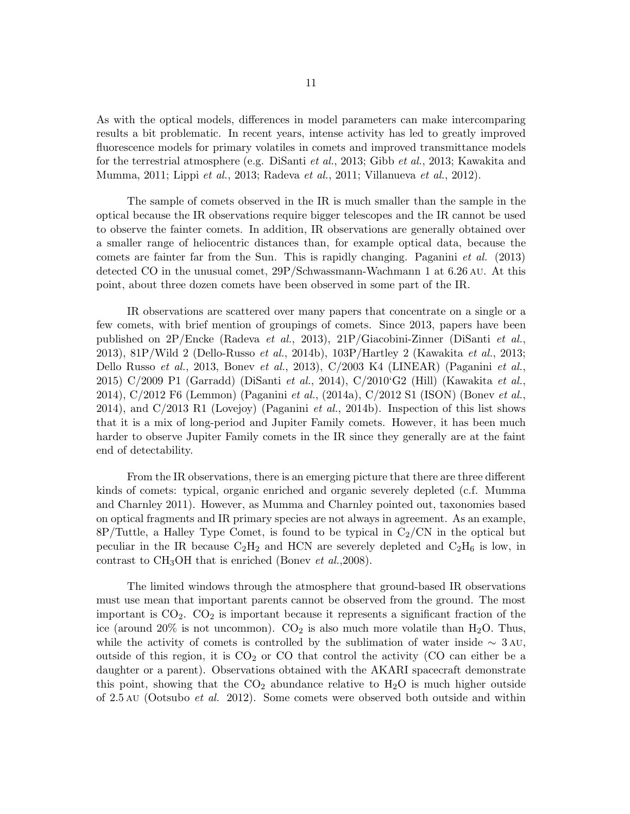As with the optical models, differences in model parameters can make intercomparing results a bit problematic. In recent years, intense activity has led to greatly improved fluorescence models for primary volatiles in comets and improved transmittance models for the terrestrial atmosphere (e.g. DiSanti *et al.*, 2013; Gibb *et al.*, 2013; Kawakita and Mumma, 2011; Lippi *et al.*, 2013; Radeva *et al.*, 2011; Villanueva *et al.*, 2012).

The sample of comets observed in the IR is much smaller than the sample in the optical because the IR observations require bigger telescopes and the IR cannot be used to observe the fainter comets. In addition, IR observations are generally obtained over a smaller range of heliocentric distances than, for example optical data, because the comets are fainter far from the Sun. This is rapidly changing. Paganini *et al.* (2013) detected CO in the unusual comet, 29P/Schwassmann-Wachmann 1 at 6.26 au. At this point, about three dozen comets have been observed in some part of the IR.

IR observations are scattered over many papers that concentrate on a single or a few comets, with brief mention of groupings of comets. Since 2013, papers have been published on 2P/Encke (Radeva *et al.*, 2013), 21P/Giacobini-Zinner (DiSanti *et al.*, 2013), 81P/Wild 2 (Dello-Russo *et al.*, 2014b), 103P/Hartley 2 (Kawakita *et al.*, 2013; Dello Russo *et al.*, 2013, Bonev *et al.*, 2013), C/2003 K4 (LINEAR) (Paganini *et al.*, 2015) C/2009 P1 (Garradd) (DiSanti *et al.*, 2014), C/2010'G2 (Hill) (Kawakita *et al.*, 2014), C/2012 F6 (Lemmon) (Paganini *et al.*, (2014a), C/2012 S1 (ISON) (Bonev *et al.*, 2014), and C/2013 R1 (Lovejoy) (Paganini *et al.*, 2014b). Inspection of this list shows that it is a mix of long-period and Jupiter Family comets. However, it has been much harder to observe Jupiter Family comets in the IR since they generally are at the faint end of detectability.

From the IR observations, there is an emerging picture that there are three different kinds of comets: typical, organic enriched and organic severely depleted (c.f. Mumma and Charnley 2011). However, as Mumma and Charnley pointed out, taxonomies based on optical fragments and IR primary species are not always in agreement. As an example,  $8P/Tuttle$ , a Halley Type Comet, is found to be typical in  $C_2/CN$  in the optical but peculiar in the IR because  $C_2H_2$  and HCN are severely depleted and  $C_2H_6$  is low, in contrast to CH3OH that is enriched (Bonev *et al.*,2008).

The limited windows through the atmosphere that ground-based IR observations must use mean that important parents cannot be observed from the ground. The most important is  $CO<sub>2</sub>$ .  $CO<sub>2</sub>$  is important because it represents a significant fraction of the ice (around 20% is not uncommon).  $CO_2$  is also much more volatile than  $H_2O$ . Thus, while the activity of comets is controlled by the sublimation of water inside  $\sim 3 \text{ AU}$ , outside of this region, it is  $CO<sub>2</sub>$  or CO that control the activity (CO can either be a daughter or a parent). Observations obtained with the AKARI spacecraft demonstrate this point, showing that the  $CO<sub>2</sub>$  abundance relative to  $H<sub>2</sub>O$  is much higher outside of 2.5 au (Ootsubo *et al.* 2012). Some comets were observed both outside and within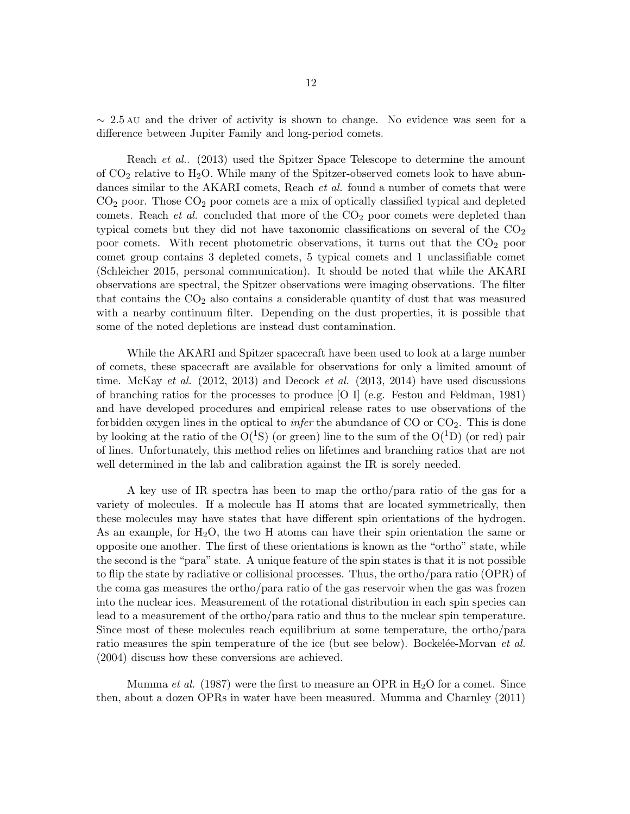$\sim$  2.5 au and the driver of activity is shown to change. No evidence was seen for a difference between Jupiter Family and long-period comets.

Reach *et al.*. (2013) used the Spitzer Space Telescope to determine the amount of  $CO<sub>2</sub>$  relative to H<sub>2</sub>O. While many of the Spitzer-observed comets look to have abundances similar to the AKARI comets, Reach *et al.* found a number of comets that were  $CO<sub>2</sub>$  poor. Those  $CO<sub>2</sub>$  poor comets are a mix of optically classified typical and depleted comets. Reach *et al.* concluded that more of the  $CO<sub>2</sub>$  poor comets were depleted than typical comets but they did not have taxonomic classifications on several of the  $CO<sub>2</sub>$ poor comets. With recent photometric observations, it turns out that the  $CO<sub>2</sub>$  poor comet group contains 3 depleted comets, 5 typical comets and 1 unclassifiable comet (Schleicher 2015, personal communication). It should be noted that while the AKARI observations are spectral, the Spitzer observations were imaging observations. The filter that contains the  $CO<sub>2</sub>$  also contains a considerable quantity of dust that was measured with a nearby continuum filter. Depending on the dust properties, it is possible that some of the noted depletions are instead dust contamination.

While the AKARI and Spitzer spacecraft have been used to look at a large number of comets, these spacecraft are available for observations for only a limited amount of time. McKay *et al.* (2012, 2013) and Decock *et al.* (2013, 2014) have used discussions of branching ratios for the processes to produce [O I] (e.g. Festou and Feldman, 1981) and have developed procedures and empirical release rates to use observations of the forbidden oxygen lines in the optical to *infer* the abundance of CO or CO<sub>2</sub>. This is done by looking at the ratio of the  $O(^{1}S)$  (or green) line to the sum of the  $O(^{1}D)$  (or red) pair of lines. Unfortunately, this method relies on lifetimes and branching ratios that are not well determined in the lab and calibration against the IR is sorely needed.

A key use of IR spectra has been to map the ortho/para ratio of the gas for a variety of molecules. If a molecule has H atoms that are located symmetrically, then these molecules may have states that have different spin orientations of the hydrogen. As an example, for  $H_2O$ , the two H atoms can have their spin orientation the same or opposite one another. The first of these orientations is known as the "ortho" state, while the second is the "para" state. A unique feature of the spin states is that it is not possible to flip the state by radiative or collisional processes. Thus, the ortho/para ratio (OPR) of the coma gas measures the ortho/para ratio of the gas reservoir when the gas was frozen into the nuclear ices. Measurement of the rotational distribution in each spin species can lead to a measurement of the ortho/para ratio and thus to the nuclear spin temperature. Since most of these molecules reach equilibrium at some temperature, the ortho/para ratio measures the spin temperature of the ice (but see below). Bockelee-Morvan *et al.* (2004) discuss how these conversions are achieved.

Mumma *et al.* (1987) were the first to measure an OPR in  $H_2O$  for a comet. Since then, about a dozen OPRs in water have been measured. Mumma and Charnley (2011)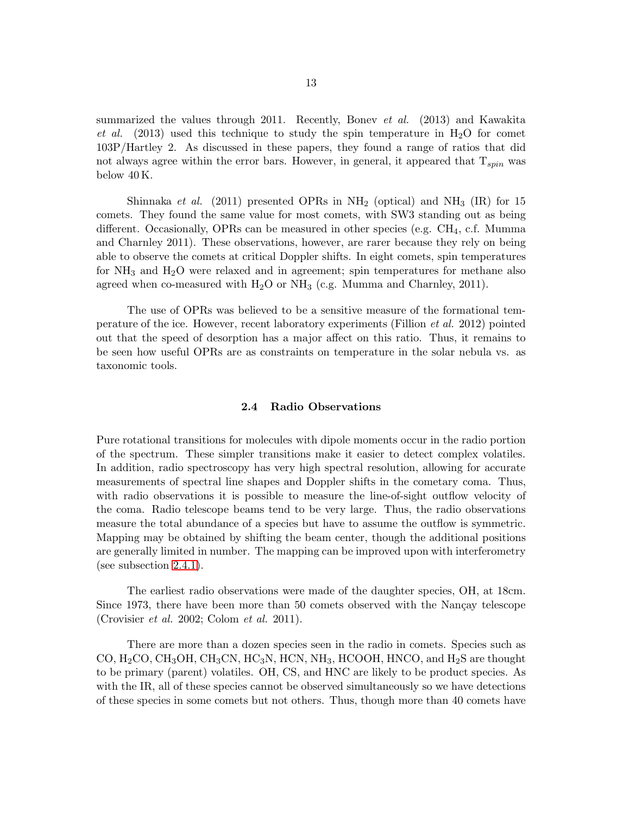summarized the values through 2011. Recently, Bonev *et al.* (2013) and Kawakita *et al.* (2013) used this technique to study the spin temperature in  $H_2O$  for comet 103P/Hartley 2. As discussed in these papers, they found a range of ratios that did not always agree within the error bars. However, in general, it appeared that  $T_{spin}$  was below 40 K.

Shinnaka *et al.* (2011) presented OPRs in  $NH_2$  (optical) and  $NH_3$  (IR) for 15 comets. They found the same value for most comets, with SW3 standing out as being different. Occasionally, OPRs can be measured in other species (e.g. CH4, c.f. Mumma and Charnley 2011). These observations, however, are rarer because they rely on being able to observe the comets at critical Doppler shifts. In eight comets, spin temperatures for  $NH<sub>3</sub>$  and  $H<sub>2</sub>O$  were relaxed and in agreement; spin temperatures for methane also agreed when co-measured with  $H_2O$  or  $NH_3$  (c.g. Mumma and Charnley, 2011).

The use of OPRs was believed to be a sensitive measure of the formational temperature of the ice. However, recent laboratory experiments (Fillion *et al.* 2012) pointed out that the speed of desorption has a major affect on this ratio. Thus, it remains to be seen how useful OPRs are as constraints on temperature in the solar nebula vs. as taxonomic tools.

#### 2.4 Radio Observations

Pure rotational transitions for molecules with dipole moments occur in the radio portion of the spectrum. These simpler transitions make it easier to detect complex volatiles. In addition, radio spectroscopy has very high spectral resolution, allowing for accurate measurements of spectral line shapes and Doppler shifts in the cometary coma. Thus, with radio observations it is possible to measure the line-of-sight outflow velocity of the coma. Radio telescope beams tend to be very large. Thus, the radio observations measure the total abundance of a species but have to assume the outflow is symmetric. Mapping may be obtained by shifting the beam center, though the additional positions are generally limited in number. The mapping can be improved upon with interferometry (see subsection [2.4.1\)](#page-14-0).

The earliest radio observations were made of the daughter species, OH, at 18cm. Since 1973, there have been more than 50 comets observed with the Nançay telescope (Crovisier *et al.* 2002; Colom *et al.* 2011).

There are more than a dozen species seen in the radio in comets. Species such as CO,  $H_2CO$ , CH<sub>3</sub>OH, CH<sub>3</sub>CN, HC<sub>3</sub>N, HCN, NH<sub>3</sub>, HCOOH, HNCO, and H<sub>2</sub>S are thought to be primary (parent) volatiles. OH, CS, and HNC are likely to be product species. As with the IR, all of these species cannot be observed simultaneously so we have detections of these species in some comets but not others. Thus, though more than 40 comets have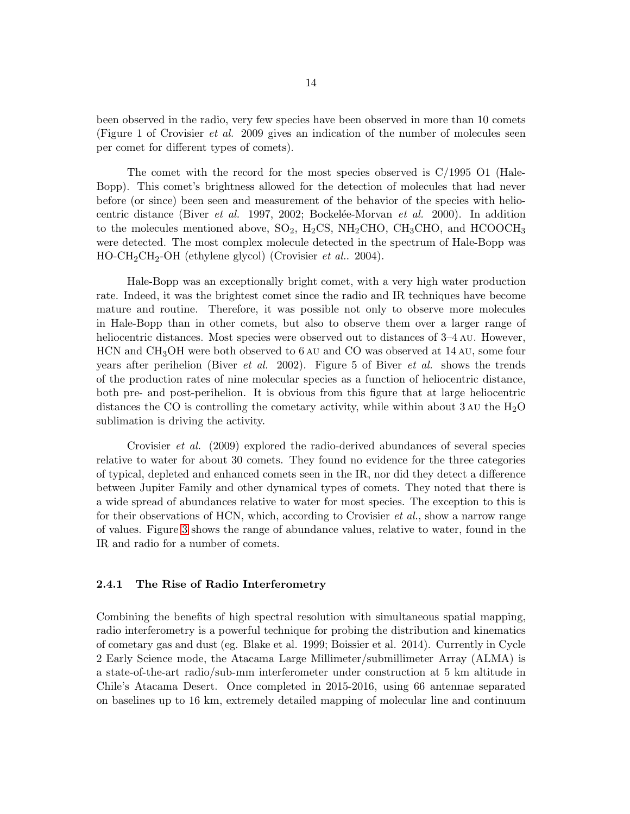been observed in the radio, very few species have been observed in more than 10 comets (Figure 1 of Crovisier *et al.* 2009 gives an indication of the number of molecules seen per comet for different types of comets).

The comet with the record for the most species observed is C/1995 O1 (Hale-Bopp). This comet's brightness allowed for the detection of molecules that had never before (or since) been seen and measurement of the behavior of the species with heliocentric distance (Biver *et al.* 1997, 2002; Bockelée-Morvan *et al.* 2000). In addition to the molecules mentioned above,  $SO_2$ ,  $H_2CS$ ,  $NH_2CHO$ ,  $CH_3CHO$ , and  $HCOOCH_3$ were detected. The most complex molecule detected in the spectrum of Hale-Bopp was HO-CH2CH2-OH (ethylene glycol) (Crovisier *et al.*. 2004).

Hale-Bopp was an exceptionally bright comet, with a very high water production rate. Indeed, it was the brightest comet since the radio and IR techniques have become mature and routine. Therefore, it was possible not only to observe more molecules in Hale-Bopp than in other comets, but also to observe them over a larger range of heliocentric distances. Most species were observed out to distances of  $3-4$  AU. However, HCN and  $CH_3OH$  were both observed to 6 AU and CO was observed at 14 AU, some four years after perihelion (Biver *et al.* 2002). Figure 5 of Biver *et al.* shows the trends of the production rates of nine molecular species as a function of heliocentric distance, both pre- and post-perihelion. It is obvious from this figure that at large heliocentric distances the CO is controlling the cometary activity, while within about  $3 \text{ AU}$  the  $H_2O$ sublimation is driving the activity.

Crovisier *et al.* (2009) explored the radio-derived abundances of several species relative to water for about 30 comets. They found no evidence for the three categories of typical, depleted and enhanced comets seen in the IR, nor did they detect a difference between Jupiter Family and other dynamical types of comets. They noted that there is a wide spread of abundances relative to water for most species. The exception to this is for their observations of HCN, which, according to Crovisier *et al.*, show a narrow range of values. Figure [3](#page-55-0) shows the range of abundance values, relative to water, found in the IR and radio for a number of comets.

#### <span id="page-14-0"></span>2.4.1 The Rise of Radio Interferometry

Combining the benefits of high spectral resolution with simultaneous spatial mapping, radio interferometry is a powerful technique for probing the distribution and kinematics of cometary gas and dust (eg. Blake et al. 1999; Boissier et al. 2014). Currently in Cycle 2 Early Science mode, the Atacama Large Millimeter/submillimeter Array (ALMA) is a state-of-the-art radio/sub-mm interferometer under construction at 5 km altitude in Chile's Atacama Desert. Once completed in 2015-2016, using 66 antennae separated on baselines up to 16 km, extremely detailed mapping of molecular line and continuum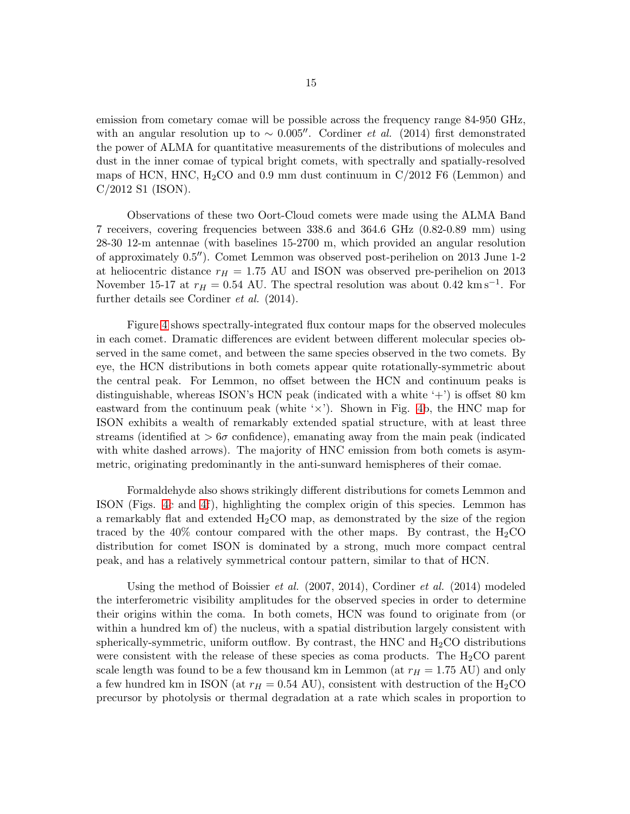emission from cometary comae will be possible across the frequency range 84-950 GHz, with an angular resolution up to  $\sim 0.005''$ . Cordiner *et al.* (2014) first demonstrated the power of ALMA for quantitative measurements of the distributions of molecules and dust in the inner comae of typical bright comets, with spectrally and spatially-resolved maps of HCN, HNC,  $H<sub>2</sub>CO$  and 0.9 mm dust continuum in  $C/2012$  F6 (Lemmon) and C/2012 S1 (ISON).

Observations of these two Oort-Cloud comets were made using the ALMA Band 7 receivers, covering frequencies between 338.6 and 364.6 GHz (0.82-0.89 mm) using 28-30 12-m antennae (with baselines 15-2700 m, which provided an angular resolution of approximately 0.5"). Comet Lemmon was observed post-perihelion on 2013 June 1-2 at heliocentric distance  $r_H = 1.75$  AU and ISON was observed pre-perihelion on 2013 November 15-17 at  $r_H = 0.54$  AU. The spectral resolution was about 0.42 km s<sup>-1</sup>. For further details see Cordiner *et al.* (2014).

Figure [4](#page-56-0) shows spectrally-integrated flux contour maps for the observed molecules in each comet. Dramatic differences are evident between different molecular species observed in the same comet, and between the same species observed in the two comets. By eye, the HCN distributions in both comets appear quite rotationally-symmetric about the central peak. For Lemmon, no offset between the HCN and continuum peaks is distinguishable, whereas ISON's HCN peak (indicated with a white '+') is offset 80 km eastward from the continuum peak (white  $\langle x \rangle$ ). Shown in Fig. [4b](#page-56-0), the HNC map for ISON exhibits a wealth of remarkably extended spatial structure, with at least three streams (identified at  $> 6\sigma$  confidence), emanating away from the main peak (indicated with white dashed arrows). The majority of HNC emission from both comets is asymmetric, originating predominantly in the anti-sunward hemispheres of their comae.

Formaldehyde also shows strikingly different distributions for comets Lemmon and ISON (Figs. [4c](#page-56-0) and [4f](#page-56-0)), highlighting the complex origin of this species. Lemmon has a remarkably flat and extended  $H_2CO$  map, as demonstrated by the size of the region traced by the  $40\%$  contour compared with the other maps. By contrast, the  $H_2CO$ distribution for comet ISON is dominated by a strong, much more compact central peak, and has a relatively symmetrical contour pattern, similar to that of HCN.

Using the method of Boissier *et al.* (2007, 2014), Cordiner *et al.* (2014) modeled the interferometric visibility amplitudes for the observed species in order to determine their origins within the coma. In both comets, HCN was found to originate from (or within a hundred km of) the nucleus, with a spatial distribution largely consistent with spherically-symmetric, uniform outflow. By contrast, the HNC and  $H_2CO$  distributions were consistent with the release of these species as coma products. The  $H_2CO$  parent scale length was found to be a few thousand km in Lemmon (at  $r_H = 1.75$  AU) and only a few hundred km in ISON (at  $r_H = 0.54$  AU), consistent with destruction of the H<sub>2</sub>CO precursor by photolysis or thermal degradation at a rate which scales in proportion to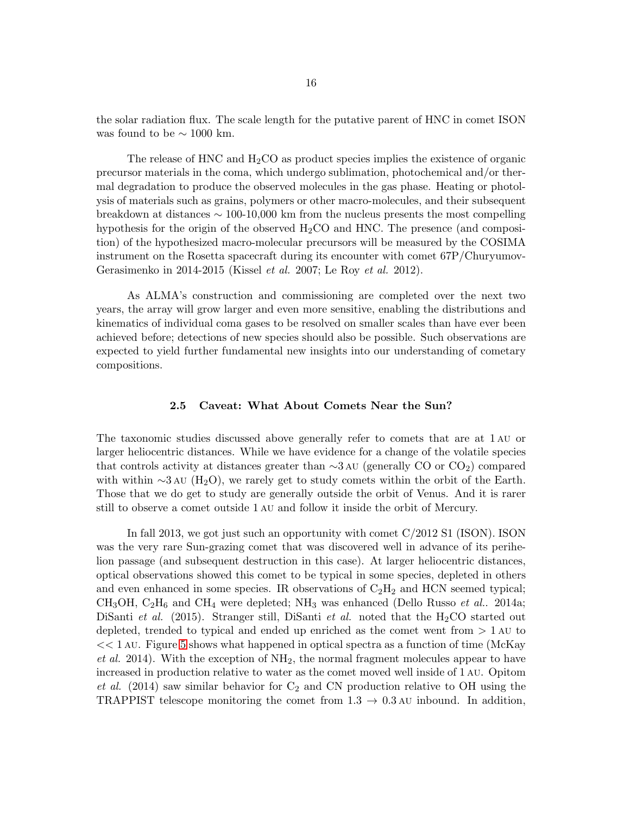the solar radiation flux. The scale length for the putative parent of HNC in comet ISON was found to be  $\sim 1000$  km.

The release of HNC and  $H_2CO$  as product species implies the existence of organic precursor materials in the coma, which undergo sublimation, photochemical and/or thermal degradation to produce the observed molecules in the gas phase. Heating or photolysis of materials such as grains, polymers or other macro-molecules, and their subsequent breakdown at distances ∼ 100-10,000 km from the nucleus presents the most compelling hypothesis for the origin of the observed  $H_2CO$  and HNC. The presence (and composition) of the hypothesized macro-molecular precursors will be measured by the COSIMA instrument on the Rosetta spacecraft during its encounter with comet 67P/Churyumov-Gerasimenko in 2014-2015 (Kissel *et al.* 2007; Le Roy *et al.* 2012).

As ALMA's construction and commissioning are completed over the next two years, the array will grow larger and even more sensitive, enabling the distributions and kinematics of individual coma gases to be resolved on smaller scales than have ever been achieved before; detections of new species should also be possible. Such observations are expected to yield further fundamental new insights into our understanding of cometary compositions.

#### 2.5 Caveat: What About Comets Near the Sun?

The taxonomic studies discussed above generally refer to comets that are at 1 au or larger heliocentric distances. While we have evidence for a change of the volatile species that controls activity at distances greater than  $\sim$ 3 AU (generally CO or CO<sub>2</sub>) compared with within ∼3 au (H<sub>2</sub>O), we rarely get to study comets within the orbit of the Earth. Those that we do get to study are generally outside the orbit of Venus. And it is rarer still to observe a comet outside 1 au and follow it inside the orbit of Mercury.

In fall 2013, we got just such an opportunity with comet C/2012 S1 (ISON). ISON was the very rare Sun-grazing comet that was discovered well in advance of its perihelion passage (and subsequent destruction in this case). At larger heliocentric distances, optical observations showed this comet to be typical in some species, depleted in others and even enhanced in some species. IR observations of  $C_2H_2$  and HCN seemed typical;  $CH_3OH$ ,  $C_2H_6$  and  $CH_4$  were depleted;  $NH_3$  was enhanced (Dello Russo *et al.*. 2014a; DiSanti *et al.* (2015). Stranger still, DiSanti *et al.* noted that the H<sub>2</sub>CO started out depleted, trended to typical and ended up enriched as the comet went from  $> 1$  AU to << 1 au. Figure [5](#page-57-0) shows what happened in optical spectra as a function of time (McKay *et al.* 2014). With the exception of  $NH<sub>2</sub>$ , the normal fragment molecules appear to have increased in production relative to water as the comet moved well inside of 1 au. Opitom *et al.* (2014) saw similar behavior for  $C_2$  and CN production relative to OH using the TRAPPIST telescope monitoring the comet from  $1.3 \rightarrow 0.3$  AU inbound. In addition,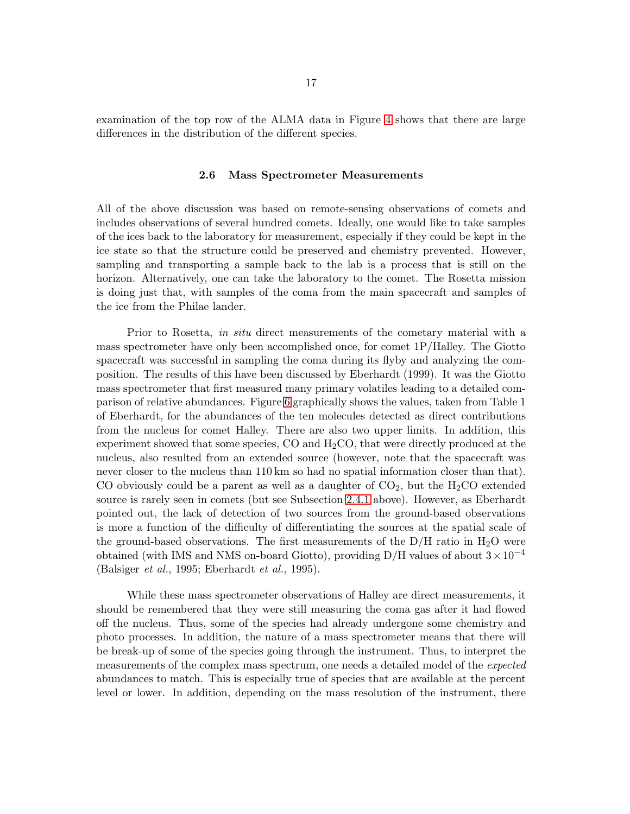examination of the top row of the ALMA data in Figure [4](#page-56-0) shows that there are large differences in the distribution of the different species.

#### 2.6 Mass Spectrometer Measurements

All of the above discussion was based on remote-sensing observations of comets and includes observations of several hundred comets. Ideally, one would like to take samples of the ices back to the laboratory for measurement, especially if they could be kept in the ice state so that the structure could be preserved and chemistry prevented. However, sampling and transporting a sample back to the lab is a process that is still on the horizon. Alternatively, one can take the laboratory to the comet. The Rosetta mission is doing just that, with samples of the coma from the main spacecraft and samples of the ice from the Philae lander.

Prior to Rosetta, *in situ* direct measurements of the cometary material with a mass spectrometer have only been accomplished once, for comet 1P/Halley. The Giotto spacecraft was successful in sampling the coma during its flyby and analyzing the composition. The results of this have been discussed by Eberhardt (1999). It was the Giotto mass spectrometer that first measured many primary volatiles leading to a detailed comparison of relative abundances. Figure [6](#page-58-0) graphically shows the values, taken from Table 1 of Eberhardt, for the abundances of the ten molecules detected as direct contributions from the nucleus for comet Halley. There are also two upper limits. In addition, this experiment showed that some species,  $CO$  and  $H_2CO$ , that were directly produced at the nucleus, also resulted from an extended source (however, note that the spacecraft was never closer to the nucleus than 110 km so had no spatial information closer than that). CO obviously could be a parent as well as a daughter of  $CO<sub>2</sub>$ , but the H<sub>2</sub>CO extended source is rarely seen in comets (but see Subsection [2.4.1](#page-14-0) above). However, as Eberhardt pointed out, the lack of detection of two sources from the ground-based observations is more a function of the difficulty of differentiating the sources at the spatial scale of the ground-based observations. The first measurements of the  $D/H$  ratio in  $H_2O$  were obtained (with IMS and NMS on-board Giotto), providing D/H values of about  $3 \times 10^{-4}$ (Balsiger *et al.*, 1995; Eberhardt *et al.*, 1995).

While these mass spectrometer observations of Halley are direct measurements, it should be remembered that they were still measuring the coma gas after it had flowed off the nucleus. Thus, some of the species had already undergone some chemistry and photo processes. In addition, the nature of a mass spectrometer means that there will be break-up of some of the species going through the instrument. Thus, to interpret the measurements of the complex mass spectrum, one needs a detailed model of the *expected* abundances to match. This is especially true of species that are available at the percent level or lower. In addition, depending on the mass resolution of the instrument, there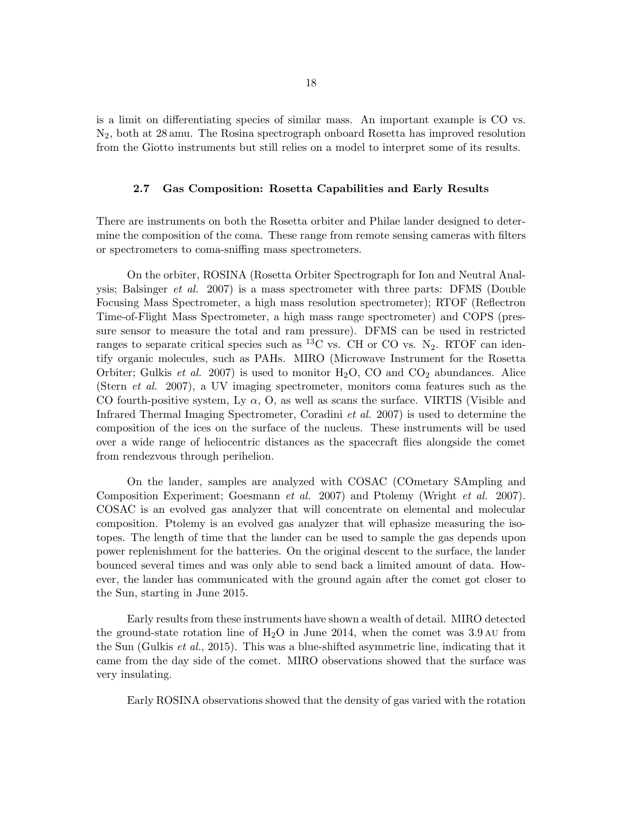is a limit on differentiating species of similar mass. An important example is CO vs. N2, both at 28 amu. The Rosina spectrograph onboard Rosetta has improved resolution from the Giotto instruments but still relies on a model to interpret some of its results.

# 2.7 Gas Composition: Rosetta Capabilities and Early Results

There are instruments on both the Rosetta orbiter and Philae lander designed to determine the composition of the coma. These range from remote sensing cameras with filters or spectrometers to coma-sniffing mass spectrometers.

On the orbiter, ROSINA (Rosetta Orbiter Spectrograph for Ion and Neutral Analysis; Balsinger *et al.* 2007) is a mass spectrometer with three parts: DFMS (Double Focusing Mass Spectrometer, a high mass resolution spectrometer); RTOF (Reflectron Time-of-Flight Mass Spectrometer, a high mass range spectrometer) and COPS (pressure sensor to measure the total and ram pressure). DFMS can be used in restricted ranges to separate critical species such as  ${}^{13}C$  vs. CH or CO vs. N<sub>2</sub>. RTOF can identify organic molecules, such as PAHs. MIRO (Microwave Instrument for the Rosetta Orbiter; Gulkis *et al.* 2007) is used to monitor  $H_2O$ , CO and  $CO_2$  abundances. Alice (Stern *et al.* 2007), a UV imaging spectrometer, monitors coma features such as the CO fourth-positive system, Ly  $\alpha$ , O, as well as scans the surface. VIRTIS (Visible and Infrared Thermal Imaging Spectrometer, Coradini *et al.* 2007) is used to determine the composition of the ices on the surface of the nucleus. These instruments will be used over a wide range of heliocentric distances as the spacecraft flies alongside the comet from rendezvous through perihelion.

On the lander, samples are analyzed with COSAC (COmetary SAmpling and Composition Experiment; Goesmann *et al.* 2007) and Ptolemy (Wright *et al.* 2007). COSAC is an evolved gas analyzer that will concentrate on elemental and molecular composition. Ptolemy is an evolved gas analyzer that will ephasize measuring the isotopes. The length of time that the lander can be used to sample the gas depends upon power replenishment for the batteries. On the original descent to the surface, the lander bounced several times and was only able to send back a limited amount of data. However, the lander has communicated with the ground again after the comet got closer to the Sun, starting in June 2015.

Early results from these instruments have shown a wealth of detail. MIRO detected the ground-state rotation line of  $H_2O$  in June 2014, when the comet was 3.9 AU from the Sun (Gulkis *et al.*, 2015). This was a blue-shifted asymmetric line, indicating that it came from the day side of the comet. MIRO observations showed that the surface was very insulating.

Early ROSINA observations showed that the density of gas varied with the rotation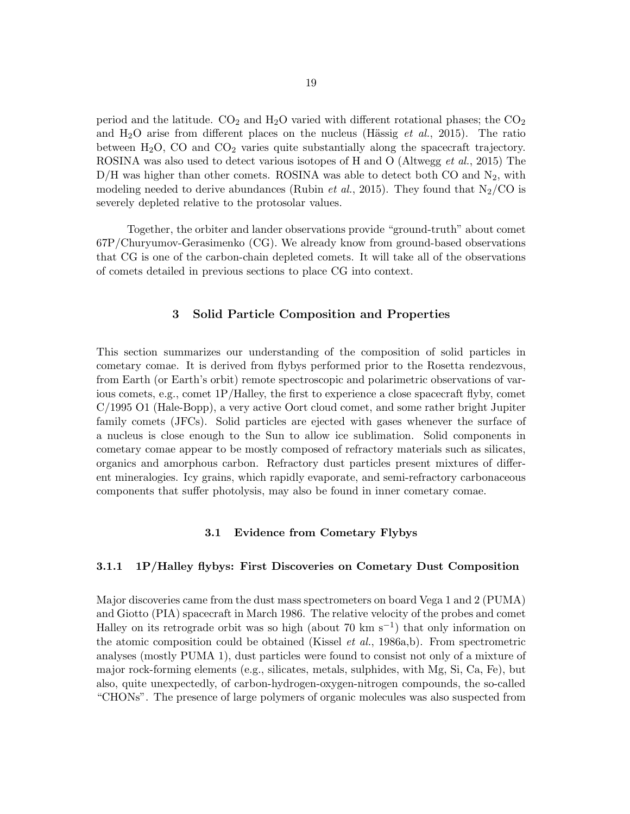period and the latitude.  $CO<sub>2</sub>$  and  $H<sub>2</sub>O$  varied with different rotational phases; the  $CO<sub>2</sub>$ and  $H_2O$  arise from different places on the nucleus (Hässig *et al.*, 2015). The ratio between  $H_2O$ , CO and  $CO_2$  varies quite substantially along the spacecraft trajectory. ROSINA was also used to detect various isotopes of H and O (Altwegg *et al.*, 2015) The  $D/H$  was higher than other comets. ROSINA was able to detect both CO and  $N_2$ , with modeling needed to derive abundances (Rubin *et al.*, 2015). They found that  $N_2/CO$  is severely depleted relative to the protosolar values.

Together, the orbiter and lander observations provide "ground-truth" about comet 67P/Churyumov-Gerasimenko (CG). We already know from ground-based observations that CG is one of the carbon-chain depleted comets. It will take all of the observations of comets detailed in previous sections to place CG into context.

#### 3 Solid Particle Composition and Properties

This section summarizes our understanding of the composition of solid particles in cometary comae. It is derived from flybys performed prior to the Rosetta rendezvous, from Earth (or Earth's orbit) remote spectroscopic and polarimetric observations of various comets, e.g., comet 1P/Halley, the first to experience a close spacecraft flyby, comet C/1995 O1 (Hale-Bopp), a very active Oort cloud comet, and some rather bright Jupiter family comets (JFCs). Solid particles are ejected with gases whenever the surface of a nucleus is close enough to the Sun to allow ice sublimation. Solid components in cometary comae appear to be mostly composed of refractory materials such as silicates, organics and amorphous carbon. Refractory dust particles present mixtures of different mineralogies. Icy grains, which rapidly evaporate, and semi-refractory carbonaceous components that suffer photolysis, may also be found in inner cometary comae.

#### 3.1 Evidence from Cometary Flybys

#### 3.1.1 1P/Halley flybys: First Discoveries on Cometary Dust Composition

Major discoveries came from the dust mass spectrometers on board Vega 1 and 2 (PUMA) and Giotto (PIA) spacecraft in March 1986. The relative velocity of the probes and comet Halley on its retrograde orbit was so high (about 70 km s−<sup>1</sup> ) that only information on the atomic composition could be obtained (Kissel *et al.*, 1986a,b). From spectrometric analyses (mostly PUMA 1), dust particles were found to consist not only of a mixture of major rock-forming elements (e.g., silicates, metals, sulphides, with Mg, Si, Ca, Fe), but also, quite unexpectedly, of carbon-hydrogen-oxygen-nitrogen compounds, the so-called "CHONs". The presence of large polymers of organic molecules was also suspected from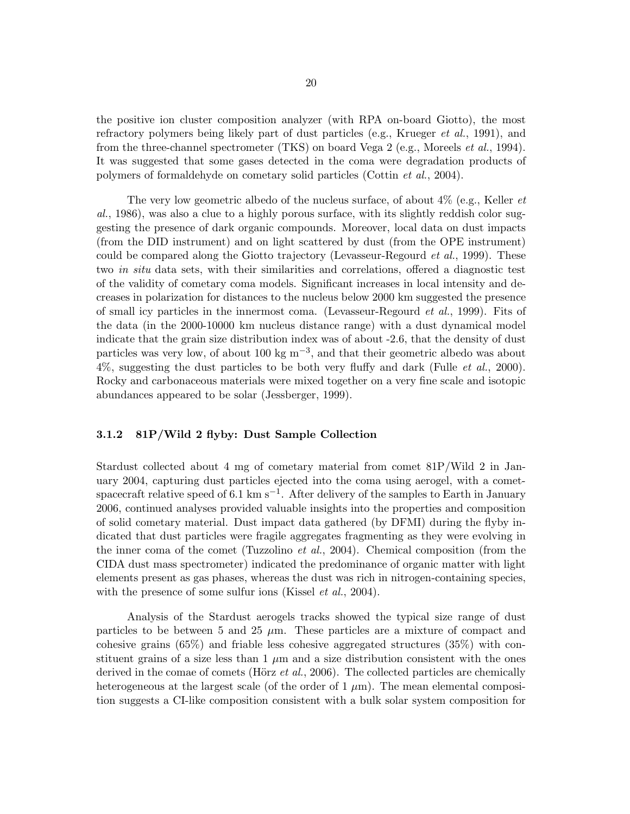the positive ion cluster composition analyzer (with RPA on-board Giotto), the most refractory polymers being likely part of dust particles (e.g., Krueger *et al.*, 1991), and from the three-channel spectrometer (TKS) on board Vega 2 (e.g., Moreels *et al.*, 1994). It was suggested that some gases detected in the coma were degradation products of polymers of formaldehyde on cometary solid particles (Cottin *et al.*, 2004).

The very low geometric albedo of the nucleus surface, of about 4% (e.g., Keller *et al.*, 1986), was also a clue to a highly porous surface, with its slightly reddish color suggesting the presence of dark organic compounds. Moreover, local data on dust impacts (from the DID instrument) and on light scattered by dust (from the OPE instrument) could be compared along the Giotto trajectory (Levasseur-Regourd *et al.*, 1999). These two *in situ* data sets, with their similarities and correlations, offered a diagnostic test of the validity of cometary coma models. Significant increases in local intensity and decreases in polarization for distances to the nucleus below 2000 km suggested the presence of small icy particles in the innermost coma. (Levasseur-Regourd *et al.*, 1999). Fits of the data (in the 2000-10000 km nucleus distance range) with a dust dynamical model indicate that the grain size distribution index was of about -2.6, that the density of dust particles was very low, of about 100 kg m−<sup>3</sup> , and that their geometric albedo was about 4%, suggesting the dust particles to be both very fluffy and dark (Fulle *et al.*, 2000). Rocky and carbonaceous materials were mixed together on a very fine scale and isotopic abundances appeared to be solar (Jessberger, 1999).

## 3.1.2 81P/Wild 2 flyby: Dust Sample Collection

Stardust collected about 4 mg of cometary material from comet 81P/Wild 2 in January 2004, capturing dust particles ejected into the coma using aerogel, with a cometspacecraft relative speed of 6.1 km s<sup>-1</sup>. After delivery of the samples to Earth in January 2006, continued analyses provided valuable insights into the properties and composition of solid cometary material. Dust impact data gathered (by DFMI) during the flyby indicated that dust particles were fragile aggregates fragmenting as they were evolving in the inner coma of the comet (Tuzzolino *et al.*, 2004). Chemical composition (from the CIDA dust mass spectrometer) indicated the predominance of organic matter with light elements present as gas phases, whereas the dust was rich in nitrogen-containing species, with the presence of some sulfur ions (Kissel *et al.*, 2004).

Analysis of the Stardust aerogels tracks showed the typical size range of dust particles to be between 5 and 25  $\mu$ m. These particles are a mixture of compact and cohesive grains (65%) and friable less cohesive aggregated structures (35%) with constituent grains of a size less than  $1 \mu m$  and a size distribution consistent with the ones derived in the comae of comets (Hörz *et al.*, 2006). The collected particles are chemically heterogeneous at the largest scale (of the order of  $1 \mu m$ ). The mean elemental composition suggests a CI-like composition consistent with a bulk solar system composition for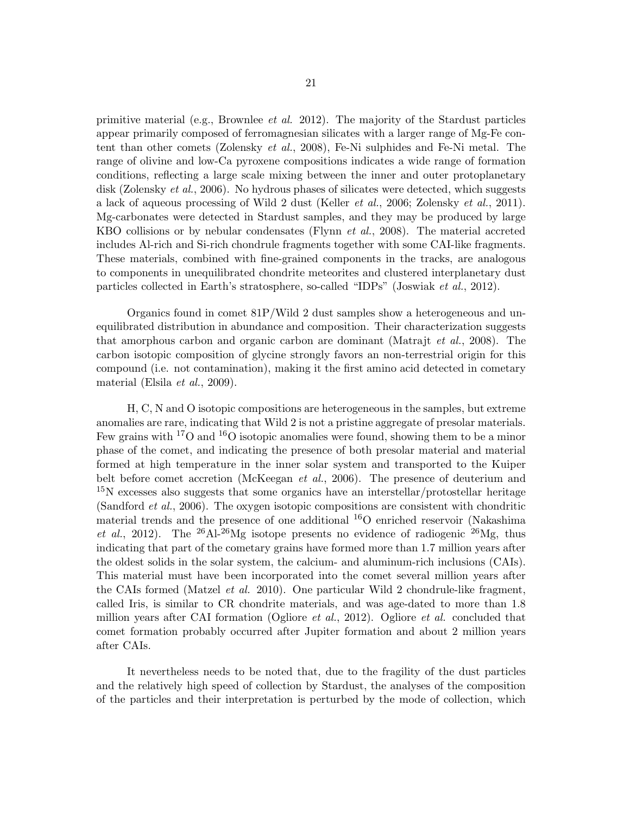primitive material (e.g., Brownlee *et al.* 2012). The majority of the Stardust particles appear primarily composed of ferromagnesian silicates with a larger range of Mg-Fe content than other comets (Zolensky *et al.*, 2008), Fe-Ni sulphides and Fe-Ni metal. The range of olivine and low-Ca pyroxene compositions indicates a wide range of formation conditions, reflecting a large scale mixing between the inner and outer protoplanetary disk (Zolensky *et al.*, 2006). No hydrous phases of silicates were detected, which suggests a lack of aqueous processing of Wild 2 dust (Keller *et al.*, 2006; Zolensky *et al.*, 2011). Mg-carbonates were detected in Stardust samples, and they may be produced by large KBO collisions or by nebular condensates (Flynn *et al.*, 2008). The material accreted includes Al-rich and Si-rich chondrule fragments together with some CAI-like fragments. These materials, combined with fine-grained components in the tracks, are analogous to components in unequilibrated chondrite meteorites and clustered interplanetary dust particles collected in Earth's stratosphere, so-called "IDPs" (Joswiak *et al.*, 2012).

Organics found in comet 81P/Wild 2 dust samples show a heterogeneous and unequilibrated distribution in abundance and composition. Their characterization suggests that amorphous carbon and organic carbon are dominant (Matrajt *et al.*, 2008). The carbon isotopic composition of glycine strongly favors an non-terrestrial origin for this compound (i.e. not contamination), making it the first amino acid detected in cometary material (Elsila *et al.*, 2009).

H, C, N and O isotopic compositions are heterogeneous in the samples, but extreme anomalies are rare, indicating that Wild 2 is not a pristine aggregate of presolar materials. Few grains with <sup>17</sup>O and <sup>16</sup>O isotopic anomalies were found, showing them to be a minor phase of the comet, and indicating the presence of both presolar material and material formed at high temperature in the inner solar system and transported to the Kuiper belt before comet accretion (McKeegan *et al.*, 2006). The presence of deuterium and  $15N$  excesses also suggests that some organics have an interstellar/protostellar heritage (Sandford *et al.*, 2006). The oxygen isotopic compositions are consistent with chondritic material trends and the presence of one additional  $^{16}$ O enriched reservoir (Nakashima *et al.*, 2012). The <sup>26</sup>Al-<sup>26</sup>Mg isotope presents no evidence of radiogenic <sup>26</sup>Mg, thus indicating that part of the cometary grains have formed more than 1.7 million years after the oldest solids in the solar system, the calcium- and aluminum-rich inclusions (CAIs). This material must have been incorporated into the comet several million years after the CAIs formed (Matzel *et al.* 2010). One particular Wild 2 chondrule-like fragment, called Iris, is similar to CR chondrite materials, and was age-dated to more than 1.8 million years after CAI formation (Ogliore *et al.*, 2012). Ogliore *et al.* concluded that comet formation probably occurred after Jupiter formation and about 2 million years after CAIs.

It nevertheless needs to be noted that, due to the fragility of the dust particles and the relatively high speed of collection by Stardust, the analyses of the composition of the particles and their interpretation is perturbed by the mode of collection, which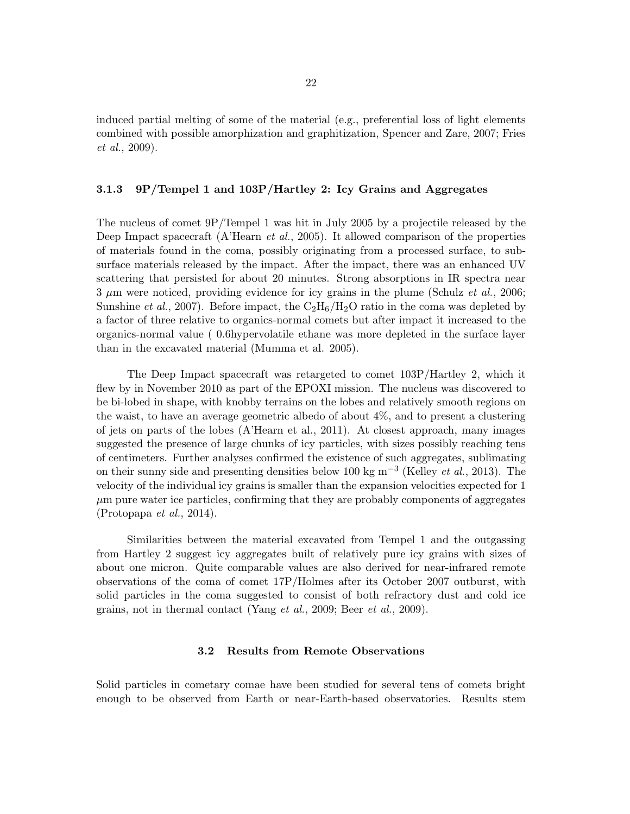induced partial melting of some of the material (e.g., preferential loss of light elements combined with possible amorphization and graphitization, Spencer and Zare, 2007; Fries *et al.*, 2009).

#### 3.1.3 9P/Tempel 1 and 103P/Hartley 2: Icy Grains and Aggregates

The nucleus of comet 9P/Tempel 1 was hit in July 2005 by a projectile released by the Deep Impact spacecraft (A'Hearn *et al.*, 2005). It allowed comparison of the properties of materials found in the coma, possibly originating from a processed surface, to subsurface materials released by the impact. After the impact, there was an enhanced UV scattering that persisted for about 20 minutes. Strong absorptions in IR spectra near  $3 \mu m$  were noticed, providing evidence for icy grains in the plume (Schulz *et al.*, 2006; Sunshine *et al.*, 2007). Before impact, the  $C_2H_6/H_2O$  ratio in the coma was depleted by a factor of three relative to organics-normal comets but after impact it increased to the organics-normal value ( 0.6hypervolatile ethane was more depleted in the surface layer than in the excavated material (Mumma et al. 2005).

The Deep Impact spacecraft was retargeted to comet 103P/Hartley 2, which it flew by in November 2010 as part of the EPOXI mission. The nucleus was discovered to be bi-lobed in shape, with knobby terrains on the lobes and relatively smooth regions on the waist, to have an average geometric albedo of about 4%, and to present a clustering of jets on parts of the lobes (A'Hearn et al., 2011). At closest approach, many images suggested the presence of large chunks of icy particles, with sizes possibly reaching tens of centimeters. Further analyses confirmed the existence of such aggregates, sublimating on their sunny side and presenting densities below 100 kg m−<sup>3</sup> (Kelley *et al.*, 2013). The velocity of the individual icy grains is smaller than the expansion velocities expected for 1  $\mu$ m pure water ice particles, confirming that they are probably components of aggregates (Protopapa *et al.*, 2014).

Similarities between the material excavated from Tempel 1 and the outgassing from Hartley 2 suggest icy aggregates built of relatively pure icy grains with sizes of about one micron. Quite comparable values are also derived for near-infrared remote observations of the coma of comet 17P/Holmes after its October 2007 outburst, with solid particles in the coma suggested to consist of both refractory dust and cold ice grains, not in thermal contact (Yang *et al.*, 2009; Beer *et al.*, 2009).

#### 3.2 Results from Remote Observations

Solid particles in cometary comae have been studied for several tens of comets bright enough to be observed from Earth or near-Earth-based observatories. Results stem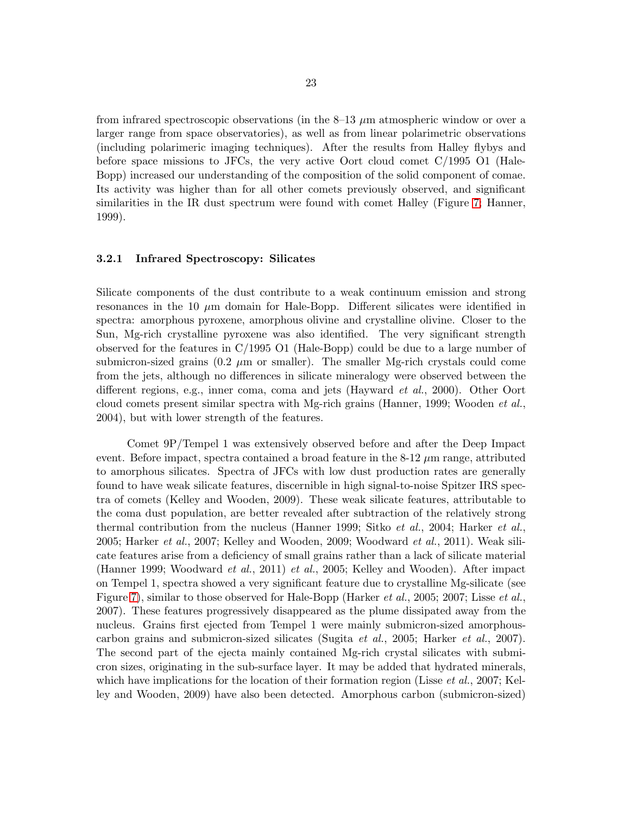from infrared spectroscopic observations (in the  $8-13 \mu$ m atmospheric window or over a larger range from space observatories), as well as from linear polarimetric observations (including polarimeric imaging techniques). After the results from Halley flybys and before space missions to JFCs, the very active Oort cloud comet C/1995 O1 (Hale-Bopp) increased our understanding of the composition of the solid component of comae. Its activity was higher than for all other comets previously observed, and significant similarities in the IR dust spectrum were found with comet Halley (Figure [7;](#page-59-0) Hanner, 1999).

#### 3.2.1 Infrared Spectroscopy: Silicates

Silicate components of the dust contribute to a weak continuum emission and strong resonances in the 10  $\mu$ m domain for Hale-Bopp. Different silicates were identified in spectra: amorphous pyroxene, amorphous olivine and crystalline olivine. Closer to the Sun, Mg-rich crystalline pyroxene was also identified. The very significant strength observed for the features in C/1995 O1 (Hale-Bopp) could be due to a large number of submicron-sized grains  $(0.2 \mu m)$  or smaller). The smaller Mg-rich crystals could come from the jets, although no differences in silicate mineralogy were observed between the different regions, e.g., inner coma, coma and jets (Hayward *et al.*, 2000). Other Oort cloud comets present similar spectra with Mg-rich grains (Hanner, 1999; Wooden *et al.*, 2004), but with lower strength of the features.

Comet 9P/Tempel 1 was extensively observed before and after the Deep Impact event. Before impact, spectra contained a broad feature in the  $8-12 \mu m$  range, attributed to amorphous silicates. Spectra of JFCs with low dust production rates are generally found to have weak silicate features, discernible in high signal-to-noise Spitzer IRS spectra of comets (Kelley and Wooden, 2009). These weak silicate features, attributable to the coma dust population, are better revealed after subtraction of the relatively strong thermal contribution from the nucleus (Hanner 1999; Sitko *et al.*, 2004; Harker *et al.*, 2005; Harker *et al.*, 2007; Kelley and Wooden, 2009; Woodward *et al.*, 2011). Weak silicate features arise from a deficiency of small grains rather than a lack of silicate material (Hanner 1999; Woodward *et al.*, 2011) *et al.*, 2005; Kelley and Wooden). After impact on Tempel 1, spectra showed a very significant feature due to crystalline Mg-silicate (see Figure [7\)](#page-59-0), similar to those observed for Hale-Bopp (Harker *et al.*, 2005; 2007; Lisse *et al.*, 2007). These features progressively disappeared as the plume dissipated away from the nucleus. Grains first ejected from Tempel 1 were mainly submicron-sized amorphouscarbon grains and submicron-sized silicates (Sugita *et al.*, 2005; Harker *et al.*, 2007). The second part of the ejecta mainly contained Mg-rich crystal silicates with submicron sizes, originating in the sub-surface layer. It may be added that hydrated minerals, which have implications for the location of their formation region (Lisse *et al.*, 2007; Kelley and Wooden, 2009) have also been detected. Amorphous carbon (submicron-sized)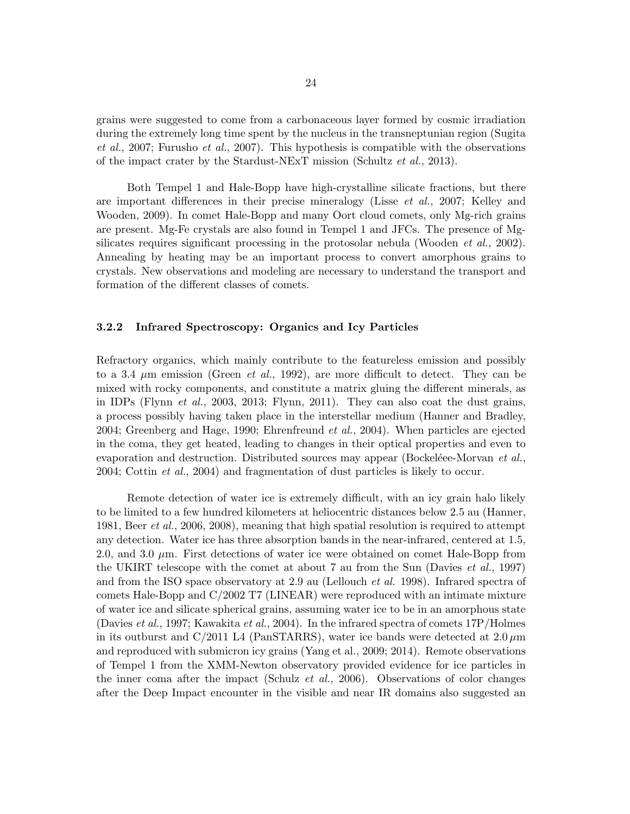grains were suggested to come from a carbonaceous layer formed by cosmic irradiation during the extremely long time spent by the nucleus in the transneptunian region (Sugita *et al.*, 2007; Furusho *et al.*, 2007). This hypothesis is compatible with the observations of the impact crater by the Stardust-NExT mission (Schultz *et al.*, 2013).

Both Tempel 1 and Hale-Bopp have high-crystalline silicate fractions, but there are important differences in their precise mineralogy (Lisse *et al.*, 2007; Kelley and Wooden, 2009). In comet Hale-Bopp and many Oort cloud comets, only Mg-rich grains are present. Mg-Fe crystals are also found in Tempel 1 and JFCs. The presence of Mgsilicates requires significant processing in the protosolar nebula (Wooden *et al.*, 2002). Annealing by heating may be an important process to convert amorphous grains to crystals. New observations and modeling are necessary to understand the transport and formation of the different classes of comets.

### 3.2.2 Infrared Spectroscopy: Organics and Icy Particles

Refractory organics, which mainly contribute to the featureless emission and possibly to a 3.4  $\mu$ m emission (Green *et al.*, 1992), are more difficult to detect. They can be mixed with rocky components, and constitute a matrix gluing the different minerals, as in IDPs (Flynn *et al.*, 2003, 2013; Flynn, 2011). They can also coat the dust grains, a process possibly having taken place in the interstellar medium (Hanner and Bradley, 2004; Greenberg and Hage, 1990; Ehrenfreund *et al.*, 2004). When particles are ejected in the coma, they get heated, leading to changes in their optical properties and even to evaporation and destruction. Distributed sources may appear (Bockeléee-Morvan *et al.*, 2004; Cottin *et al.*, 2004) and fragmentation of dust particles is likely to occur.

Remote detection of water ice is extremely difficult, with an icy grain halo likely to be limited to a few hundred kilometers at heliocentric distances below 2.5 au (Hanner, 1981, Beer *et al.*, 2006, 2008), meaning that high spatial resolution is required to attempt any detection. Water ice has three absorption bands in the near-infrared, centered at 1.5, 2.0, and 3.0  $\mu$ m. First detections of water ice were obtained on comet Hale-Bopp from the UKIRT telescope with the comet at about 7 au from the Sun (Davies *et al.*, 1997) and from the ISO space observatory at 2.9 au (Lellouch *et al.* 1998). Infrared spectra of comets Hale-Bopp and C/2002 T7 (LINEAR) were reproduced with an intimate mixture of water ice and silicate spherical grains, assuming water ice to be in an amorphous state (Davies *et al.*, 1997; Kawakita *et al.*, 2004). In the infrared spectra of comets 17P/Holmes in its outburst and  $C/2011$  L4 (PanSTARRS), water ice bands were detected at  $2.0 \,\mu m$ and reproduced with submicron icy grains (Yang et al., 2009; 2014). Remote observations of Tempel 1 from the XMM-Newton observatory provided evidence for ice particles in the inner coma after the impact (Schulz *et al.*, 2006). Observations of color changes after the Deep Impact encounter in the visible and near IR domains also suggested an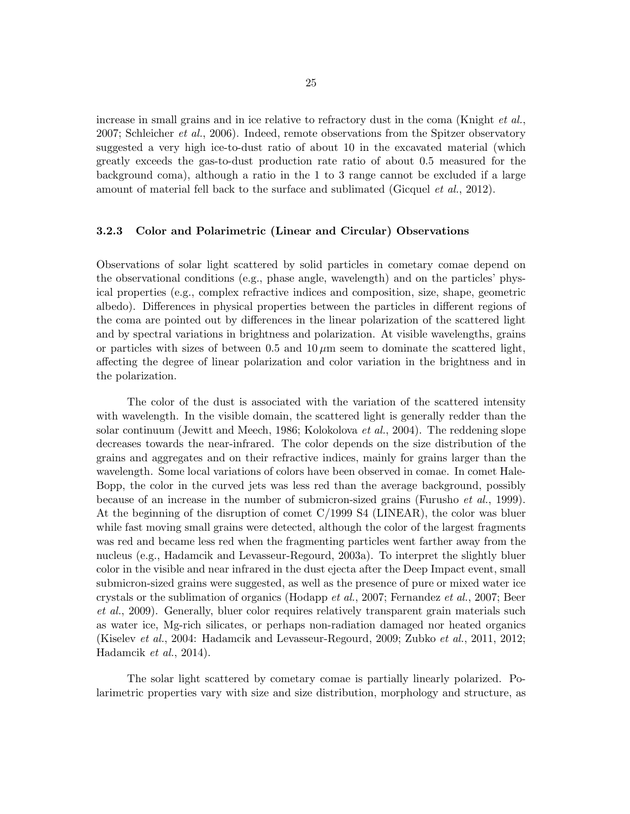increase in small grains and in ice relative to refractory dust in the coma (Knight *et al.*, 2007; Schleicher *et al.*, 2006). Indeed, remote observations from the Spitzer observatory suggested a very high ice-to-dust ratio of about 10 in the excavated material (which greatly exceeds the gas-to-dust production rate ratio of about 0.5 measured for the background coma), although a ratio in the 1 to 3 range cannot be excluded if a large amount of material fell back to the surface and sublimated (Gicquel *et al.*, 2012).

#### <span id="page-25-0"></span>3.2.3 Color and Polarimetric (Linear and Circular) Observations

Observations of solar light scattered by solid particles in cometary comae depend on the observational conditions (e.g., phase angle, wavelength) and on the particles' physical properties (e.g., complex refractive indices and composition, size, shape, geometric albedo). Differences in physical properties between the particles in different regions of the coma are pointed out by differences in the linear polarization of the scattered light and by spectral variations in brightness and polarization. At visible wavelengths, grains or particles with sizes of between 0.5 and  $10 \mu m$  seem to dominate the scattered light, affecting the degree of linear polarization and color variation in the brightness and in the polarization.

The color of the dust is associated with the variation of the scattered intensity with wavelength. In the visible domain, the scattered light is generally redder than the solar continuum (Jewitt and Meech, 1986; Kolokolova *et al.*, 2004). The reddening slope decreases towards the near-infrared. The color depends on the size distribution of the grains and aggregates and on their refractive indices, mainly for grains larger than the wavelength. Some local variations of colors have been observed in comae. In comet Hale-Bopp, the color in the curved jets was less red than the average background, possibly because of an increase in the number of submicron-sized grains (Furusho *et al.*, 1999). At the beginning of the disruption of comet  $C/1999$  S4 (LINEAR), the color was bluer while fast moving small grains were detected, although the color of the largest fragments was red and became less red when the fragmenting particles went farther away from the nucleus (e.g., Hadamcik and Levasseur-Regourd, 2003a). To interpret the slightly bluer color in the visible and near infrared in the dust ejecta after the Deep Impact event, small submicron-sized grains were suggested, as well as the presence of pure or mixed water ice crystals or the sublimation of organics (Hodapp *et al.*, 2007; Fernandez *et al.*, 2007; Beer *et al.*, 2009). Generally, bluer color requires relatively transparent grain materials such as water ice, Mg-rich silicates, or perhaps non-radiation damaged nor heated organics (Kiselev *et al.*, 2004: Hadamcik and Levasseur-Regourd, 2009; Zubko *et al.*, 2011, 2012; Hadamcik *et al.*, 2014).

The solar light scattered by cometary comae is partially linearly polarized. Polarimetric properties vary with size and size distribution, morphology and structure, as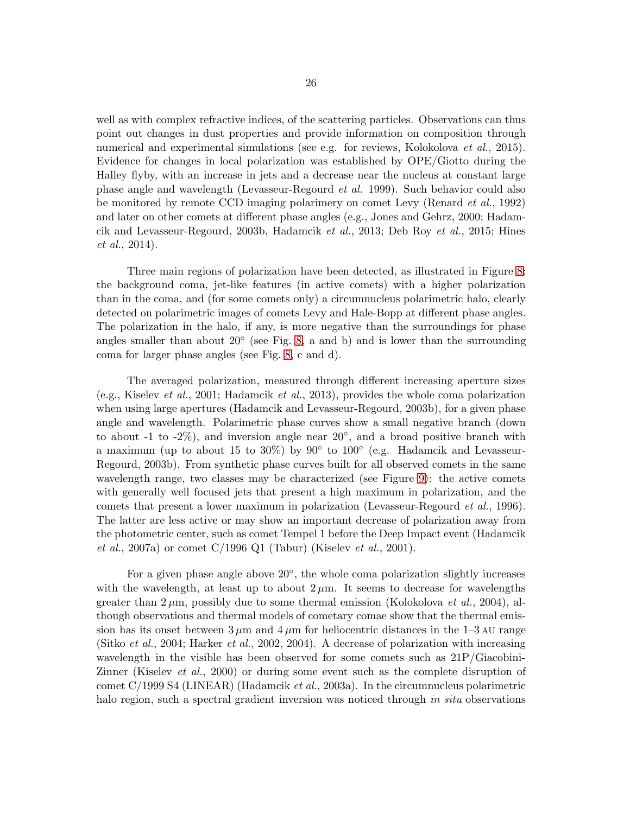well as with complex refractive indices, of the scattering particles. Observations can thus point out changes in dust properties and provide information on composition through numerical and experimental simulations (see e.g. for reviews, Kolokolova *et al.*, 2015). Evidence for changes in local polarization was established by OPE/Giotto during the Halley flyby, with an increase in jets and a decrease near the nucleus at constant large phase angle and wavelength (Levasseur-Regourd *et al.* 1999). Such behavior could also be monitored by remote CCD imaging polarimery on comet Levy (Renard *et al.*, 1992) and later on other comets at different phase angles (e.g., Jones and Gehrz, 2000; Hadamcik and Levasseur-Regourd, 2003b, Hadamcik *et al.*, 2013; Deb Roy *et al.*, 2015; Hines *et al.*, 2014).

Three main regions of polarization have been detected, as illustrated in Figure [8:](#page-59-1) the background coma, jet-like features (in active comets) with a higher polarization than in the coma, and (for some comets only) a circumnucleus polarimetric halo, clearly detected on polarimetric images of comets Levy and Hale-Bopp at different phase angles. The polarization in the halo, if any, is more negative than the surroundings for phase angles smaller than about  $20°$  (see Fig. [8,](#page-59-1) a and b) and is lower than the surrounding coma for larger phase angles (see Fig. [8,](#page-59-1) c and d).

The averaged polarization, measured through different increasing aperture sizes (e.g., Kiselev *et al.*, 2001; Hadamcik *et al.*, 2013), provides the whole coma polarization when using large apertures (Hadamcik and Levasseur-Regourd, 2003b), for a given phase angle and wavelength. Polarimetric phase curves show a small negative branch (down to about -1 to -2%), and inversion angle near  $20^{\circ}$ , and a broad positive branch with a maximum (up to about 15 to 30%) by 90° to 100° (e.g. Hadamcik and Levasseur-Regourd, 2003b). From synthetic phase curves built for all observed comets in the same wavelength range, two classes may be characterized (see Figure [9\)](#page-60-0): the active comets with generally well focused jets that present a high maximum in polarization, and the comets that present a lower maximum in polarization (Levasseur-Regourd *et al.*, 1996). The latter are less active or may show an important decrease of polarization away from the photometric center, such as comet Tempel 1 before the Deep Impact event (Hadamcik *et al.*, 2007a) or comet C/1996 Q1 (Tabur) (Kiselev *et al.*, 2001).

For a given phase angle above  $20^{\circ}$ , the whole coma polarization slightly increases with the wavelength, at least up to about  $2 \mu m$ . It seems to decrease for wavelengths greater than  $2 \mu m$ , possibly due to some thermal emission (Kolokolova *et al.*, 2004), although observations and thermal models of cometary comae show that the thermal emission has its onset between  $3 \mu$ m and  $4 \mu$ m for heliocentric distances in the 1–3 AU range (Sitko *et al.*, 2004; Harker *et al.*, 2002, 2004). A decrease of polarization with increasing wavelength in the visible has been observed for some comets such as  $21P/Giacobini-$ Zinner (Kiselev *et al.*, 2000) or during some event such as the complete disruption of comet C/1999 S4 (LINEAR) (Hadamcik *et al.*, 2003a). In the circumnucleus polarimetric halo region, such a spectral gradient inversion was noticed through *in situ* observations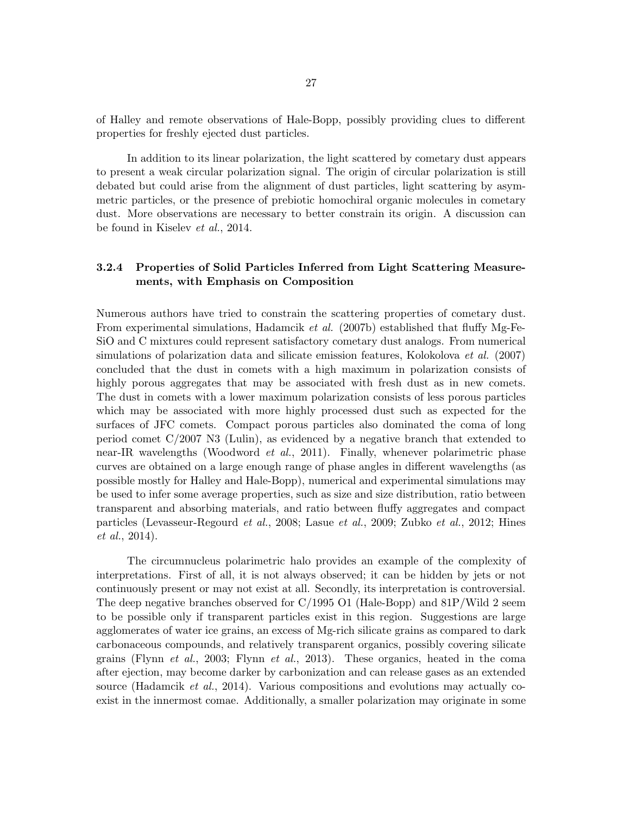of Halley and remote observations of Hale-Bopp, possibly providing clues to different properties for freshly ejected dust particles.

In addition to its linear polarization, the light scattered by cometary dust appears to present a weak circular polarization signal. The origin of circular polarization is still debated but could arise from the alignment of dust particles, light scattering by asymmetric particles, or the presence of prebiotic homochiral organic molecules in cometary dust. More observations are necessary to better constrain its origin. A discussion can be found in Kiselev *et al.*, 2014.

# 3.2.4 Properties of Solid Particles Inferred from Light Scattering Measurements, with Emphasis on Composition

Numerous authors have tried to constrain the scattering properties of cometary dust. From experimental simulations, Hadamcik *et al.* (2007b) established that fluffy Mg-Fe-SiO and C mixtures could represent satisfactory cometary dust analogs. From numerical simulations of polarization data and silicate emission features, Kolokolova *et al.* (2007) concluded that the dust in comets with a high maximum in polarization consists of highly porous aggregates that may be associated with fresh dust as in new comets. The dust in comets with a lower maximum polarization consists of less porous particles which may be associated with more highly processed dust such as expected for the surfaces of JFC comets. Compact porous particles also dominated the coma of long period comet C/2007 N3 (Lulin), as evidenced by a negative branch that extended to near-IR wavelengths (Woodword *et al.*, 2011). Finally, whenever polarimetric phase curves are obtained on a large enough range of phase angles in different wavelengths (as possible mostly for Halley and Hale-Bopp), numerical and experimental simulations may be used to infer some average properties, such as size and size distribution, ratio between transparent and absorbing materials, and ratio between fluffy aggregates and compact particles (Levasseur-Regourd *et al.*, 2008; Lasue *et al.*, 2009; Zubko *et al.*, 2012; Hines *et al.*, 2014).

The circumnucleus polarimetric halo provides an example of the complexity of interpretations. First of all, it is not always observed; it can be hidden by jets or not continuously present or may not exist at all. Secondly, its interpretation is controversial. The deep negative branches observed for C/1995 O1 (Hale-Bopp) and 81P/Wild 2 seem to be possible only if transparent particles exist in this region. Suggestions are large agglomerates of water ice grains, an excess of Mg-rich silicate grains as compared to dark carbonaceous compounds, and relatively transparent organics, possibly covering silicate grains (Flynn *et al.*, 2003; Flynn *et al.*, 2013). These organics, heated in the coma after ejection, may become darker by carbonization and can release gases as an extended source (Hadamcik *et al.*, 2014). Various compositions and evolutions may actually coexist in the innermost comae. Additionally, a smaller polarization may originate in some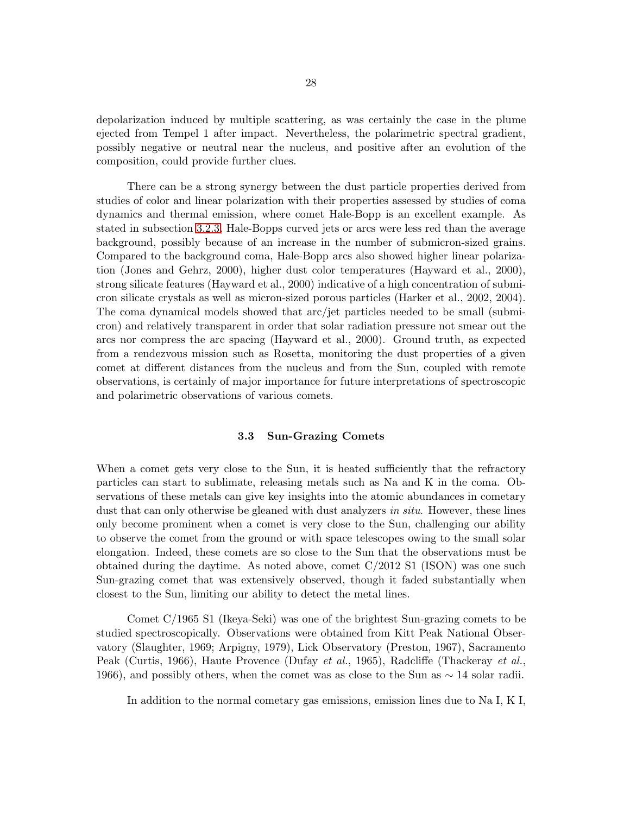depolarization induced by multiple scattering, as was certainly the case in the plume ejected from Tempel 1 after impact. Nevertheless, the polarimetric spectral gradient, possibly negative or neutral near the nucleus, and positive after an evolution of the composition, could provide further clues.

There can be a strong synergy between the dust particle properties derived from studies of color and linear polarization with their properties assessed by studies of coma dynamics and thermal emission, where comet Hale-Bopp is an excellent example. As stated in subsection [3.2.3,](#page-25-0) Hale-Bopps curved jets or arcs were less red than the average background, possibly because of an increase in the number of submicron-sized grains. Compared to the background coma, Hale-Bopp arcs also showed higher linear polarization (Jones and Gehrz, 2000), higher dust color temperatures (Hayward et al., 2000), strong silicate features (Hayward et al., 2000) indicative of a high concentration of submicron silicate crystals as well as micron-sized porous particles (Harker et al., 2002, 2004). The coma dynamical models showed that arc/jet particles needed to be small (submicron) and relatively transparent in order that solar radiation pressure not smear out the arcs nor compress the arc spacing (Hayward et al., 2000). Ground truth, as expected from a rendezvous mission such as Rosetta, monitoring the dust properties of a given comet at different distances from the nucleus and from the Sun, coupled with remote observations, is certainly of major importance for future interpretations of spectroscopic and polarimetric observations of various comets.

#### 3.3 Sun-Grazing Comets

When a comet gets very close to the Sun, it is heated sufficiently that the refractory particles can start to sublimate, releasing metals such as Na and K in the coma. Observations of these metals can give key insights into the atomic abundances in cometary dust that can only otherwise be gleaned with dust analyzers *in situ*. However, these lines only become prominent when a comet is very close to the Sun, challenging our ability to observe the comet from the ground or with space telescopes owing to the small solar elongation. Indeed, these comets are so close to the Sun that the observations must be obtained during the daytime. As noted above, comet  $C/2012$  S1 (ISON) was one such Sun-grazing comet that was extensively observed, though it faded substantially when closest to the Sun, limiting our ability to detect the metal lines.

Comet C/1965 S1 (Ikeya-Seki) was one of the brightest Sun-grazing comets to be studied spectroscopically. Observations were obtained from Kitt Peak National Observatory (Slaughter, 1969; Arpigny, 1979), Lick Observatory (Preston, 1967), Sacramento Peak (Curtis, 1966), Haute Provence (Dufay *et al.*, 1965), Radcliffe (Thackeray *et al.*, 1966), and possibly others, when the comet was as close to the Sun as ∼ 14 solar radii.

In addition to the normal cometary gas emissions, emission lines due to Na I, K I,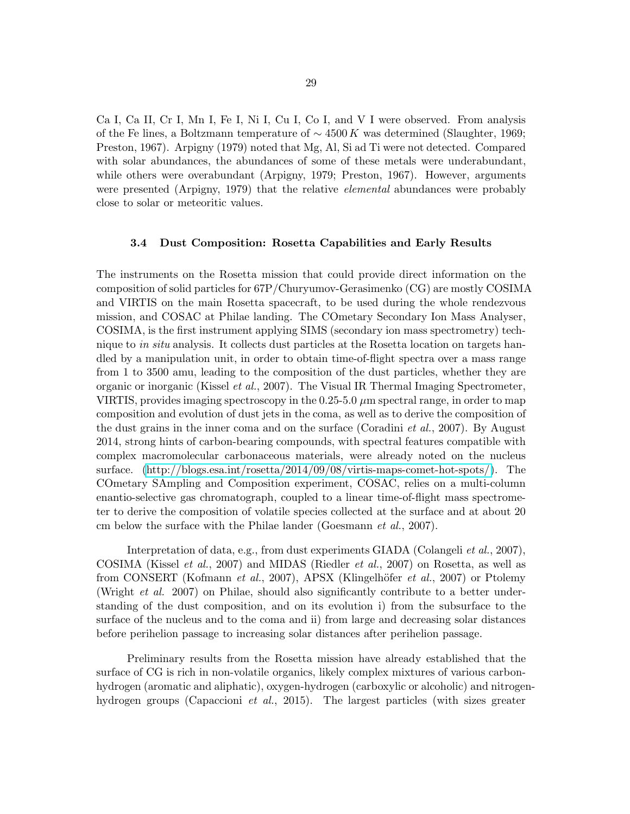Ca I, Ca II, Cr I, Mn I, Fe I, Ni I, Cu I, Co I, and V I were observed. From analysis of the Fe lines, a Boltzmann temperature of  $\sim$  4500 K was determined (Slaughter, 1969; Preston, 1967). Arpigny (1979) noted that Mg, Al, Si ad Ti were not detected. Compared with solar abundances, the abundances of some of these metals were underabundant, while others were overabundant (Arpigny, 1979; Preston, 1967). However, arguments were presented (Arpigny, 1979) that the relative *elemental* abundances were probably close to solar or meteoritic values.

#### 3.4 Dust Composition: Rosetta Capabilities and Early Results

The instruments on the Rosetta mission that could provide direct information on the composition of solid particles for 67P/Churyumov-Gerasimenko (CG) are mostly COSIMA and VIRTIS on the main Rosetta spacecraft, to be used during the whole rendezvous mission, and COSAC at Philae landing. The COmetary Secondary Ion Mass Analyser, COSIMA, is the first instrument applying SIMS (secondary ion mass spectrometry) technique to *in situ* analysis. It collects dust particles at the Rosetta location on targets handled by a manipulation unit, in order to obtain time-of-flight spectra over a mass range from 1 to 3500 amu, leading to the composition of the dust particles, whether they are organic or inorganic (Kissel *et al.*, 2007). The Visual IR Thermal Imaging Spectrometer, VIRTIS, provides imaging spectroscopy in the  $0.25$ -5.0  $\mu$ m spectral range, in order to map composition and evolution of dust jets in the coma, as well as to derive the composition of the dust grains in the inner coma and on the surface (Coradini *et al.*, 2007). By August 2014, strong hints of carbon-bearing compounds, with spectral features compatible with complex macromolecular carbonaceous materials, were already noted on the nucleus surface. [\(http://blogs.esa.int/rosetta/2014/09/08/virtis-maps-comet-hot-spots/\)](http://blogs.esa.int/rosetta/2014/09/08/virtis-maps-comet-hot-spots/). The COmetary SAmpling and Composition experiment, COSAC, relies on a multi-column enantio-selective gas chromatograph, coupled to a linear time-of-flight mass spectrometer to derive the composition of volatile species collected at the surface and at about 20 cm below the surface with the Philae lander (Goesmann *et al.*, 2007).

Interpretation of data, e.g., from dust experiments GIADA (Colangeli *et al.*, 2007), COSIMA (Kissel *et al.*, 2007) and MIDAS (Riedler *et al.*, 2007) on Rosetta, as well as from CONSERT (Kofmann *et al.*, 2007), APSX (Klingelhöfer *et al.*, 2007) or Ptolemy (Wright *et al.* 2007) on Philae, should also significantly contribute to a better understanding of the dust composition, and on its evolution i) from the subsurface to the surface of the nucleus and to the coma and ii) from large and decreasing solar distances before perihelion passage to increasing solar distances after perihelion passage.

Preliminary results from the Rosetta mission have already established that the surface of CG is rich in non-volatile organics, likely complex mixtures of various carbonhydrogen (aromatic and aliphatic), oxygen-hydrogen (carboxylic or alcoholic) and nitrogenhydrogen groups (Capaccioni *et al.*, 2015). The largest particles (with sizes greater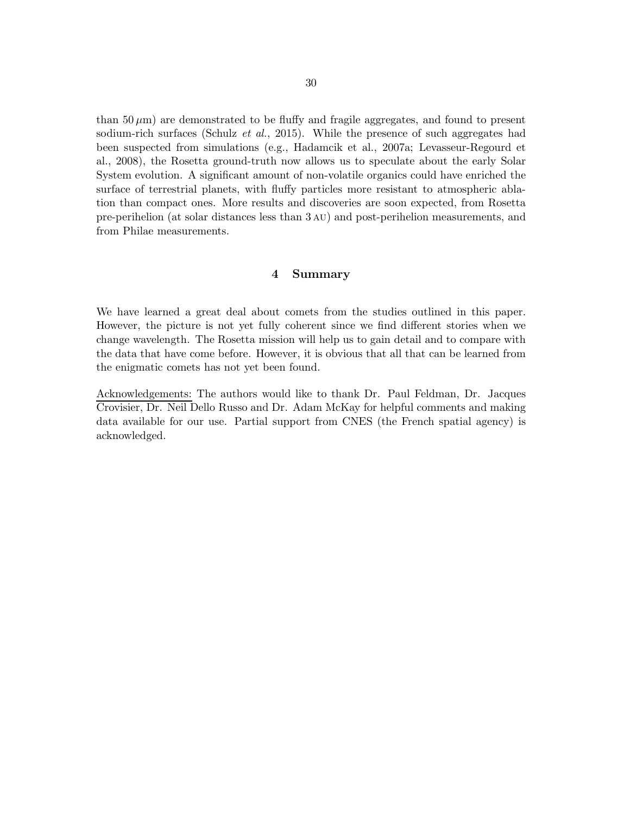than  $50 \mu m$ ) are demonstrated to be fluffy and fragile aggregates, and found to present sodium-rich surfaces (Schulz *et al.*, 2015). While the presence of such aggregates had been suspected from simulations (e.g., Hadamcik et al., 2007a; Levasseur-Regourd et al., 2008), the Rosetta ground-truth now allows us to speculate about the early Solar System evolution. A significant amount of non-volatile organics could have enriched the surface of terrestrial planets, with fluffy particles more resistant to atmospheric ablation than compact ones. More results and discoveries are soon expected, from Rosetta pre-perihelion (at solar distances less than 3 au) and post-perihelion measurements, and from Philae measurements.

## 4 Summary

We have learned a great deal about comets from the studies outlined in this paper. However, the picture is not yet fully coherent since we find different stories when we change wavelength. The Rosetta mission will help us to gain detail and to compare with the data that have come before. However, it is obvious that all that can be learned from the enigmatic comets has not yet been found.

Acknowledgements: The authors would like to thank Dr. Paul Feldman, Dr. Jacques Crovisier, Dr. Neil Dello Russo and Dr. Adam McKay for helpful comments and making data available for our use. Partial support from CNES (the French spatial agency) is acknowledged.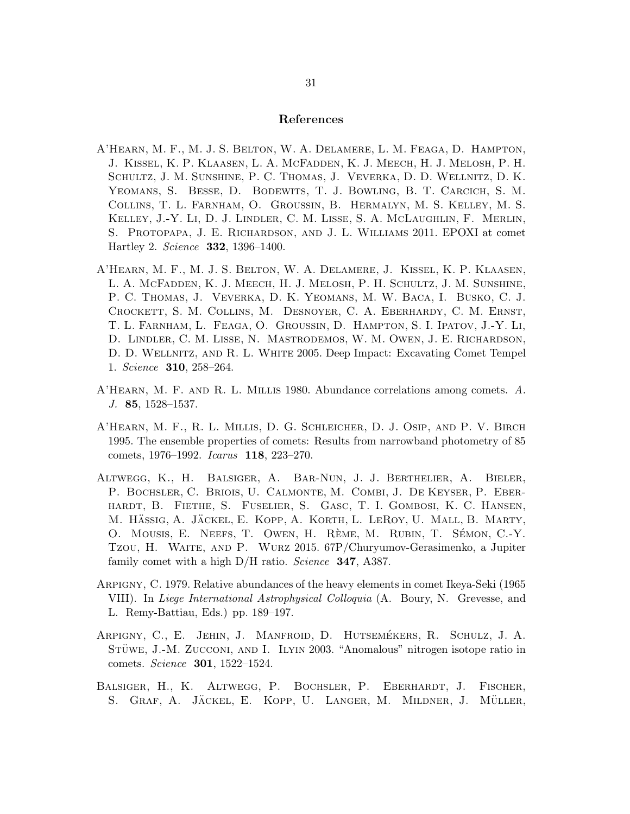#### References

- A'Hearn, M. F., M. J. S. Belton, W. A. Delamere, L. M. Feaga, D. Hampton, J. Kissel, K. P. Klaasen, L. A. McFadden, K. J. Meech, H. J. Melosh, P. H. Schultz, J. M. Sunshine, P. C. Thomas, J. Veverka, D. D. Wellnitz, D. K. Yeomans, S. Besse, D. Bodewits, T. J. Bowling, B. T. Carcich, S. M. Collins, T. L. Farnham, O. Groussin, B. Hermalyn, M. S. Kelley, M. S. Kelley, J.-Y. Li, D. J. Lindler, C. M. Lisse, S. A. McLaughlin, F. Merlin, S. Protopapa, J. E. Richardson, and J. L. Williams 2011. EPOXI at comet Hartley 2. *Science* 332, 1396–1400.
- A'Hearn, M. F., M. J. S. Belton, W. A. Delamere, J. Kissel, K. P. Klaasen, L. A. McFadden, K. J. Meech, H. J. Melosh, P. H. Schultz, J. M. Sunshine, P. C. Thomas, J. Veverka, D. K. Yeomans, M. W. Baca, I. Busko, C. J. Crockett, S. M. Collins, M. Desnoyer, C. A. Eberhardy, C. M. Ernst, T. L. Farnham, L. Feaga, O. Groussin, D. Hampton, S. I. Ipatov, J.-Y. Li, D. Lindler, C. M. Lisse, N. Mastrodemos, W. M. Owen, J. E. Richardson, D. D. Wellnitz, and R. L. White 2005. Deep Impact: Excavating Comet Tempel 1. *Science* 310, 258–264.
- A'Hearn, M. F. and R. L. Millis 1980. Abundance correlations among comets. *A. J.* 85, 1528–1537.
- A'Hearn, M. F., R. L. Millis, D. G. Schleicher, D. J. Osip, and P. V. Birch 1995. The ensemble properties of comets: Results from narrowband photometry of 85 comets, 1976–1992. *Icarus* 118, 223–270.
- Altwegg, K., H. Balsiger, A. Bar-Nun, J. J. Berthelier, A. Bieler, P. Bochsler, C. Briois, U. Calmonte, M. Combi, J. De Keyser, P. Eberhardt, B. Fiethe, S. Fuselier, S. Gasc, T. I. Gombosi, K. C. Hansen, M. HÄSSIG, A. JÄCKEL, E. KOPP, A. KORTH, L. LEROY, U. MALL, B. MARTY, O. MOUSIS, E. NEEFS, T. OWEN, H. RÈME, M. RUBIN, T. SÉMON, C.-Y. Tzou, H. Waite, and P. Wurz 2015. 67P/Churyumov-Gerasimenko, a Jupiter family comet with a high D/H ratio. *Science* 347, A387.
- Arpigny, C. 1979. Relative abundances of the heavy elements in comet Ikeya-Seki (1965 VIII). In *Liege International Astrophysical Colloquia* (A. Boury, N. Grevesse, and L. Remy-Battiau, Eds.) pp. 189–197.
- Arpigny, C., E. Jehin, J. Manfroid, D. Hutsem´ekers, R. Schulz, J. A. STÜWE, J.-M. ZUCCONI, AND I. ILYIN 2003. "Anomalous" nitrogen isotope ratio in comets. *Science* 301, 1522–1524.
- Balsiger, H., K. Altwegg, P. Bochsler, P. Eberhardt, J. Fischer, S. GRAF, A. JÄCKEL, E. KOPP, U. LANGER, M. MILDNER, J. MÜLLER,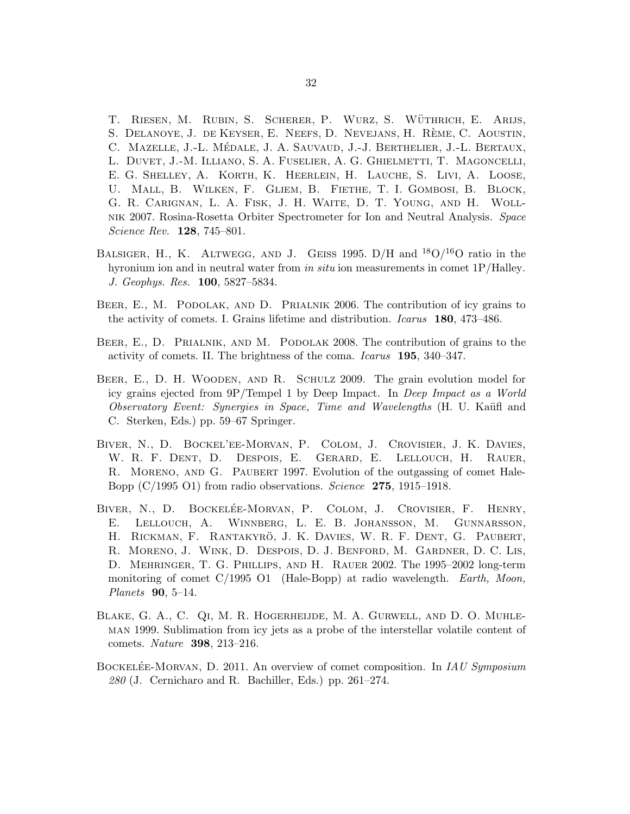T. Riesen, M. Rubin, S. Scherer, P. Wurz, S. Wuthrich, E. Arijs, ¨ S. DELANOYE, J. DE KEYSER, E. NEEFS, D. NEVEJANS, H. RÈME, C. AOUSTIN, C. MAZELLE, J.-L. MÉDALE, J. A. SAUVAUD, J.-J. BERTHELIER, J.-L. BERTAUX, L. Duvet, J.-M. Illiano, S. A. Fuselier, A. G. Ghielmetti, T. Magoncelli, E. G. Shelley, A. Korth, K. Heerlein, H. Lauche, S. Livi, A. Loose, U. Mall, B. Wilken, F. Gliem, B. Fiethe, T. I. Gombosi, B. Block, G. R. Carignan, L. A. Fisk, J. H. Waite, D. T. Young, and H. Wollnik 2007. Rosina-Rosetta Orbiter Spectrometer for Ion and Neutral Analysis. *Space Science Rev.* 128, 745–801.

- BALSIGER, H., K. ALTWEGG, AND J. GEISS 1995. D/H and  $^{18}O/^{16}O$  ratio in the hyronium ion and in neutral water from *in situ* ion measurements in comet 1P/Halley. *J. Geophys. Res.* 100, 5827–5834.
- BEER, E., M. PODOLAK, AND D. PRIALNIK 2006. The contribution of icy grains to the activity of comets. I. Grains lifetime and distribution. *Icarus* 180, 473–486.
- BEER, E., D. PRIALNIK, AND M. PODOLAK 2008. The contribution of grains to the activity of comets. II. The brightness of the coma. *Icarus* 195, 340–347.
- BEER, E., D. H. WOODEN, AND R. SCHULZ 2009. The grain evolution model for icy grains ejected from 9P/Tempel 1 by Deep Impact. In *Deep Impact as a World Observatory Event: Synergies in Space, Time and Wavelengths* (H. U. Kaüfl and C. Sterken, Eds.) pp. 59–67 Springer.
- Biver, N., D. Bockel'ee-Morvan, P. Colom, J. Crovisier, J. K. Davies, W. R. F. DENT, D. DESPOIS, E. GERARD, E. LELLOUCH, H. RAUER, R. MORENO, AND G. PAUBERT 1997. Evolution of the outgassing of comet Hale-Bopp (C/1995 O1) from radio observations. *Science* 275, 1915–1918.
- Biver, N., D. Bockel´ee-Morvan, P. Colom, J. Crovisier, F. Henry, E. Lellouch, A. Winnberg, L. E. B. Johansson, M. Gunnarsson, H. RICKMAN, F. RANTAKYRÖ, J. K. DAVIES, W. R. F. DENT, G. PAUBERT, R. Moreno, J. Wink, D. Despois, D. J. Benford, M. Gardner, D. C. Lis, D. Mehringer, T. G. Phillips, and H. Rauer 2002. The 1995–2002 long-term monitoring of comet C/1995 O1 (Hale-Bopp) at radio wavelength. *Earth, Moon, Planets* 90, 5–14.
- Blake, G. A., C. Qi, M. R. Hogerheijde, M. A. Gurwell, and D. O. Muhleman 1999. Sublimation from icy jets as a probe of the interstellar volatile content of comets. *Nature* 398, 213–216.
- Bockel´ee-Morvan, D. 2011. An overview of comet composition. In *IAU Symposium 280* (J. Cernicharo and R. Bachiller, Eds.) pp. 261–274.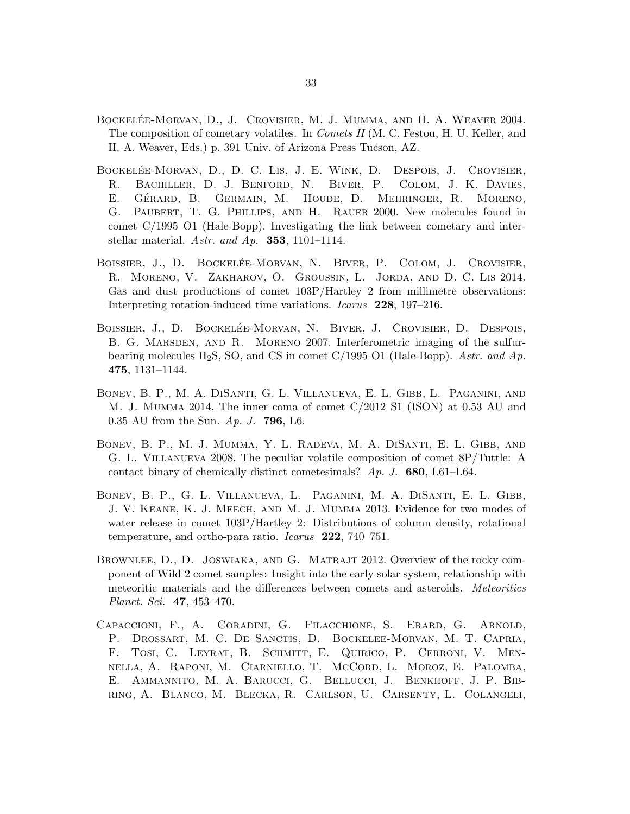- Bockel´ee-Morvan, D., J. Crovisier, M. J. Mumma, and H. A. Weaver 2004. The composition of cometary volatiles. In *Comets II* (M. C. Festou, H. U. Keller, and H. A. Weaver, Eds.) p. 391 Univ. of Arizona Press Tucson, AZ.
- Bockel´ee-Morvan, D., D. C. Lis, J. E. Wink, D. Despois, J. Crovisier, R. Bachiller, D. J. Benford, N. Biver, P. Colom, J. K. Davies, E. GÉRARD, B. GERMAIN, M. HOUDE, D. MEHRINGER, R. MORENO, G. Paubert, T. G. Phillips, and H. Rauer 2000. New molecules found in comet C/1995 O1 (Hale-Bopp). Investigating the link between cometary and interstellar material. *Astr. and Ap.* 353, 1101–1114.
- Boissier, J., D. Bockel´ee-Morvan, N. Biver, P. Colom, J. Crovisier, R. Moreno, V. Zakharov, O. Groussin, L. Jorda, and D. C. Lis 2014. Gas and dust productions of comet 103P/Hartley 2 from millimetre observations: Interpreting rotation-induced time variations. *Icarus* 228, 197–216.
- Boissier, J., D. Bockel´ee-Morvan, N. Biver, J. Crovisier, D. Despois, B. G. MARSDEN, AND R. MORENO 2007. Interferometric imaging of the sulfurbearing molecules H2S, SO, and CS in comet C/1995 O1 (Hale-Bopp). *Astr. and Ap.* 475, 1131–1144.
- Bonev, B. P., M. A. DiSanti, G. L. Villanueva, E. L. Gibb, L. Paganini, and M. J. Mumma 2014. The inner coma of comet C/2012 S1 (ISON) at 0.53 AU and 0.35 AU from the Sun. *Ap. J.* 796, L6.
- Bonev, B. P., M. J. Mumma, Y. L. Radeva, M. A. DiSanti, E. L. Gibb, and G. L. Villanueva 2008. The peculiar volatile composition of comet 8P/Tuttle: A contact binary of chemically distinct cometesimals? *Ap. J.* 680, L61–L64.
- Bonev, B. P., G. L. Villanueva, L. Paganini, M. A. DiSanti, E. L. Gibb, J. V. Keane, K. J. Meech, and M. J. Mumma 2013. Evidence for two modes of water release in comet 103P/Hartley 2: Distributions of column density, rotational temperature, and ortho-para ratio. *Icarus* 222, 740–751.
- Brownlee, D., D. Joswiaka, and G. Matrajt 2012. Overview of the rocky component of Wild 2 comet samples: Insight into the early solar system, relationship with meteoritic materials and the differences between comets and asteroids. *Meteoritics Planet. Sci.* 47, 453–470.
- Capaccioni, F., A. Coradini, G. Filacchione, S. Erard, G. Arnold, P. Drossart, M. C. De Sanctis, D. Bockelee-Morvan, M. T. Capria, F. Tosi, C. Leyrat, B. Schmitt, E. Quirico, P. Cerroni, V. Mennella, A. Raponi, M. Ciarniello, T. McCord, L. Moroz, E. Palomba, E. Ammannito, M. A. Barucci, G. Bellucci, J. Benkhoff, J. P. Bibring, A. Blanco, M. Blecka, R. Carlson, U. Carsenty, L. Colangeli,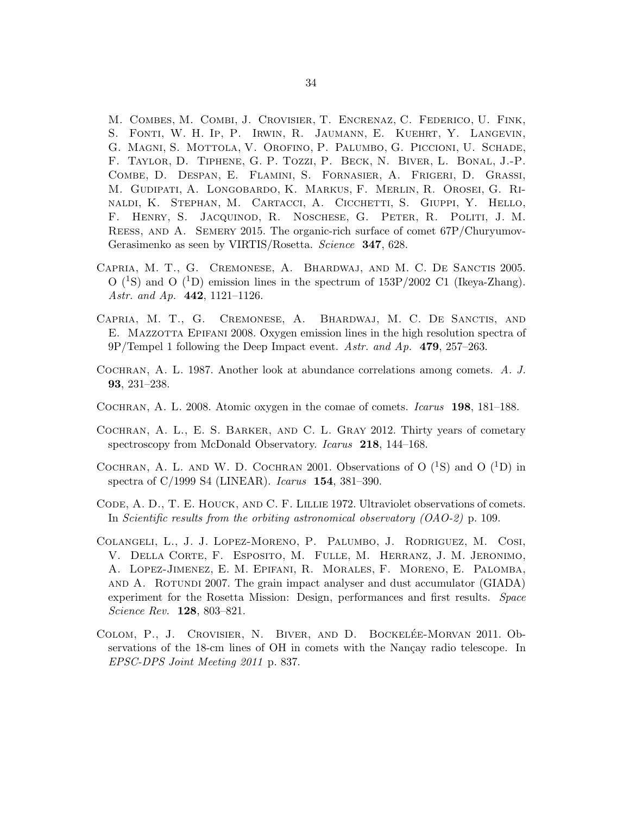- M. Combes, M. Combi, J. Crovisier, T. Encrenaz, C. Federico, U. Fink, S. Fonti, W. H. Ip, P. Irwin, R. Jaumann, E. Kuehrt, Y. Langevin, G. Magni, S. Mottola, V. Orofino, P. Palumbo, G. Piccioni, U. Schade, F. Taylor, D. Tiphene, G. P. Tozzi, P. Beck, N. Biver, L. Bonal, J.-P. Combe, D. Despan, E. Flamini, S. Fornasier, A. Frigeri, D. Grassi, M. Gudipati, A. Longobardo, K. Markus, F. Merlin, R. Orosei, G. Rinaldi, K. Stephan, M. Cartacci, A. Cicchetti, S. Giuppi, Y. Hello, F. Henry, S. Jacquinod, R. Noschese, G. Peter, R. Politi, J. M. Reess, and A. Semery 2015. The organic-rich surface of comet 67P/Churyumov-Gerasimenko as seen by VIRTIS/Rosetta. *Science* 347, 628.
- Capria, M. T., G. Cremonese, A. Bhardwaj, and M. C. De Sanctis 2005. O  $(^{1}S)$  and O  $(^{1}D)$  emission lines in the spectrum of 153P/2002 C1 (Ikeya-Zhang). *Astr. and Ap.* 442, 1121–1126.
- Capria, M. T., G. Cremonese, A. Bhardwaj, M. C. De Sanctis, and E. Mazzotta Epifani 2008. Oxygen emission lines in the high resolution spectra of 9P/Tempel 1 following the Deep Impact event. *Astr. and Ap.* 479, 257–263.
- Cochran, A. L. 1987. Another look at abundance correlations among comets. *A. J.* 93, 231–238.
- Cochran, A. L. 2008. Atomic oxygen in the comae of comets. *Icarus* 198, 181–188.
- Cochran, A. L., E. S. Barker, and C. L. Gray 2012. Thirty years of cometary spectroscopy from McDonald Observatory. *Icarus* 218, 144–168.
- COCHRAN, A. L. AND W. D. COCHRAN 2001. Observations of O  $(^{1}S)$  and O  $(^{1}D)$  in spectra of C/1999 S4 (LINEAR). *Icarus* 154, 381–390.
- CODE, A. D., T. E. HOUCK, AND C. F. LILLIE 1972. Ultraviolet observations of comets. In *Scientific results from the orbiting astronomical observatory (OAO-2)* p. 109.
- Colangeli, L., J. J. Lopez-Moreno, P. Palumbo, J. Rodriguez, M. Cosi, V. Della Corte, F. Esposito, M. Fulle, M. Herranz, J. M. Jeronimo, A. Lopez-Jimenez, E. M. Epifani, R. Morales, F. Moreno, E. Palomba, and A. Rotundi 2007. The grain impact analyser and dust accumulator (GIADA) experiment for the Rosetta Mission: Design, performances and first results. *Space Science Rev.* 128, 803–821.
- COLOM, P., J. CROVISIER, N. BIVER, AND D. BOCKELÉE-MORVAN 2011. Observations of the 18-cm lines of OH in comets with the Nançay radio telescope. In *EPSC-DPS Joint Meeting 2011* p. 837.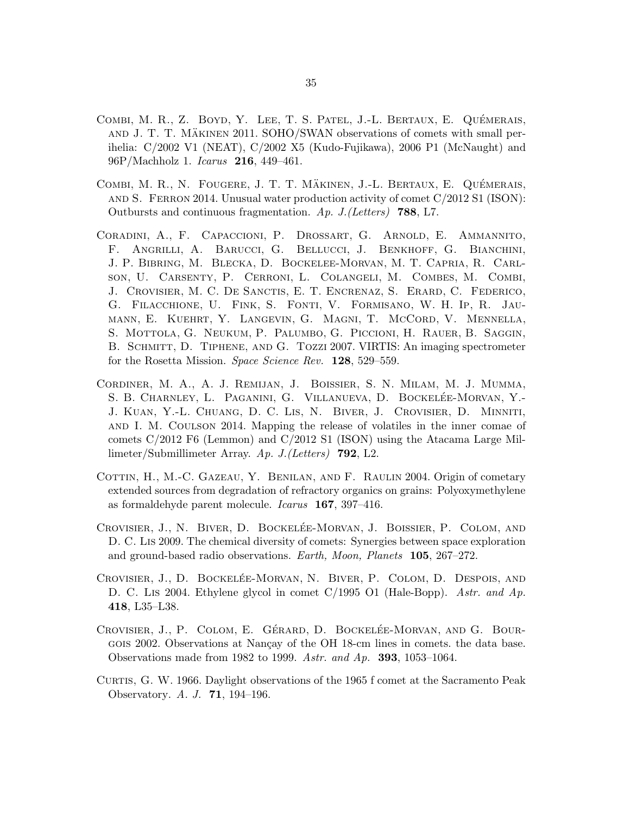- COMBI, M. R., Z. BOYD, Y. LEE, T. S. PATEL, J.-L. BERTAUX, E. QUÉMERAIS, and J. T. T. MÄKINEN 2011. SOHO/SWAN observations of comets with small perihelia: C/2002 V1 (NEAT), C/2002 X5 (Kudo-Fujikawa), 2006 P1 (McNaught) and 96P/Machholz 1. *Icarus* 216, 449–461.
- COMBI, M. R., N. FOUGERE, J. T. T. MÄKINEN, J.-L. BERTAUX, E. QUÉMERAIS, and S. Ferron 2014. Unusual water production activity of comet C/2012 S1 (ISON): Outbursts and continuous fragmentation. *Ap. J.(Letters)* 788, L7.
- Coradini, A., F. Capaccioni, P. Drossart, G. Arnold, E. Ammannito, F. Angrilli, A. Barucci, G. Bellucci, J. Benkhoff, G. Bianchini, J. P. Bibring, M. Blecka, D. Bockelee-Morvan, M. T. Capria, R. Carlson, U. Carsenty, P. Cerroni, L. Colangeli, M. Combes, M. Combi, J. Crovisier, M. C. De Sanctis, E. T. Encrenaz, S. Erard, C. Federico, G. Filacchione, U. Fink, S. Fonti, V. Formisano, W. H. Ip, R. Jaumann, E. Kuehrt, Y. Langevin, G. Magni, T. McCord, V. Mennella, S. Mottola, G. Neukum, P. Palumbo, G. Piccioni, H. Rauer, B. Saggin, B. Schmitt, D. Tiphene, and G. Tozzi 2007. VIRTIS: An imaging spectrometer for the Rosetta Mission. *Space Science Rev.* 128, 529–559.
- Cordiner, M. A., A. J. Remijan, J. Boissier, S. N. Milam, M. J. Mumma, S. B. CHARNLEY, L. PAGANINI, G. VILLANUEVA, D. BOCKELÉE-MORVAN, Y.-J. Kuan, Y.-L. Chuang, D. C. Lis, N. Biver, J. Crovisier, D. Minniti, and I. M. Coulson 2014. Mapping the release of volatiles in the inner comae of comets C/2012 F6 (Lemmon) and C/2012 S1 (ISON) using the Atacama Large Millimeter/Submillimeter Array. *Ap. J.(Letters)* 792, L2.
- COTTIN, H., M.-C. GAZEAU, Y. BENILAN, AND F. RAULIN 2004. Origin of cometary extended sources from degradation of refractory organics on grains: Polyoxymethylene as formaldehyde parent molecule. *Icarus* 167, 397–416.
- Crovisier, J., N. Biver, D. Bockel´ee-Morvan, J. Boissier, P. Colom, and D. C. Lis 2009. The chemical diversity of comets: Synergies between space exploration and ground-based radio observations. *Earth, Moon, Planets* 105, 267–272.
- Crovisier, J., D. Bockel´ee-Morvan, N. Biver, P. Colom, D. Despois, and D. C. Lis 2004. Ethylene glycol in comet C/1995 O1 (Hale-Bopp). *Astr. and Ap.* 418, L35–L38.
- CROVISIER, J., P. COLOM, E. GÉRARD, D. BOCKELÉE-MORVAN, AND G. BOUR-GOIS 2002. Observations at Nançay of the OH 18-cm lines in comets. the data base. Observations made from 1982 to 1999. *Astr. and Ap.* 393, 1053–1064.
- Curtis, G. W. 1966. Daylight observations of the 1965 f comet at the Sacramento Peak Observatory. *A. J.* 71, 194–196.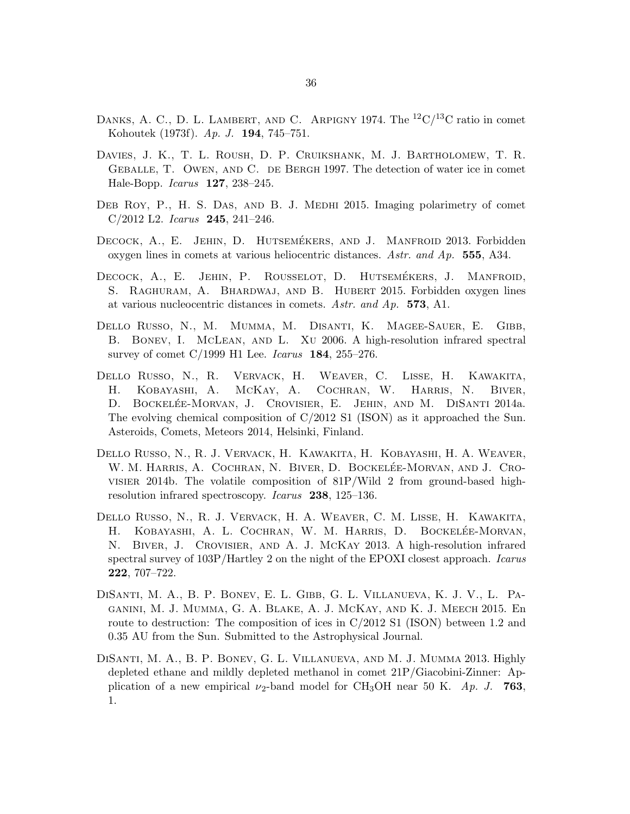- DANKS, A. C., D. L. LAMBERT, AND C. ARPIGNY 1974. The  $^{12}C/^{13}C$  ratio in comet Kohoutek (1973f). *Ap. J.* 194, 745–751.
- Davies, J. K., T. L. Roush, D. P. Cruikshank, M. J. Bartholomew, T. R. Geballe, T. Owen, and C. de Bergh 1997. The detection of water ice in comet Hale-Bopp. *Icarus* 127, 238–245.
- DEB ROY, P., H. S. DAS, AND B. J. MEDHI 2015. Imaging polarimetry of comet C/2012 L2. *Icarus* 245, 241–246.
- DECOCK, A., E. JEHIN, D. HUTSEMÉKERS, AND J. MANFROID 2013. Forbidden oxygen lines in comets at various heliocentric distances. *Astr. and Ap.* 555, A34.
- DECOCK, A., E. JEHIN, P. ROUSSELOT, D. HUTSEMÉKERS, J. MANFROID, S. Raghuram, A. Bhardwaj, and B. Hubert 2015. Forbidden oxygen lines at various nucleocentric distances in comets. *Astr. and Ap.* 573, A1.
- Dello Russo, N., M. Mumma, M. Disanti, K. Magee-Sauer, E. Gibb, B. Bonev, I. McLean, and L. Xu 2006. A high-resolution infrared spectral survey of comet C/1999 H1 Lee. *Icarus* 184, 255–276.
- Dello Russo, N., R. Vervack, H. Weaver, C. Lisse, H. Kawakita, H. Kobayashi, A. McKay, A. Cochran, W. Harris, N. Biver, D. BOCKELÉE-MORVAN, J. CROVISIER, E. JEHIN, AND M. DISANTI 2014a. The evolving chemical composition of C/2012 S1 (ISON) as it approached the Sun. Asteroids, Comets, Meteors 2014, Helsinki, Finland.
- Dello Russo, N., R. J. Vervack, H. Kawakita, H. Kobayashi, H. A. Weaver, W. M. HARRIS, A. COCHRAN, N. BIVER, D. BOCKELÉE-MORVAN, AND J. CROvisier 2014b. The volatile composition of 81P/Wild 2 from ground-based highresolution infrared spectroscopy. *Icarus* 238, 125–136.
- Dello Russo, N., R. J. Vervack, H. A. Weaver, C. M. Lisse, H. Kawakita, H. KOBAYASHI, A. L. COCHRAN, W. M. HARRIS, D. BOCKELÉE-MORVAN, N. Biver, J. Crovisier, and A. J. McKay 2013. A high-resolution infrared spectral survey of 103P/Hartley 2 on the night of the EPOXI closest approach. *Icarus* 222, 707–722.
- DiSanti, M. A., B. P. Bonev, E. L. Gibb, G. L. Villanueva, K. J. V., L. Paganini, M. J. Mumma, G. A. Blake, A. J. McKay, and K. J. Meech 2015. En route to destruction: The composition of ices in  $C/2012$  S1 (ISON) between 1.2 and 0.35 AU from the Sun. Submitted to the Astrophysical Journal.
- DiSanti, M. A., B. P. Bonev, G. L. Villanueva, and M. J. Mumma 2013. Highly depleted ethane and mildly depleted methanol in comet 21P/Giacobini-Zinner: Application of a new empirical  $\nu_2$ -band model for CH<sub>3</sub>OH near 50 K. *Ap. J.* **763**, 1.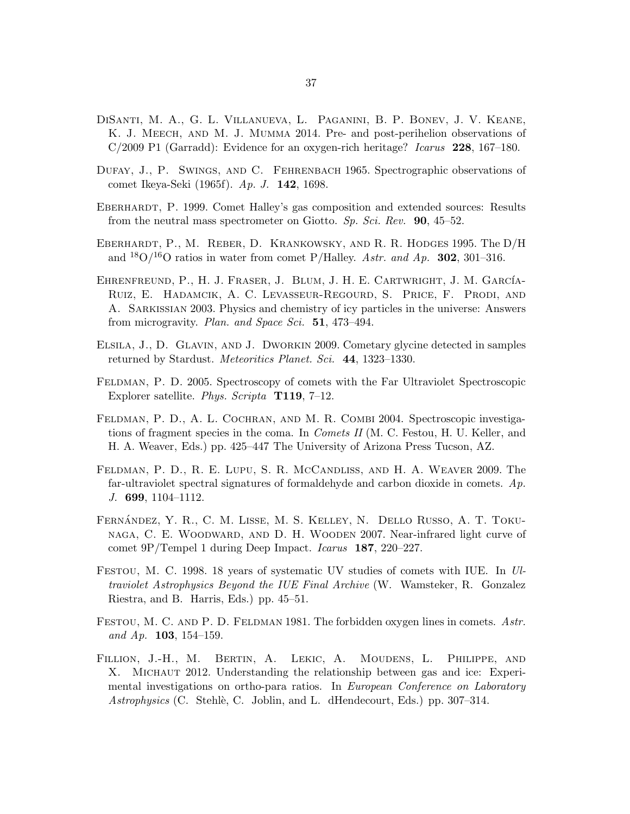- DiSanti, M. A., G. L. Villanueva, L. Paganini, B. P. Bonev, J. V. Keane, K. J. Meech, and M. J. Mumma 2014. Pre- and post-perihelion observations of C/2009 P1 (Garradd): Evidence for an oxygen-rich heritage? *Icarus* 228, 167–180.
- Dufay, J., P. Swings, and C. Fehrenbach 1965. Spectrographic observations of comet Ikeya-Seki (1965f). *Ap. J.* 142, 1698.
- Eberhardt, P. 1999. Comet Halley's gas composition and extended sources: Results from the neutral mass spectrometer on Giotto. *Sp. Sci. Rev.* 90, 45–52.
- Eberhardt, P., M. Reber, D. Krankowsky, and R. R. Hodges 1995. The D/H and <sup>18</sup>O/16O ratios in water from comet P/Halley. *Astr. and Ap.* 302, 301–316.
- EHRENFREUND, P., H. J. FRASER, J. BLUM, J. H. E. CARTWRIGHT, J. M. GARCÍA-Ruiz, E. Hadamcik, A. C. Levasseur-Regourd, S. Price, F. Prodi, and A. Sarkissian 2003. Physics and chemistry of icy particles in the universe: Answers from microgravity. *Plan. and Space Sci.* 51, 473–494.
- Elsila, J., D. Glavin, and J. Dworkin 2009. Cometary glycine detected in samples returned by Stardust. *Meteoritics Planet. Sci.* 44, 1323–1330.
- Feldman, P. D. 2005. Spectroscopy of comets with the Far Ultraviolet Spectroscopic Explorer satellite. *Phys. Scripta* T119, 7–12.
- Feldman, P. D., A. L. Cochran, and M. R. Combi 2004. Spectroscopic investigations of fragment species in the coma. In *Comets II* (M. C. Festou, H. U. Keller, and H. A. Weaver, Eds.) pp. 425–447 The University of Arizona Press Tucson, AZ.
- Feldman, P. D., R. E. Lupu, S. R. McCandliss, and H. A. Weaver 2009. The far-ultraviolet spectral signatures of formaldehyde and carbon dioxide in comets. *Ap. J.* 699, 1104–1112.
- FERNÁNDEZ, Y. R., C. M. LISSE, M. S. KELLEY, N. DELLO RUSSO, A. T. TOKUnaga, C. E. Woodward, and D. H. Wooden 2007. Near-infrared light curve of comet 9P/Tempel 1 during Deep Impact. *Icarus* 187, 220–227.
- Festou, M. C. 1998. 18 years of systematic UV studies of comets with IUE. In *Ultraviolet Astrophysics Beyond the IUE Final Archive* (W. Wamsteker, R. Gonzalez Riestra, and B. Harris, Eds.) pp. 45–51.
- FESTOU, M. C. AND P. D. FELDMAN 1981. The forbidden oxygen lines in comets. Astr. *and Ap.* 103, 154–159.
- Fillion, J.-H., M. Bertin, A. Lekic, A. Moudens, L. Philippe, and X. Michaut 2012. Understanding the relationship between gas and ice: Experimental investigations on ortho-para ratios. In *European Conference on Laboratory* Astrophysics (C. Stehlè, C. Joblin, and L. dHendecourt, Eds.) pp. 307–314.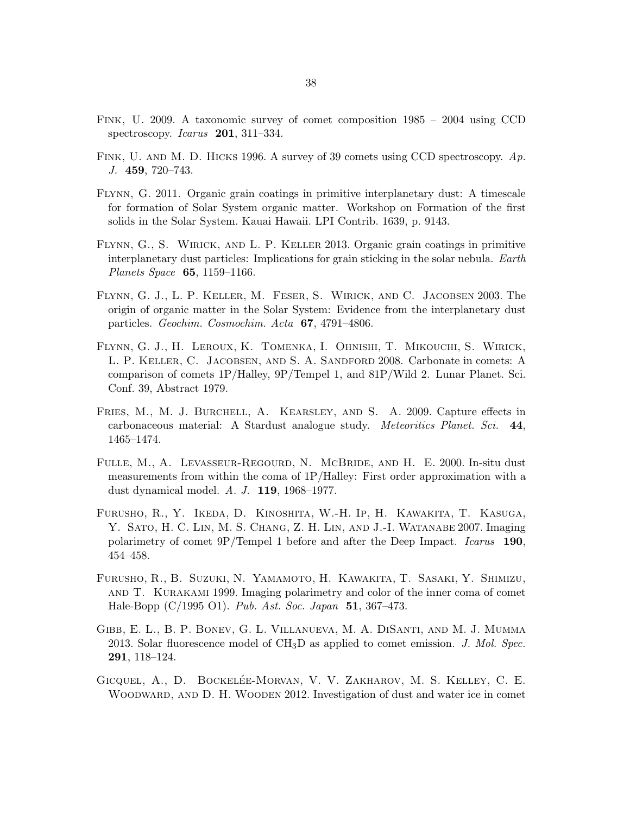- Fink, U. 2009. A taxonomic survey of comet composition 1985 2004 using CCD spectroscopy. *Icarus* 201, 311–334.
- Fink, U. and M. D. Hicks 1996. A survey of 39 comets using CCD spectroscopy. *Ap. J.* 459, 720–743.
- Flynn, G. 2011. Organic grain coatings in primitive interplanetary dust: A timescale for formation of Solar System organic matter. Workshop on Formation of the first solids in the Solar System. Kauai Hawaii. LPI Contrib. 1639, p. 9143.
- Flynn, G., S. Wirick, and L. P. Keller 2013. Organic grain coatings in primitive interplanetary dust particles: Implications for grain sticking in the solar nebula. *Earth Planets Space* 65, 1159–1166.
- Flynn, G. J., L. P. Keller, M. Feser, S. Wirick, and C. Jacobsen 2003. The origin of organic matter in the Solar System: Evidence from the interplanetary dust particles. *Geochim. Cosmochim. Acta* 67, 4791–4806.
- Flynn, G. J., H. Leroux, K. Tomenka, I. Ohnishi, T. Mikouchi, S. Wirick, L. P. Keller, C. Jacobsen, and S. A. Sandford 2008. Carbonate in comets: A comparison of comets 1P/Halley, 9P/Tempel 1, and 81P/Wild 2. Lunar Planet. Sci. Conf. 39, Abstract 1979.
- FRIES, M., M. J. BURCHELL, A. KEARSLEY, AND S. A. 2009. Capture effects in carbonaceous material: A Stardust analogue study. *Meteoritics Planet. Sci.* 44, 1465–1474.
- Fulle, M., A. Levasseur-Regourd, N. McBride, and H. E. 2000. In-situ dust measurements from within the coma of 1P/Halley: First order approximation with a dust dynamical model. *A. J.* 119, 1968–1977.
- Furusho, R., Y. Ikeda, D. Kinoshita, W.-H. Ip, H. Kawakita, T. Kasuga, Y. Sato, H. C. Lin, M. S. Chang, Z. H. Lin, and J.-I. Watanabe 2007. Imaging polarimetry of comet 9P/Tempel 1 before and after the Deep Impact. *Icarus* 190, 454–458.
- Furusho, R., B. Suzuki, N. Yamamoto, H. Kawakita, T. Sasaki, Y. Shimizu, and T. Kurakami 1999. Imaging polarimetry and color of the inner coma of comet Hale-Bopp (C/1995 O1). *Pub. Ast. Soc. Japan* 51, 367–473.
- Gibb, E. L., B. P. Bonev, G. L. Villanueva, M. A. DiSanti, and M. J. Mumma 2013. Solar fluorescence model of CH3D as applied to comet emission. *J. Mol. Spec.* 291, 118–124.
- GICQUEL, A., D. BOCKELÉE-MORVAN, V. V. ZAKHAROV, M. S. KELLEY, C. E. Woodward, and D. H. Wooden 2012. Investigation of dust and water ice in comet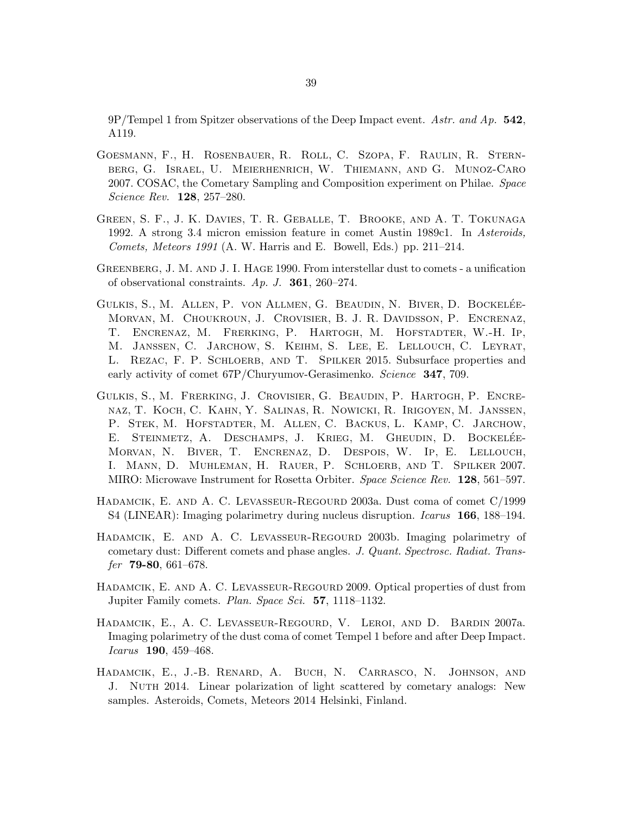9P/Tempel 1 from Spitzer observations of the Deep Impact event. *Astr. and Ap.* 542, A119.

- Goesmann, F., H. Rosenbauer, R. Roll, C. Szopa, F. Raulin, R. Sternberg, G. Israel, U. Meierhenrich, W. Thiemann, and G. Munoz-Caro 2007. COSAC, the Cometary Sampling and Composition experiment on Philae. *Space Science Rev.* 128, 257–280.
- Green, S. F., J. K. Davies, T. R. Geballe, T. Brooke, and A. T. Tokunaga 1992. A strong 3.4 micron emission feature in comet Austin 1989c1. In *Asteroids, Comets, Meteors 1991* (A. W. Harris and E. Bowell, Eds.) pp. 211–214.
- Greenberg, J. M. and J. I. Hage 1990. From interstellar dust to comets a unification of observational constraints. *Ap. J.* 361, 260–274.
- GULKIS, S., M. ALLEN, P. VON ALLMEN, G. BEAUDIN, N. BIVER, D. BOCKELÉE-Morvan, M. Choukroun, J. Crovisier, B. J. R. Davidsson, P. Encrenaz, T. Encrenaz, M. Frerking, P. Hartogh, M. Hofstadter, W.-H. Ip, M. Janssen, C. Jarchow, S. Keihm, S. Lee, E. Lellouch, C. Leyrat, L. REZAC, F. P. SCHLOERB, AND T. SPILKER 2015. Subsurface properties and early activity of comet 67P/Churyumov-Gerasimenko. *Science* 347, 709.
- Gulkis, S., M. Frerking, J. Crovisier, G. Beaudin, P. Hartogh, P. Encrenaz, T. Koch, C. Kahn, Y. Salinas, R. Nowicki, R. Irigoyen, M. Janssen, P. Stek, M. Hofstadter, M. Allen, C. Backus, L. Kamp, C. Jarchow, E. STEINMETZ, A. DESCHAMPS, J. KRIEG, M. GHEUDIN, D. BOCKELÉE-Morvan, N. Biver, T. Encrenaz, D. Despois, W. Ip, E. Lellouch, I. Mann, D. Muhleman, H. Rauer, P. Schloerb, and T. Spilker 2007. MIRO: Microwave Instrument for Rosetta Orbiter. *Space Science Rev.* 128, 561–597.
- Hadamcik, E. and A. C. Levasseur-Regourd 2003a. Dust coma of comet C/1999 S4 (LINEAR): Imaging polarimetry during nucleus disruption. *Icarus* 166, 188–194.
- Hadamcik, E. and A. C. Levasseur-Regourd 2003b. Imaging polarimetry of cometary dust: Different comets and phase angles. *J. Quant. Spectrosc. Radiat. Transfer* 79-80, 661–678.
- Hadamcik, E. and A. C. Levasseur-Regourd 2009. Optical properties of dust from Jupiter Family comets. *Plan. Space Sci.* 57, 1118–1132.
- Hadamcik, E., A. C. Levasseur-Regourd, V. Leroi, and D. Bardin 2007a. Imaging polarimetry of the dust coma of comet Tempel 1 before and after Deep Impact. *Icarus* 190, 459–468.
- Hadamcik, E., J.-B. Renard, A. Buch, N. Carrasco, N. Johnson, and J. NUTH 2014. Linear polarization of light scattered by cometary analogs: New samples. Asteroids, Comets, Meteors 2014 Helsinki, Finland.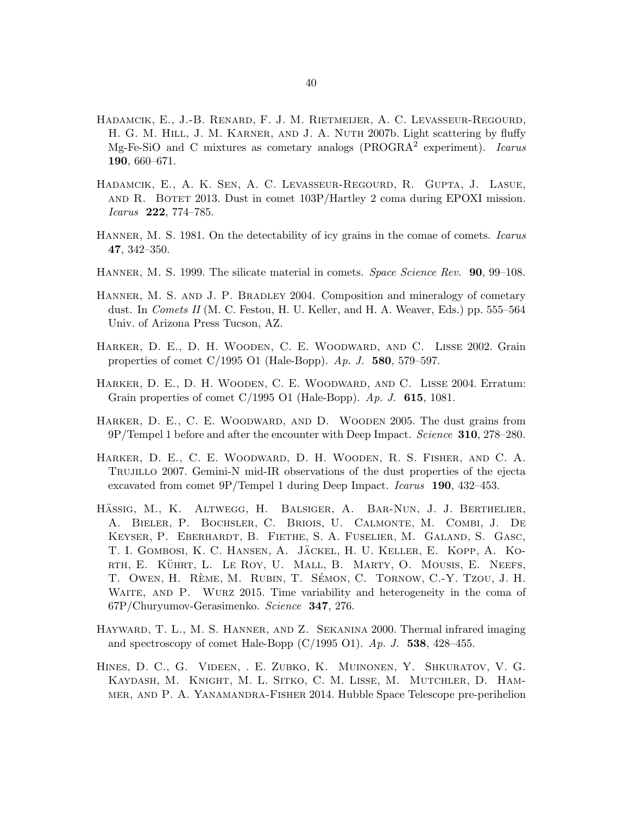- Hadamcik, E., J.-B. Renard, F. J. M. Rietmeijer, A. C. Levasseur-Regourd, H. G. M. Hill, J. M. Karner, and J. A. Nuth 2007b. Light scattering by fluffy Mg-Fe-SiO and C mixtures as cometary analogs (PROGRA<sup>2</sup> experiment). *Icarus* 190, 660–671.
- Hadamcik, E., A. K. Sen, A. C. Levasseur-Regourd, R. Gupta, J. Lasue, and R. Botet 2013. Dust in comet 103P/Hartley 2 coma during EPOXI mission. *Icarus* 222, 774–785.
- Hanner, M. S. 1981. On the detectability of icy grains in the comae of comets. *Icarus* 47, 342–350.
- Hanner, M. S. 1999. The silicate material in comets. *Space Science Rev.* 90, 99–108.
- HANNER, M. S. AND J. P. BRADLEY 2004. Composition and mineralogy of cometary dust. In *Comets II* (M. C. Festou, H. U. Keller, and H. A. Weaver, Eds.) pp. 555–564 Univ. of Arizona Press Tucson, AZ.
- Harker, D. E., D. H. Wooden, C. E. Woodward, and C. Lisse 2002. Grain properties of comet C/1995 O1 (Hale-Bopp). *Ap. J.* 580, 579–597.
- Harker, D. E., D. H. Wooden, C. E. Woodward, and C. Lisse 2004. Erratum: Grain properties of comet C/1995 O1 (Hale-Bopp). *Ap. J.* 615, 1081.
- Harker, D. E., C. E. Woodward, and D. Wooden 2005. The dust grains from 9P/Tempel 1 before and after the encounter with Deep Impact. *Science* 310, 278–280.
- Harker, D. E., C. E. Woodward, D. H. Wooden, R. S. Fisher, and C. A. Trujillo 2007. Gemini-N mid-IR observations of the dust properties of the ejecta excavated from comet 9P/Tempel 1 during Deep Impact. *Icarus* 190, 432–453.
- HÄSSIG, M., K. ALTWEGG, H. BALSIGER, A. BAR-NUN, J. J. BERTHELIER, A. Bieler, P. Bochsler, C. Briois, U. Calmonte, M. Combi, J. De Keyser, P. Eberhardt, B. Fiethe, S. A. Fuselier, M. Galand, S. Gasc, T. I. GOMBOSI, K. C. HANSEN, A. JÄCKEL, H. U. KELLER, E. KOPP, A. KOrth, E. Kuhrt, L. Le Roy, U. Mall, B. Marty, O. Mousis, E. Neefs, ¨ T. OWEN, H. RÈME, M. RUBIN, T. SÉMON, C. TORNOW, C.-Y. Tzou, J. H. WAITE, AND P. WURZ 2015. Time variability and heterogeneity in the coma of 67P/Churyumov-Gerasimenko. *Science* 347, 276.
- Hayward, T. L., M. S. Hanner, and Z. Sekanina 2000. Thermal infrared imaging and spectroscopy of comet Hale-Bopp (C/1995 O1). *Ap. J.* 538, 428–455.
- Hines, D. C., G. Videen, . E. Zubko, K. Muinonen, Y. Shkuratov, V. G. Kaydash, M. Knight, M. L. Sitko, C. M. Lisse, M. Mutchler, D. Hammer, and P. A. Yanamandra-Fisher 2014. Hubble Space Telescope pre-perihelion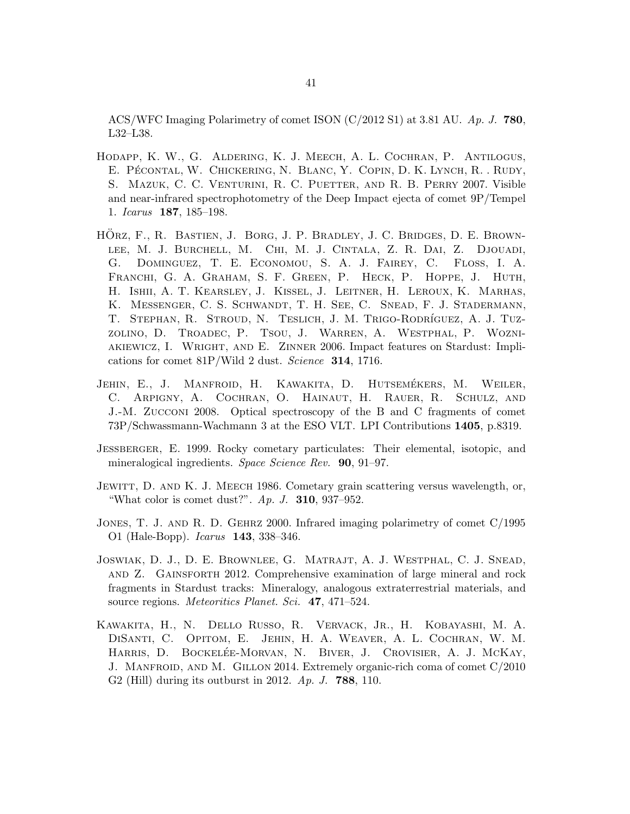ACS/WFC Imaging Polarimetry of comet ISON (C/2012 S1) at 3.81 AU. *Ap. J.* 780, L32–L38.

- Hodapp, K. W., G. Aldering, K. J. Meech, A. L. Cochran, P. Antilogus, E. PÉCONTAL, W. CHICKERING, N. BLANC, Y. COPIN, D. K. LYNCH, R. . RUDY, S. Mazuk, C. C. Venturini, R. C. Puetter, and R. B. Perry 2007. Visible and near-infrared spectrophotometry of the Deep Impact ejecta of comet 9P/Tempel 1. *Icarus* 187, 185–198.
- HORZ, F., R. BASTIEN, J. BORG, J. P. BRADLEY, J. C. BRIDGES, D. E. BROWNlee, M. J. Burchell, M. Chi, M. J. Cintala, Z. R. Dai, Z. Djouadi, G. Dominguez, T. E. Economou, S. A. J. Fairey, C. Floss, I. A. Franchi, G. A. Graham, S. F. Green, P. Heck, P. Hoppe, J. Huth, H. Ishii, A. T. Kearsley, J. Kissel, J. Leitner, H. Leroux, K. Marhas, K. Messenger, C. S. Schwandt, T. H. See, C. Snead, F. J. Stadermann, T. STEPHAN, R. STROUD, N. TESLICH, J. M. TRIGO-RODRÍGUEZ, A. J. TUZzolino, D. Troadec, P. Tsou, J. Warren, A. Westphal, P. Wozniakiewicz, I. Wright, and E. Zinner 2006. Impact features on Stardust: Implications for comet 81P/Wild 2 dust. *Science* 314, 1716.
- Jehin, E., J. Manfroid, H. Kawakita, D. Hutsemékers, M. Weiler, C. Arpigny, A. Cochran, O. Hainaut, H. Rauer, R. Schulz, and J.-M. Zucconi 2008. Optical spectroscopy of the B and C fragments of comet 73P/Schwassmann-Wachmann 3 at the ESO VLT. LPI Contributions 1405, p.8319.
- Jessberger, E. 1999. Rocky cometary particulates: Their elemental, isotopic, and mineralogical ingredients. *Space Science Rev.* 90, 91–97.
- JEWITT, D. AND K. J. MEECH 1986. Cometary grain scattering versus wavelength, or, "What color is comet dust?". *Ap. J.* 310, 937–952.
- Jones, T. J. and R. D. Gehrz 2000. Infrared imaging polarimetry of comet C/1995 O1 (Hale-Bopp). *Icarus* 143, 338–346.
- Joswiak, D. J., D. E. Brownlee, G. Matrajt, A. J. Westphal, C. J. Snead, and Z. Gainsforth 2012. Comprehensive examination of large mineral and rock fragments in Stardust tracks: Mineralogy, analogous extraterrestrial materials, and source regions. *Meteoritics Planet. Sci.* 47, 471–524.
- Kawakita, H., N. Dello Russo, R. Vervack, Jr., H. Kobayashi, M. A. DiSanti, C. Opitom, E. Jehin, H. A. Weaver, A. L. Cochran, W. M. HARRIS, D. BOCKELÉE-MORVAN, N. BIVER, J. CROVISIER, A. J. MCKAY, J. MANFROID, AND M. GILLON 2014. Extremely organic-rich coma of comet C/2010 G2 (Hill) during its outburst in 2012. *Ap. J.* 788, 110.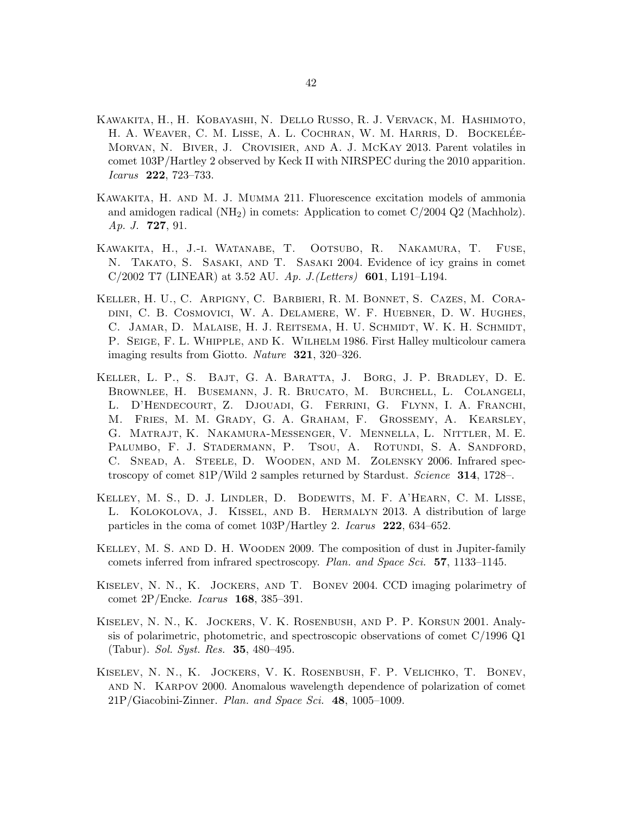- Kawakita, H., H. Kobayashi, N. Dello Russo, R. J. Vervack, M. Hashimoto, H. A. WEAVER, C. M. LISSE, A. L. COCHRAN, W. M. HARRIS, D. BOCKELÉE-Morvan, N. Biver, J. Crovisier, and A. J. McKay 2013. Parent volatiles in comet 103P/Hartley 2 observed by Keck II with NIRSPEC during the 2010 apparition. *Icarus* 222, 723–733.
- Kawakita, H. and M. J. Mumma 211. Fluorescence excitation models of ammonia and amidogen radical  $(NH_2)$  in comets: Application to comet  $C/2004$  Q2 (Machholz). *Ap. J.* 727, 91.
- Kawakita, H., J.-i. Watanabe, T. Ootsubo, R. Nakamura, T. Fuse, N. Takato, S. Sasaki, and T. Sasaki 2004. Evidence of icy grains in comet C/2002 T7 (LINEAR) at 3.52 AU. *Ap. J.(Letters)* 601, L191–L194.
- Keller, H. U., C. Arpigny, C. Barbieri, R. M. Bonnet, S. Cazes, M. Coradini, C. B. Cosmovici, W. A. Delamere, W. F. Huebner, D. W. Hughes, C. JAMAR, D. MALAISE, H. J. REITSEMA, H. U. SCHMIDT, W. K. H. SCHMIDT, P. Seige, F. L. Whipple, and K. Wilhelm 1986. First Halley multicolour camera imaging results from Giotto. *Nature* 321, 320–326.
- Keller, L. P., S. Bajt, G. A. Baratta, J. Borg, J. P. Bradley, D. E. Brownlee, H. Busemann, J. R. Brucato, M. Burchell, L. Colangeli, L. D'Hendecourt, Z. Djouadi, G. Ferrini, G. Flynn, I. A. Franchi, M. Fries, M. M. Grady, G. A. Graham, F. Grossemy, A. Kearsley, G. Matrajt, K. Nakamura-Messenger, V. Mennella, L. Nittler, M. E. PALUMBO, F. J. STADERMANN, P. TSOU, A. ROTUNDI, S. A. SANDFORD, C. Snead, A. Steele, D. Wooden, and M. Zolensky 2006. Infrared spectroscopy of comet 81P/Wild 2 samples returned by Stardust. *Science* 314, 1728–.
- Kelley, M. S., D. J. Lindler, D. Bodewits, M. F. A'Hearn, C. M. Lisse, L. Kolokolova, J. Kissel, and B. Hermalyn 2013. A distribution of large particles in the coma of comet 103P/Hartley 2. *Icarus* 222, 634–652.
- Kelley, M. S. and D. H. Wooden 2009. The composition of dust in Jupiter-family comets inferred from infrared spectroscopy. *Plan. and Space Sci.* 57, 1133–1145.
- Kiselev, N. N., K. Jockers, and T. Bonev 2004. CCD imaging polarimetry of comet 2P/Encke. *Icarus* 168, 385–391.
- Kiselev, N. N., K. Jockers, V. K. Rosenbush, and P. P. Korsun 2001. Analysis of polarimetric, photometric, and spectroscopic observations of comet C/1996 Q1 (Tabur). *Sol. Syst. Res.* 35, 480–495.
- Kiselev, N. N., K. Jockers, V. K. Rosenbush, F. P. Velichko, T. Bonev, and N. Karpov 2000. Anomalous wavelength dependence of polarization of comet 21P/Giacobini-Zinner. *Plan. and Space Sci.* 48, 1005–1009.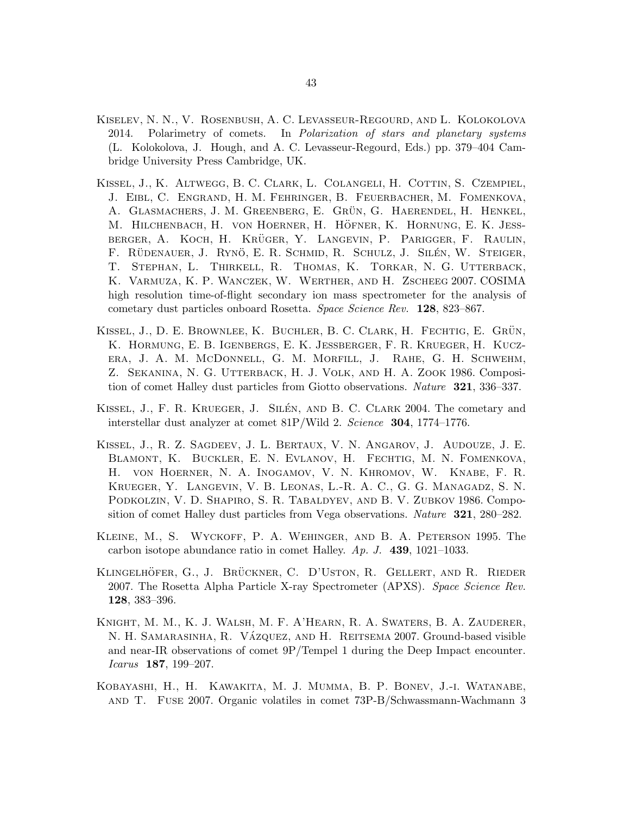- Kiselev, N. N., V. Rosenbush, A. C. Levasseur-Regourd, and L. Kolokolova 2014. Polarimetry of comets. In *Polarization of stars and planetary systems* (L. Kolokolova, J. Hough, and A. C. Levasseur-Regourd, Eds.) pp. 379–404 Cambridge University Press Cambridge, UK.
- Kissel, J., K. Altwegg, B. C. Clark, L. Colangeli, H. Cottin, S. Czempiel, J. Eibl, C. Engrand, H. M. Fehringer, B. Feuerbacher, M. Fomenkova, A. GLASMACHERS, J. M. GREENBERG, E. GRÜN, G. HAERENDEL, H. HENKEL, M. Hilchenbach, H. von Hoerner, H. Hofner, K. Hornung, E. K. Jess- ¨ berger, A. Koch, H. Krüger, Y. Langevin, P. Parigger, F. Raulin, F. RÜDENAUER, J. RYNÖ, E. R. SCHMID, R. SCHULZ, J. SILÉN, W. STEIGER, T. Stephan, L. Thirkell, R. Thomas, K. Torkar, N. G. Utterback, K. Varmuza, K. P. Wanczek, W. Werther, and H. Zscheeg 2007. COSIMA high resolution time-of-flight secondary ion mass spectrometer for the analysis of cometary dust particles onboard Rosetta. *Space Science Rev.* 128, 823–867.
- KISSEL, J., D. E. BROWNLEE, K. BUCHLER, B. C. CLARK, H. FECHTIG, E. GRÜN, K. Hormung, E. B. Igenbergs, E. K. Jessberger, F. R. Krueger, H. Kuczera, J. A. M. McDonnell, G. M. Morfill, J. Rahe, G. H. Schwehm, Z. Sekanina, N. G. Utterback, H. J. Volk, and H. A. Zook 1986. Composition of comet Halley dust particles from Giotto observations. *Nature* 321, 336–337.
- KISSEL, J., F. R. KRUEGER, J. SILÉN, AND B. C. CLARK 2004. The cometary and interstellar dust analyzer at comet 81P/Wild 2. *Science* 304, 1774–1776.
- Kissel, J., R. Z. Sagdeev, J. L. Bertaux, V. N. Angarov, J. Audouze, J. E. Blamont, K. Buckler, E. N. Evlanov, H. Fechtig, M. N. Fomenkova, H. von Hoerner, N. A. Inogamov, V. N. Khromov, W. Knabe, F. R. Krueger, Y. Langevin, V. B. Leonas, L.-R. A. C., G. G. Managadz, S. N. Podkolzin, V. D. Shapiro, S. R. Tabaldyev, and B. V. Zubkov 1986. Composition of comet Halley dust particles from Vega observations. *Nature* 321, 280–282.
- Kleine, M., S. Wyckoff, P. A. Wehinger, and B. A. Peterson 1995. The carbon isotope abundance ratio in comet Halley. *Ap. J.* 439, 1021–1033.
- KLINGELHÖFER, G., J. BRÜCKNER, C. D'USTON, R. GELLERT, AND R. RIEDER 2007. The Rosetta Alpha Particle X-ray Spectrometer (APXS). *Space Science Rev.* 128, 383–396.
- Knight, M. M., K. J. Walsh, M. F. A'Hearn, R. A. Swaters, B. A. Zauderer, N. H. SAMARASINHA, R. VÁZQUEZ, AND H. REITSEMA 2007. Ground-based visible and near-IR observations of comet 9P/Tempel 1 during the Deep Impact encounter. *Icarus* 187, 199–207.
- Kobayashi, H., H. Kawakita, M. J. Mumma, B. P. Bonev, J.-i. Watanabe, and T. Fuse 2007. Organic volatiles in comet 73P-B/Schwassmann-Wachmann 3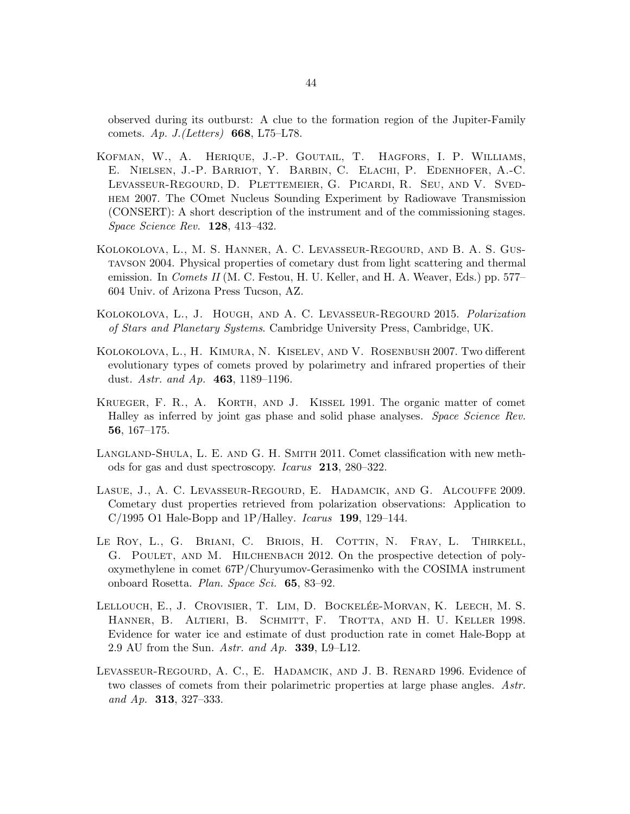observed during its outburst: A clue to the formation region of the Jupiter-Family comets. *Ap. J.(Letters)* 668, L75–L78.

- Kofman, W., A. Herique, J.-P. Goutail, T. Hagfors, I. P. Williams, E. Nielsen, J.-P. Barriot, Y. Barbin, C. Elachi, P. Edenhofer, A.-C. Levasseur-Regourd, D. Plettemeier, G. Picardi, R. Seu, and V. Svedhem 2007. The COmet Nucleus Sounding Experiment by Radiowave Transmission (CONSERT): A short description of the instrument and of the commissioning stages. *Space Science Rev.* 128, 413–432.
- Kolokolova, L., M. S. Hanner, A. C. Levasseur-Regourd, and B. A. S. Gustavson 2004. Physical properties of cometary dust from light scattering and thermal emission. In *Comets II* (M. C. Festou, H. U. Keller, and H. A. Weaver, Eds.) pp. 577– 604 Univ. of Arizona Press Tucson, AZ.
- Kolokolova, L., J. Hough, and A. C. Levasseur-Regourd 2015. *Polarization of Stars and Planetary Systems*. Cambridge University Press, Cambridge, UK.
- Kolokolova, L., H. Kimura, N. Kiselev, and V. Rosenbush 2007. Two different evolutionary types of comets proved by polarimetry and infrared properties of their dust. *Astr. and Ap.* 463, 1189–1196.
- Krueger, F. R., A. Korth, and J. Kissel 1991. The organic matter of comet Halley as inferred by joint gas phase and solid phase analyses. *Space Science Rev.* 56, 167–175.
- Langland-Shula, L. E. and G. H. Smith 2011. Comet classification with new methods for gas and dust spectroscopy. *Icarus* 213, 280–322.
- Lasue, J., A. C. Levasseur-Regourd, E. Hadamcik, and G. Alcouffe 2009. Cometary dust properties retrieved from polarization observations: Application to C/1995 O1 Hale-Bopp and 1P/Halley. *Icarus* 199, 129–144.
- LE ROY, L., G. BRIANI, C. BRIOIS, H. COTTIN, N. FRAY, L. THIRKELL, G. POULET, AND M. HILCHENBACH 2012. On the prospective detection of polyoxymethylene in comet 67P/Churyumov-Gerasimenko with the COSIMA instrument onboard Rosetta. *Plan. Space Sci.* 65, 83–92.
- LELLOUCH, E., J. CROVISIER, T. LIM, D. BOCKELÉE-MORVAN, K. LEECH, M. S. HANNER, B. ALTIERI, B. SCHMITT, F. TROTTA, AND H. U. KELLER 1998. Evidence for water ice and estimate of dust production rate in comet Hale-Bopp at 2.9 AU from the Sun. *Astr. and Ap.* 339, L9–L12.
- Levasseur-Regourd, A. C., E. Hadamcik, and J. B. Renard 1996. Evidence of two classes of comets from their polarimetric properties at large phase angles. *Astr. and Ap.* 313, 327–333.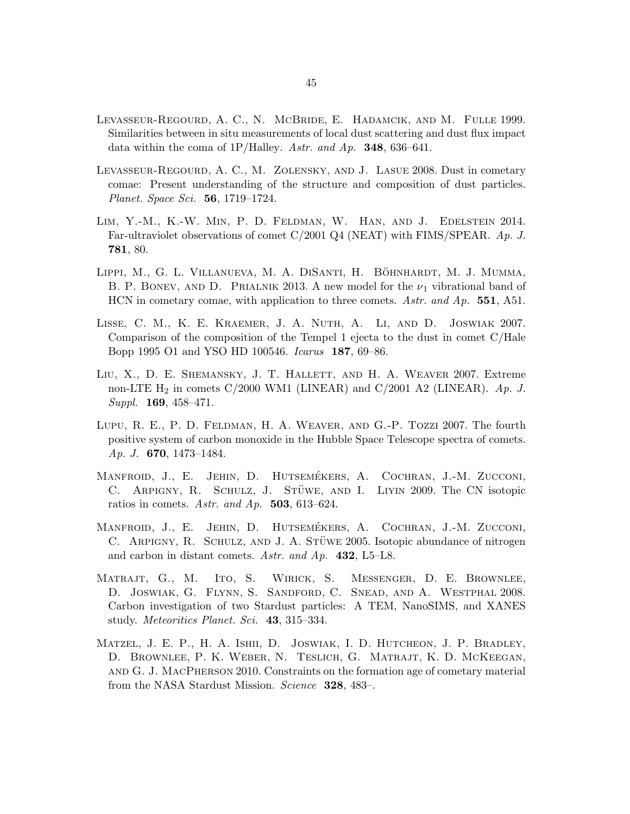- Levasseur-Regourd, A. C., N. McBride, E. Hadamcik, and M. Fulle 1999. Similarities between in situ measurements of local dust scattering and dust flux impact data within the coma of 1P/Halley. *Astr. and Ap.* 348, 636–641.
- Levasseur-Regourd, A. C., M. Zolensky, and J. Lasue 2008. Dust in cometary comae: Present understanding of the structure and composition of dust particles. *Planet. Space Sci.* 56, 1719–1724.
- Lim, Y.-M., K.-W. Min, P. D. Feldman, W. Han, and J. Edelstein 2014. Far-ultraviolet observations of comet C/2001 Q4 (NEAT) with FIMS/SPEAR. *Ap. J.* 781, 80.
- LIPPI, M., G. L. VILLANUEVA, M. A. DISANTI, H. BÖHNHARDT, M. J. MUMMA, B. P. BONEV, AND D. PRIALNIK 2013. A new model for the  $\nu_1$  vibrational band of HCN in cometary comae, with application to three comets. *Astr. and Ap.* 551, A51.
- Lisse, C. M., K. E. Kraemer, J. A. Nuth, A. Li, and D. Joswiak 2007. Comparison of the composition of the Tempel 1 ejecta to the dust in comet C/Hale Bopp 1995 O1 and YSO HD 100546. *Icarus* 187, 69–86.
- LIU, X., D. E. SHEMANSKY, J. T. HALLETT, AND H. A. WEAVER 2007. Extreme non-LTE  $H_2$  in comets  $C/2000$  WM1 (LINEAR) and  $C/2001$  A2 (LINEAR). Ap. J. *Suppl.* 169, 458–471.
- Lupu, R. E., P. D. Feldman, H. A. Weaver, and G.-P. Tozzi 2007. The fourth positive system of carbon monoxide in the Hubble Space Telescope spectra of comets. *Ap. J.* 670, 1473–1484.
- Manfroid, J., E. Jehin, D. Hutsem´ekers, A. Cochran, J.-M. Zucconi, C. ARPIGNY, R. SCHULZ, J. STÜWE, AND I. LIYIN 2009. The CN isotopic ratios in comets. *Astr. and Ap.* 503, 613–624.
- Manfroid, J., E. Jehin, D. Hutsem´ekers, A. Cochran, J.-M. Zucconi, C. ARPIGNY, R. SCHULZ, AND J. A. STÜWE 2005. Isotopic abundance of nitrogen and carbon in distant comets. *Astr. and Ap.* 432, L5–L8.
- Matrajt, G., M. Ito, S. Wirick, S. Messenger, D. E. Brownlee, D. Joswiak, G. Flynn, S. Sandford, C. Snead, and A. Westphal 2008. Carbon investigation of two Stardust particles: A TEM, NanoSIMS, and XANES study. *Meteoritics Planet. Sci.* 43, 315–334.
- Matzel, J. E. P., H. A. Ishii, D. Joswiak, I. D. Hutcheon, J. P. Bradley, D. Brownlee, P. K. Weber, N. Teslich, G. Matrajt, K. D. McKeegan, and G. J. MacPherson 2010. Constraints on the formation age of cometary material from the NASA Stardust Mission. *Science* 328, 483–.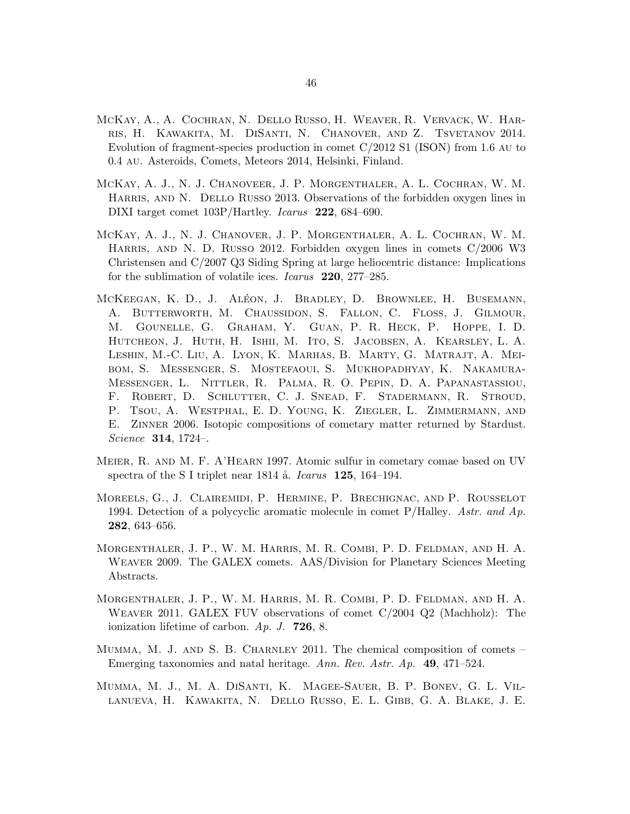- McKay, A., A. Cochran, N. Dello Russo, H. Weaver, R. Vervack, W. Harris, H. Kawakita, M. DiSanti, N. Chanover, and Z. Tsvetanov 2014. Evolution of fragment-species production in comet C/2012 S1 (ISON) from 1.6 au to 0.4 au. Asteroids, Comets, Meteors 2014, Helsinki, Finland.
- McKay, A. J., N. J. Chanoveer, J. P. Morgenthaler, A. L. Cochran, W. M. Harris, and N. Dello Russo 2013. Observations of the forbidden oxygen lines in DIXI target comet 103P/Hartley. *Icarus* 222, 684–690.
- McKay, A. J., N. J. Chanover, J. P. Morgenthaler, A. L. Cochran, W. M. Harris, and N. D. Russo 2012. Forbidden oxygen lines in comets C/2006 W3 Christensen and C/2007 Q3 Siding Spring at large heliocentric distance: Implications for the sublimation of volatile ices. *Icarus* 220, 277–285.
- MCKEEGAN, K. D., J. ALÉON, J. BRADLEY, D. BROWNLEE, H. BUSEMANN, A. Butterworth, M. Chaussidon, S. Fallon, C. Floss, J. Gilmour, M. Gounelle, G. Graham, Y. Guan, P. R. Heck, P. Hoppe, I. D. Hutcheon, J. Huth, H. Ishii, M. Ito, S. Jacobsen, A. Kearsley, L. A. Leshin, M.-C. Liu, A. Lyon, K. Marhas, B. Marty, G. Matrajt, A. Meibom, S. Messenger, S. Mostefaoui, S. Mukhopadhyay, K. Nakamura-Messenger, L. Nittler, R. Palma, R. O. Pepin, D. A. Papanastassiou, F. Robert, D. Schlutter, C. J. Snead, F. Stadermann, R. Stroud, P. Tsou, A. Westphal, E. D. Young, K. Ziegler, L. Zimmermann, and E. Zinner 2006. Isotopic compositions of cometary matter returned by Stardust. *Science* 314, 1724–.
- Meier, R. and M. F. A'Hearn 1997. Atomic sulfur in cometary comae based on UV spectra of the S I triplet near 1814 å. *Icarus* 125, 164-194.
- Moreels, G., J. Clairemidi, P. Hermine, P. Brechignac, and P. Rousselot 1994. Detection of a polycyclic aromatic molecule in comet P/Halley. *Astr. and Ap.* 282, 643–656.
- Morgenthaler, J. P., W. M. Harris, M. R. Combi, P. D. Feldman, and H. A. Weaver 2009. The GALEX comets. AAS/Division for Planetary Sciences Meeting Abstracts.
- Morgenthaler, J. P., W. M. Harris, M. R. Combi, P. D. Feldman, and H. A. Weaver 2011. GALEX FUV observations of comet C/2004 Q2 (Machholz): The ionization lifetime of carbon. *Ap. J.* 726, 8.
- MUMMA, M. J. AND S. B. CHARNLEY 2011. The chemical composition of comets Emerging taxonomies and natal heritage. *Ann. Rev. Astr. Ap.* 49, 471–524.
- Mumma, M. J., M. A. DiSanti, K. Magee-Sauer, B. P. Bonev, G. L. Villanueva, H. Kawakita, N. Dello Russo, E. L. Gibb, G. A. Blake, J. E.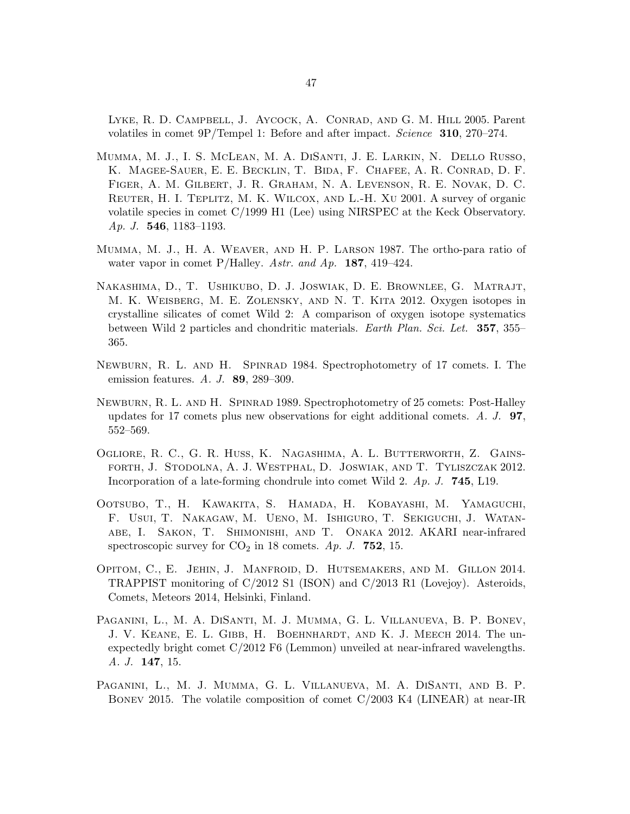Lyke, R. D. Campbell, J. Aycock, A. Conrad, and G. M. Hill 2005. Parent volatiles in comet 9P/Tempel 1: Before and after impact. *Science* 310, 270–274.

- Mumma, M. J., I. S. McLean, M. A. DiSanti, J. E. Larkin, N. Dello Russo, K. Magee-Sauer, E. E. Becklin, T. Bida, F. Chafee, A. R. Conrad, D. F. Figer, A. M. Gilbert, J. R. Graham, N. A. Levenson, R. E. Novak, D. C. Reuter, H. I. Teplitz, M. K. Wilcox, and L.-H. Xu 2001. A survey of organic volatile species in comet C/1999 H1 (Lee) using NIRSPEC at the Keck Observatory. *Ap. J.* 546, 1183–1193.
- Mumma, M. J., H. A. Weaver, and H. P. Larson 1987. The ortho-para ratio of water vapor in comet P/Halley. *Astr. and Ap.* 187, 419–424.
- Nakashima, D., T. Ushikubo, D. J. Joswiak, D. E. Brownlee, G. Matrajt, M. K. Weisberg, M. E. Zolensky, and N. T. Kita 2012. Oxygen isotopes in crystalline silicates of comet Wild 2: A comparison of oxygen isotope systematics between Wild 2 particles and chondritic materials. *Earth Plan. Sci. Let.* 357, 355– 365.
- Newburn, R. L. and H. Spinrad 1984. Spectrophotometry of 17 comets. I. The emission features. *A. J.* 89, 289–309.
- Newburn, R. L. and H. Spinrad 1989. Spectrophotometry of 25 comets: Post-Halley updates for 17 comets plus new observations for eight additional comets. *A. J.* 97, 552–569.
- Ogliore, R. C., G. R. Huss, K. Nagashima, A. L. Butterworth, Z. Gainsforth, J. Stodolna, A. J. Westphal, D. Joswiak, and T. Tyliszczak 2012. Incorporation of a late-forming chondrule into comet Wild 2. *Ap. J.* 745, L19.
- Ootsubo, T., H. Kawakita, S. Hamada, H. Kobayashi, M. Yamaguchi, F. Usui, T. Nakagaw, M. Ueno, M. Ishiguro, T. Sekiguchi, J. Watanabe, I. Sakon, T. Shimonishi, and T. Onaka 2012. AKARI near-infrared spectroscopic survey for  $CO_2$  in 18 comets. *Ap. J.* **752**, 15.
- Opitom, C., E. Jehin, J. Manfroid, D. Hutsemakers, and M. Gillon 2014. TRAPPIST monitoring of C/2012 S1 (ISON) and C/2013 R1 (Lovejoy). Asteroids, Comets, Meteors 2014, Helsinki, Finland.
- PAGANINI, L., M. A. DISANTI, M. J. MUMMA, G. L. VILLANUEVA, B. P. BONEV, J. V. Keane, E. L. Gibb, H. Boehnhardt, and K. J. Meech 2014. The unexpectedly bright comet C/2012 F6 (Lemmon) unveiled at near-infrared wavelengths. *A. J.* 147, 15.
- Paganini, L., M. J. Mumma, G. L. Villanueva, M. A. DiSanti, and B. P. Bonev 2015. The volatile composition of comet C/2003 K4 (LINEAR) at near-IR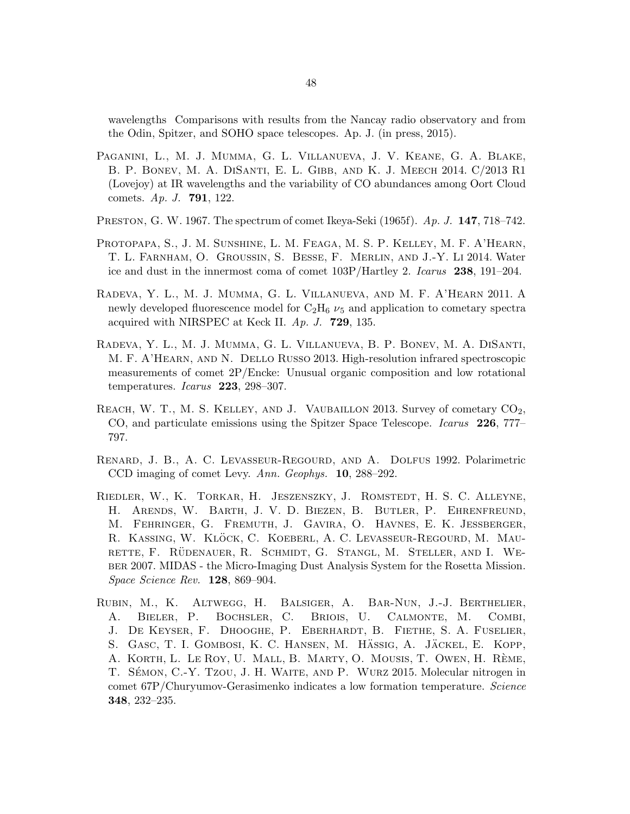wavelengths Comparisons with results from the Nancay radio observatory and from the Odin, Spitzer, and SOHO space telescopes. Ap. J. (in press, 2015).

- PAGANINI, L., M. J. MUMMA, G. L. VILLANUEVA, J. V. KEANE, G. A. BLAKE, B. P. Bonev, M. A. DiSanti, E. L. Gibb, and K. J. Meech 2014. C/2013 R1 (Lovejoy) at IR wavelengths and the variability of CO abundances among Oort Cloud comets. *Ap. J.* 791, 122.
- Preston, G. W. 1967. The spectrum of comet Ikeya-Seki (1965f). *Ap. J.* 147, 718–742.
- PROTOPAPA, S., J. M. SUNSHINE, L. M. FEAGA, M. S. P. KELLEY, M. F. A'HEARN, T. L. Farnham, O. Groussin, S. Besse, F. Merlin, and J.-Y. Li 2014. Water ice and dust in the innermost coma of comet 103P/Hartley 2. *Icarus* 238, 191–204.
- Radeva, Y. L., M. J. Mumma, G. L. Villanueva, and M. F. A'Hearn 2011. A newly developed fluorescence model for  $C_2H_6 \nu_5$  and application to cometary spectra acquired with NIRSPEC at Keck II. *Ap. J.* 729, 135.
- Radeva, Y. L., M. J. Mumma, G. L. Villanueva, B. P. Bonev, M. A. DiSanti, M. F. A'Hearn, and N. Dello Russo 2013. High-resolution infrared spectroscopic measurements of comet 2P/Encke: Unusual organic composition and low rotational temperatures. *Icarus* 223, 298–307.
- REACH, W. T., M. S. KELLEY, AND J. VAUBAILLON 2013. Survey of cometary  $CO<sub>2</sub>$ , CO, and particulate emissions using the Spitzer Space Telescope. *Icarus* 226, 777– 797.
- Renard, J. B., A. C. Levasseur-Regourd, and A. Dolfus 1992. Polarimetric CCD imaging of comet Levy. *Ann. Geophys.* 10, 288–292.
- Riedler, W., K. Torkar, H. Jeszenszky, J. Romstedt, H. S. C. Alleyne, H. Arends, W. Barth, J. V. D. Biezen, B. Butler, P. Ehrenfreund, M. Fehringer, G. Fremuth, J. Gavira, O. Havnes, E. K. Jessberger, R. KASSING, W. KLÖCK, C. KOEBERL, A. C. LEVASSEUR-REGOURD, M. MAUrette, F. Rudenauer, R. Schmidt, G. Stangl, M. Steller, and I. We- ¨ ber 2007. MIDAS - the Micro-Imaging Dust Analysis System for the Rosetta Mission. *Space Science Rev.* 128, 869–904.
- Rubin, M., K. Altwegg, H. Balsiger, A. Bar-Nun, J.-J. Berthelier, A. Bieler, P. Bochsler, C. Briois, U. Calmonte, M. Combi, J. De Keyser, F. Dhooghe, P. Eberhardt, B. Fiethe, S. A. Fuselier, S. GASC, T. I. GOMBOSI, K. C. HANSEN, M. HÄSSIG, A. JÄCKEL, E. KOPP, A. KORTH, L. LE ROY, U. MALL, B. MARTY, O. MOUSIS, T. OWEN, H. RÈME, T. Sémon, C.-Y. Tzou, J. H. WAITE, AND P. WURZ 2015. Molecular nitrogen in comet 67P/Churyumov-Gerasimenko indicates a low formation temperature. *Science* 348, 232–235.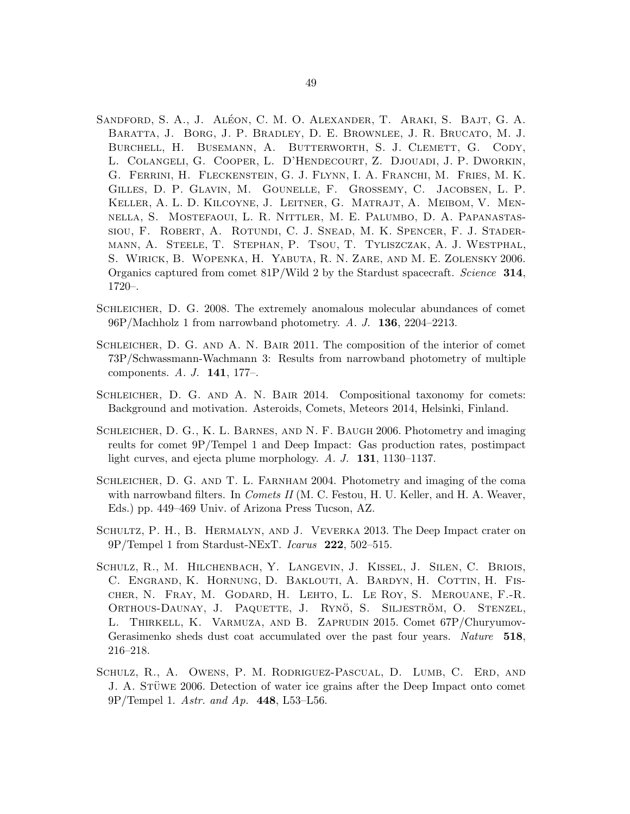- SANDFORD, S. A., J. ALÉON, C. M. O. ALEXANDER, T. ARAKI, S. BAJT, G. A. Baratta, J. Borg, J. P. Bradley, D. E. Brownlee, J. R. Brucato, M. J. BURCHELL, H. BUSEMANN, A. BUTTERWORTH, S. J. CLEMETT, G. CODY, L. Colangeli, G. Cooper, L. D'Hendecourt, Z. Djouadi, J. P. Dworkin, G. Ferrini, H. Fleckenstein, G. J. Flynn, I. A. Franchi, M. Fries, M. K. Gilles, D. P. Glavin, M. Gounelle, F. Grossemy, C. Jacobsen, L. P. Keller, A. L. D. Kilcoyne, J. Leitner, G. Matrajt, A. Meibom, V. Mennella, S. Mostefaoui, L. R. Nittler, M. E. Palumbo, D. A. Papanastassiou, F. Robert, A. Rotundi, C. J. Snead, M. K. Spencer, F. J. Stadermann, A. Steele, T. Stephan, P. Tsou, T. Tyliszczak, A. J. Westphal, S. Wirick, B. Wopenka, H. Yabuta, R. N. Zare, and M. E. Zolensky 2006. Organics captured from comet 81P/Wild 2 by the Stardust spacecraft. *Science* 314, 1720–.
- Schleicher, D. G. 2008. The extremely anomalous molecular abundances of comet 96P/Machholz 1 from narrowband photometry. *A. J.* 136, 2204–2213.
- Schleicher, D. G. and A. N. Bair 2011. The composition of the interior of comet 73P/Schwassmann-Wachmann 3: Results from narrowband photometry of multiple components. *A. J.* 141, 177–.
- SCHLEICHER, D. G. AND A. N. BAIR 2014. Compositional taxonomy for comets: Background and motivation. Asteroids, Comets, Meteors 2014, Helsinki, Finland.
- Schleicher, D. G., K. L. Barnes, and N. F. Baugh 2006. Photometry and imaging reults for comet 9P/Tempel 1 and Deep Impact: Gas production rates, postimpact light curves, and ejecta plume morphology. *A. J.* 131, 1130–1137.
- Schleicher, D. G. and T. L. Farnham 2004. Photometry and imaging of the coma with narrowband filters. In *Comets II* (M. C. Festou, H. U. Keller, and H. A. Weaver, Eds.) pp. 449–469 Univ. of Arizona Press Tucson, AZ.
- SCHULTZ, P. H., B. HERMALYN, AND J. VEVERKA 2013. The Deep Impact crater on 9P/Tempel 1 from Stardust-NExT. *Icarus* 222, 502–515.
- Schulz, R., M. Hilchenbach, Y. Langevin, J. Kissel, J. Silen, C. Briois, C. Engrand, K. Hornung, D. Baklouti, A. Bardyn, H. Cottin, H. Fischer, N. Fray, M. Godard, H. Lehto, L. Le Roy, S. Merouane, F.-R. ORTHOUS-DAUNAY, J. PAQUETTE, J. RYNÖ, S. SILJESTRÖM, O. STENZEL, L. Thirkell, K. Varmuza, and B. Zaprudin 2015. Comet 67P/Churyumov-Gerasimenko sheds dust coat accumulated over the past four years. *Nature* 518, 216–218.
- Schulz, R., A. Owens, P. M. Rodriguez-Pascual, D. Lumb, C. Erd, and J. A. STÜWE 2006. Detection of water ice grains after the Deep Impact onto comet 9P/Tempel 1. *Astr. and Ap.* 448, L53–L56.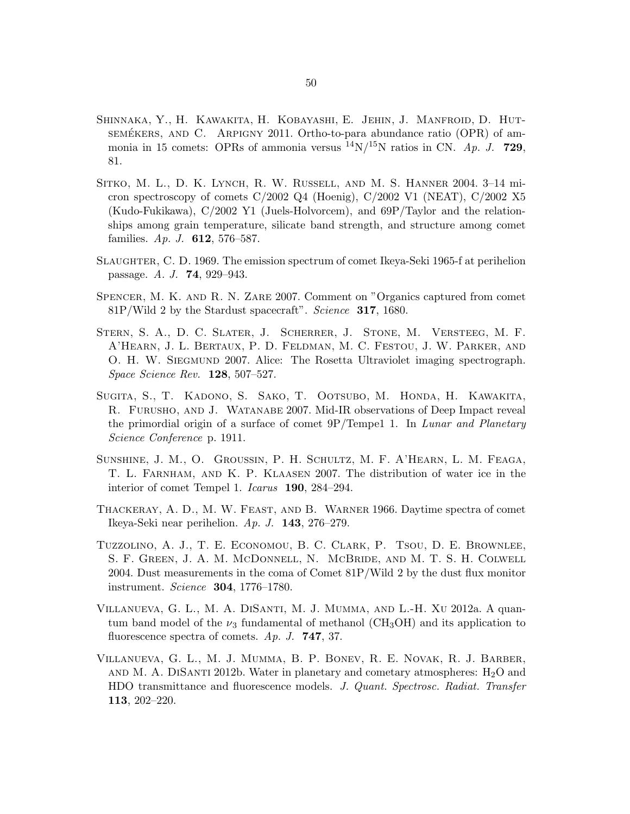- Shinnaka, Y., H. Kawakita, H. Kobayashi, E. Jehin, J. Manfroid, D. Hutsemékers, and C. Arpigny 2011. Ortho-to-para abundance ratio (OPR) of ammonia in 15 comets: OPRs of ammonia versus  $^{14}N/^{15}N$  ratios in CN. *Ap. J.* **729**, 81.
- Sitko, M. L., D. K. Lynch, R. W. Russell, and M. S. Hanner 2004. 3–14 micron spectroscopy of comets C/2002 Q4 (Hoenig), C/2002 V1 (NEAT), C/2002 X5 (Kudo-Fukikawa), C/2002 Y1 (Juels-Holvorcem), and 69P/Taylor and the relationships among grain temperature, silicate band strength, and structure among comet families. *Ap. J.* 612, 576–587.
- SLAUGHTER, C. D. 1969. The emission spectrum of comet Ikeya-Seki 1965-f at perihelion passage. *A. J.* 74, 929–943.
- Spencer, M. K. and R. N. Zare 2007. Comment on "Organics captured from comet 81P/Wild 2 by the Stardust spacecraft". *Science* 317, 1680.
- Stern, S. A., D. C. Slater, J. Scherrer, J. Stone, M. Versteeg, M. F. A'Hearn, J. L. Bertaux, P. D. Feldman, M. C. Festou, J. W. Parker, and O. H. W. Siegmund 2007. Alice: The Rosetta Ultraviolet imaging spectrograph. *Space Science Rev.* 128, 507–527.
- Sugita, S., T. Kadono, S. Sako, T. Ootsubo, M. Honda, H. Kawakita, R. FURUSHO, AND J. WATANABE 2007. Mid-IR observations of Deep Impact reveal the primordial origin of a surface of comet 9P/Tempe1 1. In *Lunar and Planetary Science Conference* p. 1911.
- Sunshine, J. M., O. Groussin, P. H. Schultz, M. F. A'Hearn, L. M. Feaga, T. L. Farnham, and K. P. Klaasen 2007. The distribution of water ice in the interior of comet Tempel 1. *Icarus* 190, 284–294.
- Thackeray, A. D., M. W. Feast, and B. Warner 1966. Daytime spectra of comet Ikeya-Seki near perihelion. *Ap. J.* 143, 276–279.
- Tuzzolino, A. J., T. E. Economou, B. C. Clark, P. Tsou, D. E. Brownlee, S. F. Green, J. A. M. McDonnell, N. McBride, and M. T. S. H. Colwell 2004. Dust measurements in the coma of Comet 81P/Wild 2 by the dust flux monitor instrument. *Science* 304, 1776–1780.
- Villanueva, G. L., M. A. DiSanti, M. J. Mumma, and L.-H. Xu 2012a. A quantum band model of the  $\nu_3$  fundamental of methanol (CH<sub>3</sub>OH) and its application to fluorescence spectra of comets. *Ap. J.* 747, 37.
- Villanueva, G. L., M. J. Mumma, B. P. Bonev, R. E. Novak, R. J. Barber, AND M. A. DISANTI 2012b. Water in planetary and cometary atmospheres:  $H_2O$  and HDO transmittance and fluorescence models. *J. Quant. Spectrosc. Radiat. Transfer* 113, 202–220.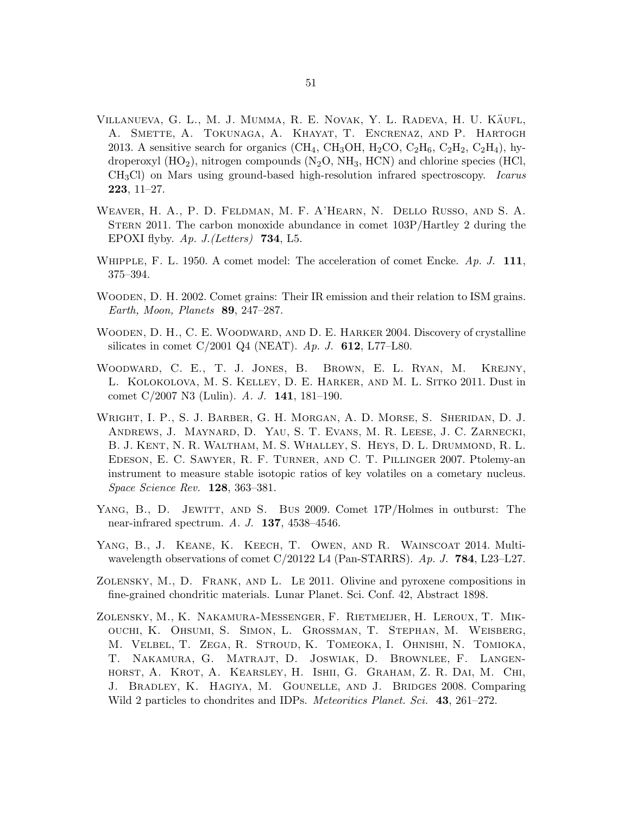- VILLANUEVA, G. L., M. J. MUMMA, R. E. NOVAK, Y. L. RADEVA, H. U. KÄUFL, A. Smette, A. Tokunaga, A. Khayat, T. Encrenaz, and P. Hartogh 2013. A sensitive search for organics (CH<sub>4</sub>, CH<sub>3</sub>OH, H<sub>2</sub>CO, C<sub>2</sub>H<sub>6</sub>, C<sub>2</sub>H<sub>2</sub>, C<sub>2</sub>H<sub>4</sub>), hydroperoxyl  $(HO<sub>2</sub>)$ , nitrogen compounds  $(N<sub>2</sub>O, NH<sub>3</sub>, HCN)$  and chlorine species (HCl, CH3Cl) on Mars using ground-based high-resolution infrared spectroscopy. *Icarus* 223, 11–27.
- Weaver, H. A., P. D. Feldman, M. F. A'Hearn, N. Dello Russo, and S. A. Stern 2011. The carbon monoxide abundance in comet 103P/Hartley 2 during the EPOXI flyby. *Ap. J.(Letters)* 734, L5.
- Whipple, F. L. 1950. A comet model: The acceleration of comet Encke. *Ap. J.* 111, 375–394.
- Wooden, D. H. 2002. Comet grains: Their IR emission and their relation to ISM grains. *Earth, Moon, Planets* 89, 247–287.
- Wooden, D. H., C. E. Woodward, and D. E. Harker 2004. Discovery of crystalline silicates in comet C/2001 Q4 (NEAT). *Ap. J.* 612, L77–L80.
- Woodward, C. E., T. J. Jones, B. Brown, E. L. Ryan, M. Krejny, L. Kolokolova, M. S. Kelley, D. E. Harker, and M. L. Sitko 2011. Dust in comet C/2007 N3 (Lulin). *A. J.* 141, 181–190.
- Wright, I. P., S. J. Barber, G. H. Morgan, A. D. Morse, S. Sheridan, D. J. Andrews, J. Maynard, D. Yau, S. T. Evans, M. R. Leese, J. C. Zarnecki, B. J. Kent, N. R. Waltham, M. S. Whalley, S. Heys, D. L. Drummond, R. L. Edeson, E. C. Sawyer, R. F. Turner, and C. T. Pillinger 2007. Ptolemy-an instrument to measure stable isotopic ratios of key volatiles on a cometary nucleus. *Space Science Rev.* 128, 363–381.
- YANG, B., D. JEWITT, AND S. BUS 2009. Comet 17P/Holmes in outburst: The near-infrared spectrum. *A. J.* 137, 4538–4546.
- Yang, B., J. Keane, K. Keech, T. Owen, and R. Wainscoat 2014. Multiwavelength observations of comet C/20122 L4 (Pan-STARRS). *Ap. J.* 784, L23–L27.
- Zolensky, M., D. Frank, and L. Le 2011. Olivine and pyroxene compositions in fine-grained chondritic materials. Lunar Planet. Sci. Conf. 42, Abstract 1898.
- Zolensky, M., K. Nakamura-Messenger, F. Rietmeijer, H. Leroux, T. Mikouchi, K. Ohsumi, S. Simon, L. Grossman, T. Stephan, M. Weisberg, M. Velbel, T. Zega, R. Stroud, K. Tomeoka, I. Ohnishi, N. Tomioka, T. Nakamura, G. Matrajt, D. Joswiak, D. Brownlee, F. Langenhorst, A. Krot, A. Kearsley, H. Ishii, G. Graham, Z. R. Dai, M. Chi, J. Bradley, K. Hagiya, M. Gounelle, and J. Bridges 2008. Comparing Wild 2 particles to chondrites and IDPs. *Meteoritics Planet. Sci.* 43, 261–272.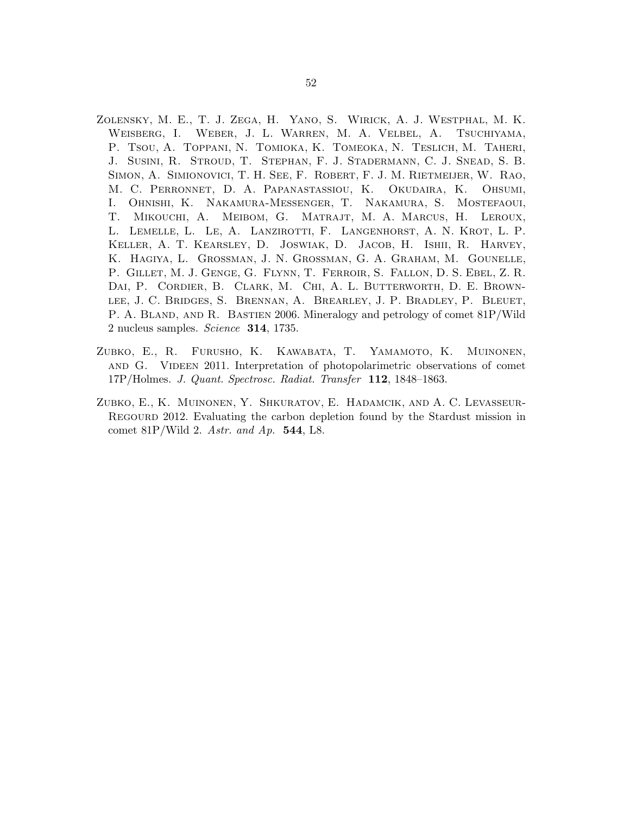- Zolensky, M. E., T. J. Zega, H. Yano, S. Wirick, A. J. Westphal, M. K. Weisberg, I. Weber, J. L. Warren, M. A. Velbel, A. Tsuchiyama, P. Tsou, A. Toppani, N. Tomioka, K. Tomeoka, N. Teslich, M. Taheri, J. Susini, R. Stroud, T. Stephan, F. J. Stadermann, C. J. Snead, S. B. Simon, A. Simionovici, T. H. See, F. Robert, F. J. M. Rietmeijer, W. Rao, M. C. Perronnet, D. A. Papanastassiou, K. Okudaira, K. Ohsumi, I. Ohnishi, K. Nakamura-Messenger, T. Nakamura, S. Mostefaoui, T. Mikouchi, A. Meibom, G. Matrajt, M. A. Marcus, H. Leroux, L. LEMELLE, L. LE, A. LANZIROTTI, F. LANGENHORST, A. N. KROT, L. P. Keller, A. T. Kearsley, D. Joswiak, D. Jacob, H. Ishii, R. Harvey, K. Hagiya, L. Grossman, J. N. Grossman, G. A. Graham, M. Gounelle, P. Gillet, M. J. Genge, G. Flynn, T. Ferroir, S. Fallon, D. S. Ebel, Z. R. Dai, P. Cordier, B. Clark, M. Chi, A. L. Butterworth, D. E. Brownlee, J. C. Bridges, S. Brennan, A. Brearley, J. P. Bradley, P. Bleuet, P. A. BLAND, AND R. BASTIEN 2006. Mineralogy and petrology of comet 81P/Wild 2 nucleus samples. *Science* 314, 1735.
- Zubko, E., R. Furusho, K. Kawabata, T. Yamamoto, K. Muinonen, and G. Videen 2011. Interpretation of photopolarimetric observations of comet 17P/Holmes. *J. Quant. Spectrosc. Radiat. Transfer* 112, 1848–1863.
- Zubko, E., K. Muinonen, Y. Shkuratov, E. Hadamcik, and A. C. Levasseur-Regourd 2012. Evaluating the carbon depletion found by the Stardust mission in comet 81P/Wild 2. *Astr. and Ap.* 544, L8.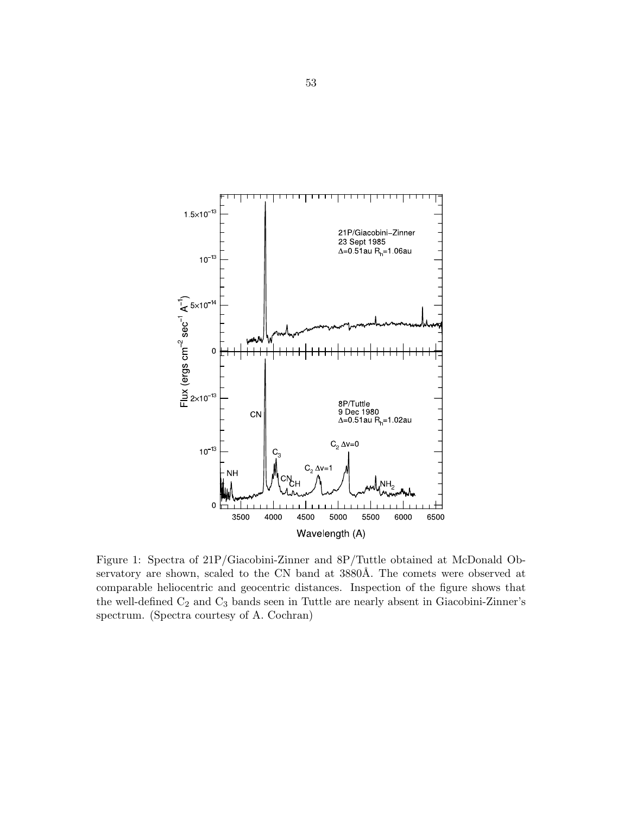

<span id="page-53-0"></span>Figure 1: Spectra of 21P/Giacobini-Zinner and 8P/Tuttle obtained at McDonald Observatory are shown, scaled to the CN band at  $3880\text{\AA}$ . The comets were observed at comparable heliocentric and geocentric distances. Inspection of the figure shows that the well-defined  $\mathrm{C}_2$  and  $\mathrm{C}_3$  bands seen in Tuttle are nearly absent in Giacobini-Zinner's spectrum. (Spectra courtesy of A. Cochran)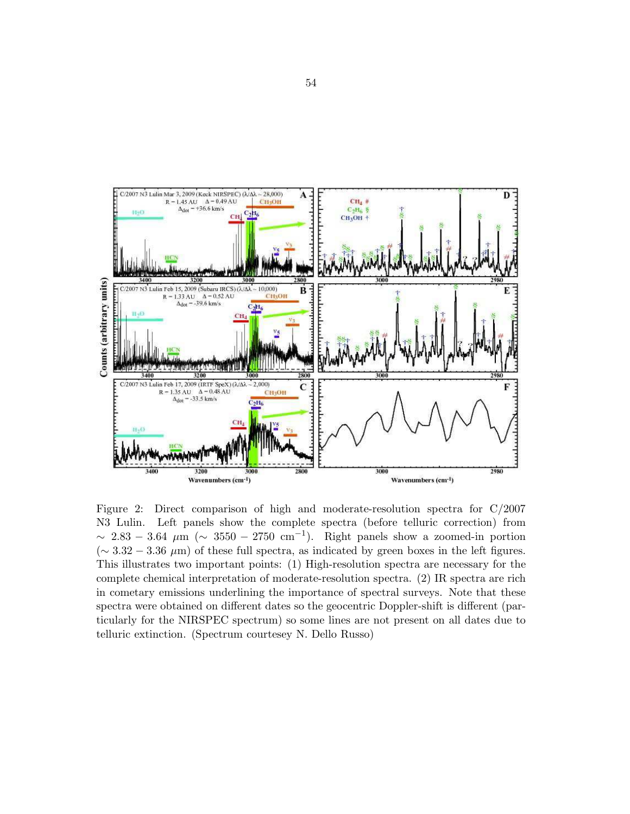

<span id="page-54-0"></span>Figure 2: Direct comparison of high and moderate-resolution spectra for C/2007 N3 Lulin. Left panels show the complete spectra (before telluric correction) from  $\sim 2.83 - 3.64 \mu m \approx 3550 - 2750 \text{ cm}^{-1}$ ). Right panels show a zoomed-in portion  $(~ 3.32 - 3.36 \mu m)$  of these full spectra, as indicated by green boxes in the left figures. This illustrates two important points: (1) High-resolution spectra are necessary for the complete chemical interpretation of moderate-resolution spectra. (2) IR spectra are rich in cometary emissions underlining the importance of spectral surveys. Note that these spectra were obtained on different dates so the geocentric Doppler-shift is different (particularly for the NIRSPEC spectrum) so some lines are not present on all dates due to telluric extinction. (Spectrum courtesey N. Dello Russo)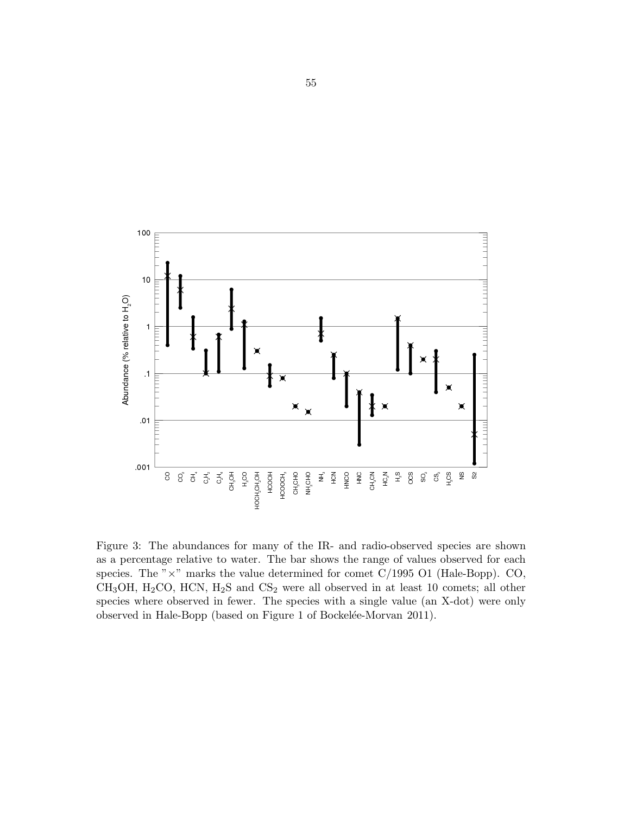

<span id="page-55-0"></span>Figure 3: The abundances for many of the IR- and radio-observed species are shown as a percentage relative to water. The bar shows the range of values observed for each species. The " $\times$ " marks the value determined for comet C/1995 O1 (Hale-Bopp). CO, CH<sub>3</sub>OH, H<sub>2</sub>CO, HCN, H<sub>2</sub>S and CS<sub>2</sub> were all observed in at least 10 comets; all other species where observed in fewer. The species with a single value (an X-dot) were only observed in Hale-Bopp (based on Figure 1 of Bockelée-Morvan 2011).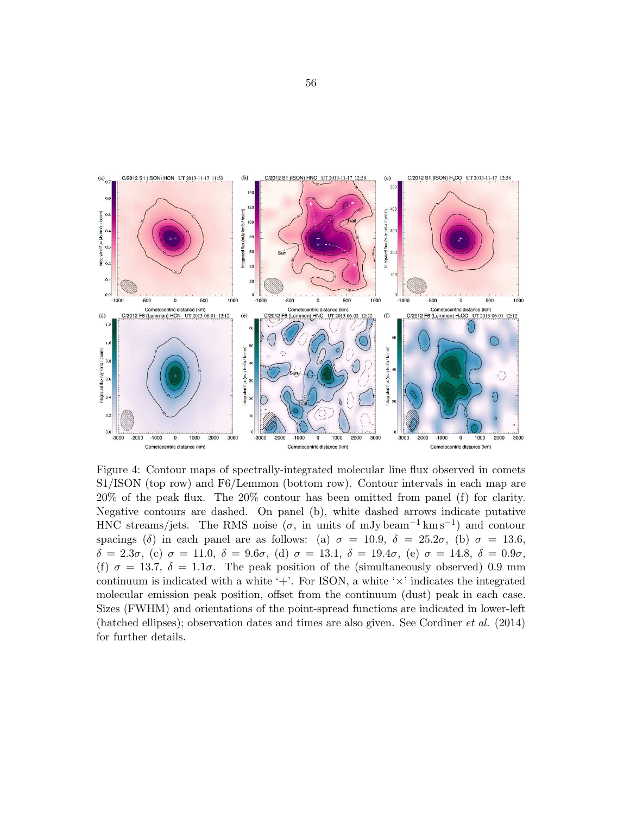

<span id="page-56-0"></span>Figure 4: Contour maps of spectrally-integrated molecular line flux observed in comets S1/ISON (top row) and F6/Lemmon (bottom row). Contour intervals in each map are 20% of the peak flux. The 20% contour has been omitted from panel (f) for clarity. Negative contours are dashed. On panel (b), white dashed arrows indicate putative HNC streams/jets. The RMS noise  $(\sigma)$ , in units of mJy beam<sup>-1</sup> km s<sup>-1</sup>) and contour spacings (δ) in each panel are as follows: (a)  $\sigma = 10.9$ ,  $\delta = 25.2\sigma$ , (b)  $\sigma = 13.6$ , δ = 2.3σ, (c) σ = 11.0, δ = 9.6σ, (d) σ = 13.1, δ = 19.4σ, (e) σ = 14.8, δ = 0.9σ, (f)  $\sigma = 13.7, \delta = 1.1\sigma$ . The peak position of the (simultaneously observed) 0.9 mm continuum is indicated with a white  $'+$ . For ISON, a white  $'\times$  indicates the integrated molecular emission peak position, offset from the continuum (dust) peak in each case. Sizes (FWHM) and orientations of the point-spread functions are indicated in lower-left (hatched ellipses); observation dates and times are also given. See Cordiner *et al.* (2014) for further details.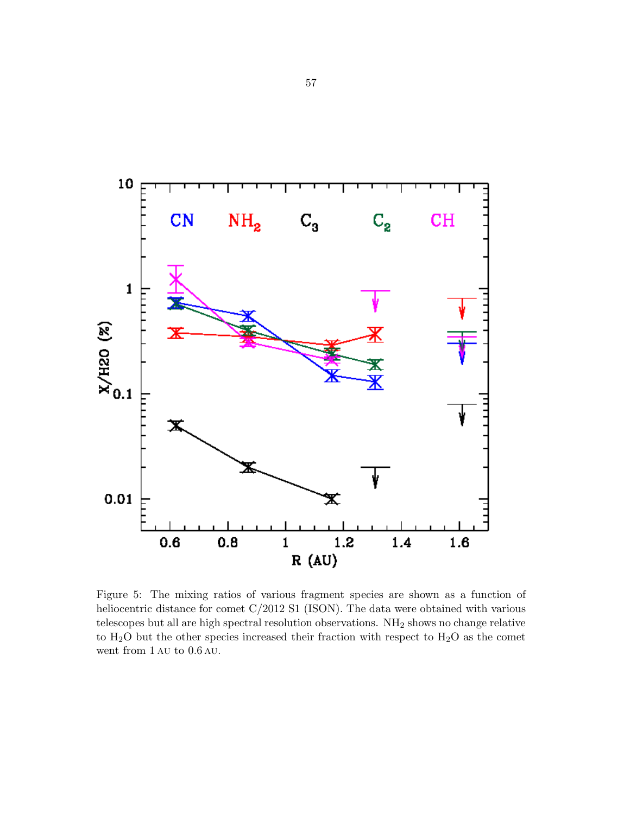57



<span id="page-57-0"></span>Figure 5: The mixing ratios of various fragment species are shown as a function of heliocentric distance for comet C/2012 S1 (ISON). The data were obtained with various telescopes but all are high spectral resolution observations.  $NH<sub>2</sub>$  shows no change relative to  $H_2O$  but the other species increased their fraction with respect to  $H_2O$  as the comet went from 1 au to 0.6 au.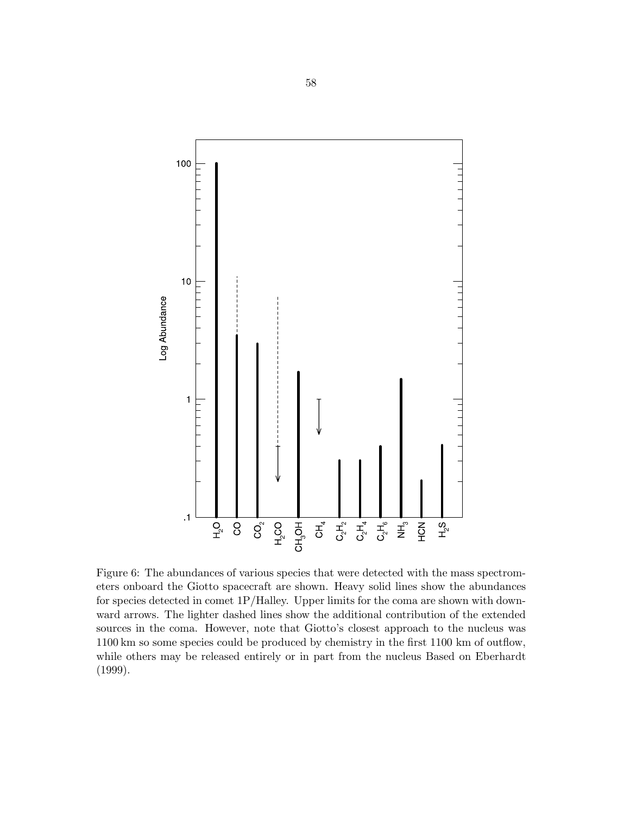

<span id="page-58-0"></span>Figure 6: The abundances of various species that were detected with the mass spectrometers onboard the Giotto spacecraft are shown. Heavy solid lines show the abundances for species detected in comet 1P/Halley. Upper limits for the coma are shown with downward arrows. The lighter dashed lines show the additional contribution of the extended sources in the coma. However, note that Giotto's closest approach to the nucleus was 1100 km so some species could be produced by chemistry in the first 1100 km of outflow, while others may be released entirely or in part from the nucleus Based on Eberhardt (1999).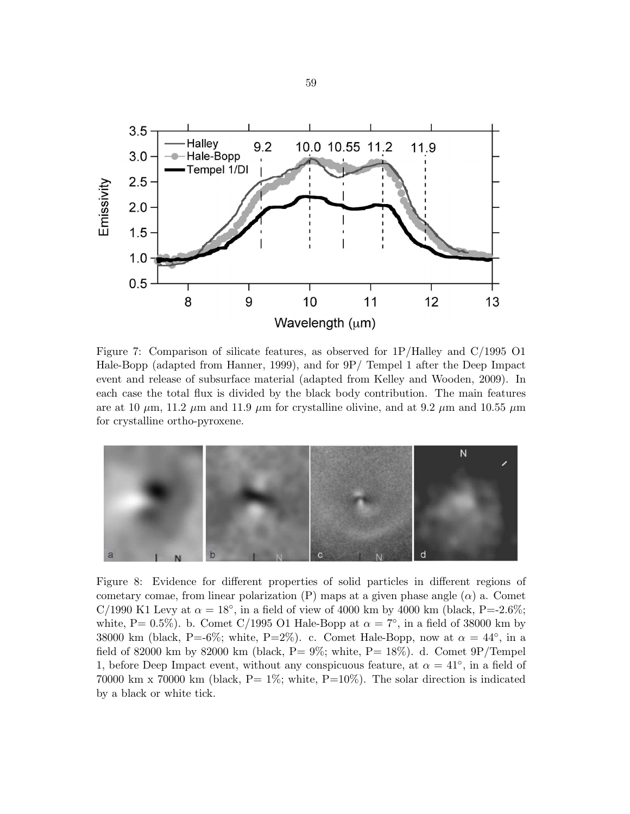

<span id="page-59-0"></span>Figure 7: Comparison of silicate features, as observed for 1P/Halley and C/1995 O1 Hale-Bopp (adapted from Hanner, 1999), and for 9P/ Tempel 1 after the Deep Impact event and release of subsurface material (adapted from Kelley and Wooden, 2009). In each case the total flux is divided by the black body contribution. The main features are at 10  $\mu$ m, 11.2  $\mu$ m and 11.9  $\mu$ m for crystalline olivine, and at 9.2  $\mu$ m and 10.55  $\mu$ m for crystalline ortho-pyroxene.



<span id="page-59-1"></span>Figure 8: Evidence for different properties of solid particles in different regions of cometary comae, from linear polarization  $(P)$  maps at a given phase angle  $(\alpha)$  a. Comet C/1990 K1 Levy at  $\alpha = 18^\circ$ , in a field of view of 4000 km by 4000 km (black, P=-2.6%; white, P= 0.5%). b. Comet C/1995 O1 Hale-Bopp at  $\alpha = 7^{\circ}$ , in a field of 38000 km by 38000 km (black, P=-6%; white, P=2%). c. Comet Hale-Bopp, now at  $\alpha = 44^{\circ}$ , in a field of 82000 km by 82000 km (black,  $P= 9\%$ ; white,  $P= 18\%$ ). d. Comet 9P/Tempel 1, before Deep Impact event, without any conspicuous feature, at  $\alpha = 41^{\circ}$ , in a field of 70000 km x 70000 km (black,  $P = 1\%$ ; white,  $P=10\%$ ). The solar direction is indicated by a black or white tick.